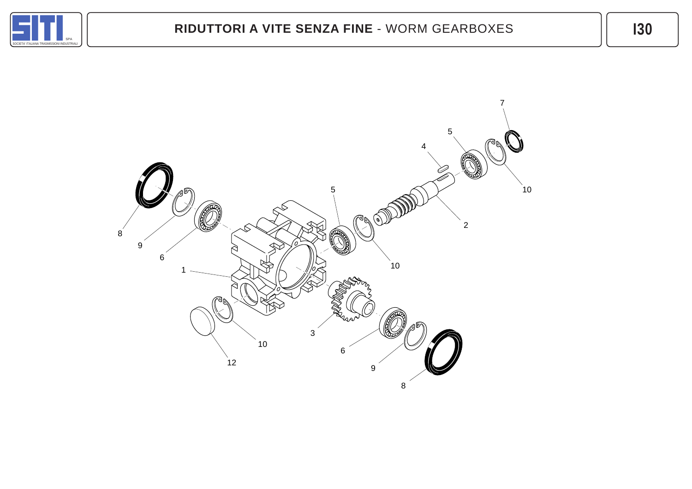

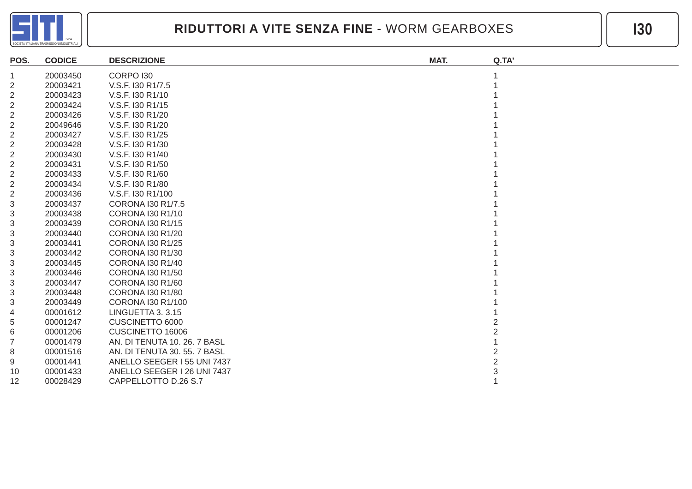

| POS.           | <b>CODICE</b> | <b>DESCRIZIONE</b>           | MAT. | Q.TA' |
|----------------|---------------|------------------------------|------|-------|
| -1             | 20003450      | CORPO <sub>130</sub>         |      |       |
| 2              | 20003421      | V.S.F. 130 R1/7.5            |      |       |
| $\overline{2}$ | 20003423      | V.S.F. 130 R1/10             |      |       |
| $\overline{2}$ | 20003424      | V.S.F. 130 R1/15             |      |       |
| $\overline{2}$ | 20003426      | V.S.F. 130 R1/20             |      |       |
| $\overline{2}$ | 20049646      | V.S.F. 130 R1/20             |      |       |
| $\overline{2}$ | 20003427      | V.S.F. 130 R1/25             |      |       |
| 2              | 20003428      | V.S.F. 130 R1/30             |      |       |
| $\overline{2}$ | 20003430      | V.S.F. I30 R1/40             |      |       |
| 2              | 20003431      | V.S.F. 130 R1/50             |      |       |
| $\overline{2}$ | 20003433      | V.S.F. 130 R1/60             |      |       |
| $\overline{2}$ | 20003434      | V.S.F. 130 R1/80             |      |       |
| $\overline{2}$ | 20003436      | V.S.F. 130 R1/100            |      |       |
| 3              | 20003437      | CORONA I30 R1/7.5            |      |       |
| 3              | 20003438      | <b>CORONA I30 R1/10</b>      |      |       |
| 3              | 20003439      | <b>CORONA 130 R1/15</b>      |      |       |
| 3              | 20003440      | CORONA I30 R1/20             |      |       |
| 3              | 20003441      | <b>CORONA I30 R1/25</b>      |      |       |
| 3              | 20003442      | CORONA 130 R1/30             |      |       |
| 3              | 20003445      | CORONA I30 R1/40             |      |       |
| 3              | 20003446      | <b>CORONA I30 R1/50</b>      |      |       |
| 3              | 20003447      | CORONA I30 R1/60             |      |       |
| 3              | 20003448      | CORONA I30 R1/80             |      |       |
| 3              | 20003449      | CORONA I30 R1/100            |      |       |
| 4              | 00001612      | LINGUETTA 3. 3.15            |      |       |
| 5              | 00001247      | CUSCINETTO 6000              |      |       |
| 6              | 00001206      | CUSCINETTO 16006             |      |       |
| 7              | 00001479      | AN. DI TENUTA 10. 26. 7 BASL |      |       |
| 8              | 00001516      | AN. DI TENUTA 30. 55. 7 BASL |      |       |
| 9              | 00001441      | ANELLO SEEGER 155 UNI 7437   |      |       |
| 10             | 00001433      | ANELLO SEEGER I 26 UNI 7437  |      |       |
| 12             | 00028429      | CAPPELLOTTO D.26 S.7         |      |       |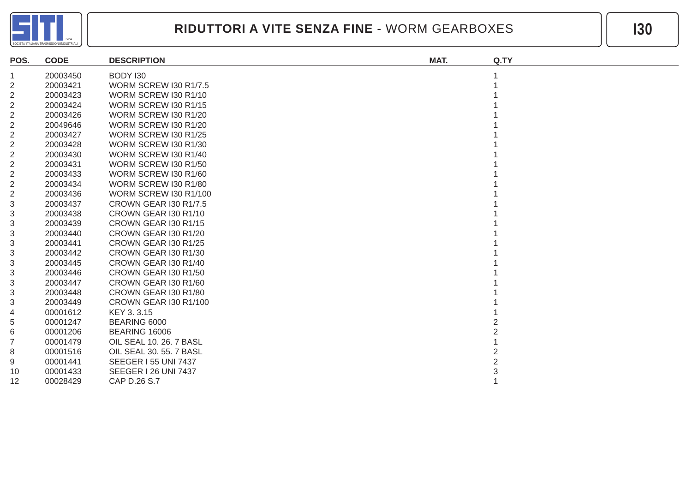

| POS.           | <b>CODE</b> | <b>DESCRIPTION</b>           | MAT. | Q.TY |
|----------------|-------------|------------------------------|------|------|
| 1              | 20003450    | BODY 130                     |      |      |
| $\overline{2}$ | 20003421    | <b>WORM SCREW 130 R1/7.5</b> |      |      |
| 2              | 20003423    | WORM SCREW I30 R1/10         |      |      |
| $\overline{2}$ | 20003424    | WORM SCREW I30 R1/15         |      |      |
| $\sqrt{2}$     | 20003426    | WORM SCREW I30 R1/20         |      |      |
| $\overline{2}$ | 20049646    | WORM SCREW I30 R1/20         |      |      |
| $\overline{2}$ | 20003427    | WORM SCREW I30 R1/25         |      |      |
| $\overline{2}$ | 20003428    | WORM SCREW I30 R1/30         |      |      |
| $\sqrt{2}$     | 20003430    | WORM SCREW I30 R1/40         |      |      |
| $\overline{2}$ | 20003431    | WORM SCREW I30 R1/50         |      |      |
| $\sqrt{2}$     | 20003433    | WORM SCREW I30 R1/60         |      |      |
| 2              | 20003434    | WORM SCREW I30 R1/80         |      |      |
| $\overline{2}$ | 20003436    | <b>WORM SCREW I30 R1/100</b> |      |      |
| 3              | 20003437    | <b>CROWN GEAR 130 R1/7.5</b> |      |      |
| 3              | 20003438    | CROWN GEAR 130 R1/10         |      |      |
| 3              | 20003439    | CROWN GEAR 130 R1/15         |      |      |
| 3              | 20003440    | CROWN GEAR I30 R1/20         |      |      |
| 3              | 20003441    | CROWN GEAR 130 R1/25         |      |      |
| 3              | 20003442    | CROWN GEAR 130 R1/30         |      |      |
| 3              | 20003445    | CROWN GEAR 130 R1/40         |      |      |
| 3              | 20003446    | CROWN GEAR 130 R1/50         |      |      |
| 3              | 20003447    | CROWN GEAR I30 R1/60         |      |      |
| 3              | 20003448    | CROWN GEAR I30 R1/80         |      |      |
| 3              | 20003449    | CROWN GEAR I30 R1/100        |      |      |
| 4              | 00001612    | KEY 3.3.15                   |      |      |
| 5              | 00001247    | BEARING 6000                 |      |      |
| 6              | 00001206    | <b>BEARING 16006</b>         |      |      |
| $\overline{7}$ | 00001479    | OIL SEAL 10. 26. 7 BASL      |      |      |
| 8              | 00001516    | OIL SEAL 30, 55, 7 BASL      |      |      |
| 9              | 00001441    | <b>SEEGER I 55 UNI 7437</b>  |      |      |
| 10             | 00001433    | <b>SEEGER 126 UNI 7437</b>   |      |      |
| 12             | 00028429    | CAP D.26 S.7                 |      |      |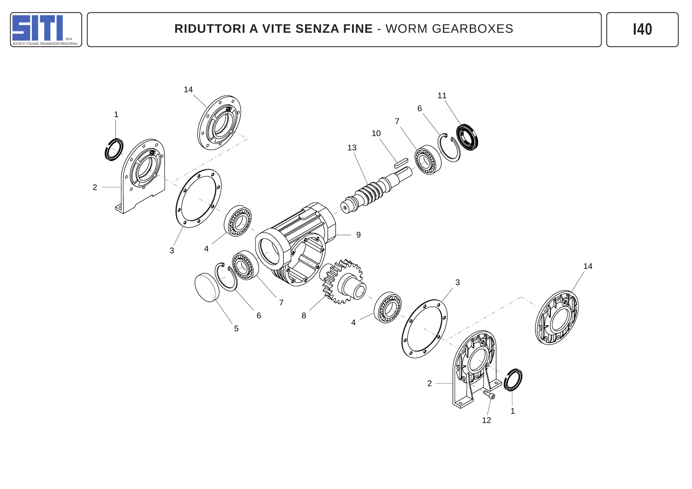

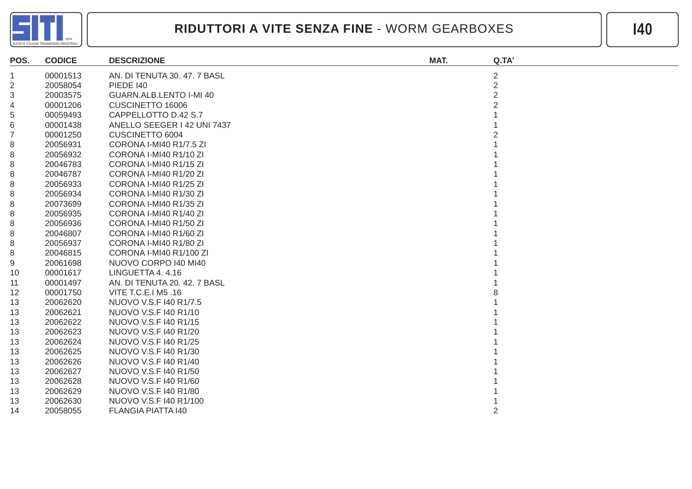

| POS.           | <b>CODICE</b> | <b>DESCRIZIONE</b>           | MAT. | Q.TA'          |
|----------------|---------------|------------------------------|------|----------------|
| 1              | 00001513      | AN. DI TENUTA 30. 47. 7 BASL |      | $\overline{2}$ |
| 2              | 20058054      | <b>PIEDE 140</b>             |      | $\overline{2}$ |
| 3              | 20003575      | GUARN.ALB.LENTO I-MI 40      |      | $\mathcal{P}$  |
| 4              | 00001206      | CUSCINETTO 16006             |      |                |
| 5              | 00059493      | CAPPELLOTTO D.42 S.7         |      |                |
| 6              | 00001438      | ANELLO SEEGER I 42 UNI 7437  |      |                |
| $\overline{7}$ | 00001250      | CUSCINETTO 6004              |      |                |
| 8              | 20056931      | CORONA I-MI40 R1/7.5 ZI      |      |                |
| 8              | 20056932      | CORONA I-MI40 R1/10 ZI       |      |                |
| 8              | 20046783      | CORONA I-MI40 R1/15 ZI       |      |                |
| 8              | 20046787      | CORONA I-MI40 R1/20 ZI       |      |                |
| 8              | 20056933      | CORONA I-MI40 R1/25 ZI       |      |                |
| 8              | 20056934      | CORONA I-MI40 R1/30 ZI       |      |                |
| 8              | 20073699      | CORONA I-MI40 R1/35 ZI       |      |                |
| 8              | 20056935      | CORONA I-MI40 R1/40 ZI       |      |                |
| $\,8\,$        | 20056936      | CORONA I-MI40 R1/50 ZI       |      |                |
| 8              | 20046807      | CORONA I-MI40 R1/60 ZI       |      |                |
| 8              | 20056937      | CORONA I-MI40 R1/80 ZI       |      |                |
| 8              | 20046815      | CORONA I-MI40 R1/100 ZI      |      |                |
| 9              | 20061698      | NUOVO CORPO I40 MI40         |      |                |
| 10             | 00001617      | LINGUETTA 4.4.16             |      |                |
| 11             | 00001497      | AN. DI TENUTA 20. 42. 7 BASL |      |                |
| 12             | 00001750      | VITE T.C.E.I M5 .16          |      |                |
| 13             | 20062620      | NUOVO V.S.F I40 R1/7.5       |      |                |
| 13             | 20062621      | NUOVO V.S.F 140 R1/10        |      |                |
| 13             | 20062622      | NUOVO V.S.F 140 R1/15        |      |                |
| 13             | 20062623      | NUOVO V.S.F 140 R1/20        |      |                |
| 13             | 20062624      | NUOVO V.S.F 140 R1/25        |      |                |
| 13             | 20062625      | NUOVO V.S.F 140 R1/30        |      |                |
| 13             | 20062626      | NUOVO V.S.F 140 R1/40        |      |                |
| 13             | 20062627      | NUOVO V.S.F 140 R1/50        |      |                |
| 13             | 20062628      | NUOVO V.S.F I40 R1/60        |      |                |
| 13             | 20062629      | NUOVO V.S.F 140 R1/80        |      |                |
| 13             | 20062630      | NUOVO V.S.F 140 R1/100       |      |                |
| 14             | 20058055      | <b>FLANGIA PIATTA 140</b>    |      | 2              |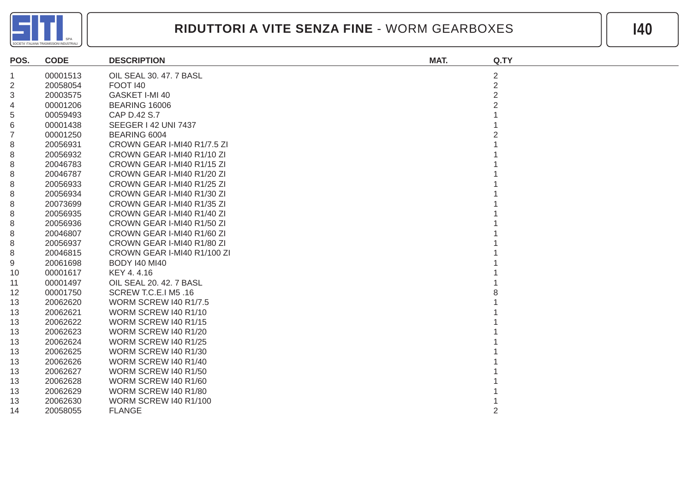

| POS.           | <b>CODE</b> | <b>DESCRIPTION</b>           | MAT. | Q.TY           |
|----------------|-------------|------------------------------|------|----------------|
| 1              | 00001513    | OIL SEAL 30.47.7 BASL        |      | $\overline{2}$ |
| 2              | 20058054    | <b>FOOT 140</b>              |      | $\overline{2}$ |
| 3              | 20003575    | GASKET I-MI 40               |      | $\overline{2}$ |
| 4              | 00001206    | <b>BEARING 16006</b>         |      |                |
| 5              | 00059493    | CAP D.42 S.7                 |      |                |
| 6              | 00001438    | <b>SEEGER I 42 UNI 7437</b>  |      |                |
| $\overline{7}$ | 00001250    | BEARING 6004                 |      |                |
| 8              | 20056931    | CROWN GEAR I-MI40 R1/7.5 ZI  |      |                |
| 8              | 20056932    | CROWN GEAR I-MI40 R1/10 ZI   |      |                |
| 8              | 20046783    | CROWN GEAR I-MI40 R1/15 ZI   |      |                |
| 8              | 20046787    | CROWN GEAR I-MI40 R1/20 ZI   |      |                |
| 8              | 20056933    | CROWN GEAR I-MI40 R1/25 ZI   |      |                |
| 8              | 20056934    | CROWN GEAR I-MI40 R1/30 ZI   |      |                |
| 8              | 20073699    | CROWN GEAR I-MI40 R1/35 ZI   |      |                |
| 8              | 20056935    | CROWN GEAR I-MI40 R1/40 ZI   |      |                |
| 8              | 20056936    | CROWN GEAR I-MI40 R1/50 ZI   |      |                |
| 8              | 20046807    | CROWN GEAR I-MI40 R1/60 ZI   |      |                |
| 8              | 20056937    | CROWN GEAR I-MI40 R1/80 ZI   |      |                |
| 8              | 20046815    | CROWN GEAR I-MI40 R1/100 ZI  |      |                |
| 9              | 20061698    | <b>BODY 140 MI40</b>         |      |                |
| 10             | 00001617    | KEY 4.4.16                   |      |                |
| 11             | 00001497    | OIL SEAL 20. 42. 7 BASL      |      |                |
| 12             | 00001750    | SCREW T.C.E.I M5 .16         |      |                |
| 13             | 20062620    | <b>WORM SCREW I40 R1/7.5</b> |      |                |
| 13             | 20062621    | WORM SCREW I40 R1/10         |      |                |
| 13             | 20062622    | WORM SCREW I40 R1/15         |      |                |
| 13             | 20062623    | WORM SCREW I40 R1/20         |      |                |
| 13             | 20062624    | WORM SCREW I40 R1/25         |      |                |
| 13             | 20062625    | WORM SCREW 140 R1/30         |      |                |
| 13             | 20062626    | WORM SCREW I40 R1/40         |      |                |
| 13             | 20062627    | WORM SCREW 140 R1/50         |      |                |
| 13             | 20062628    | WORM SCREW I40 R1/60         |      |                |
| 13             | 20062629    | WORM SCREW I40 R1/80         |      |                |
| 13             | 20062630    | <b>WORM SCREW I40 R1/100</b> |      |                |
| 14             | 20058055    | <b>FLANGE</b>                |      |                |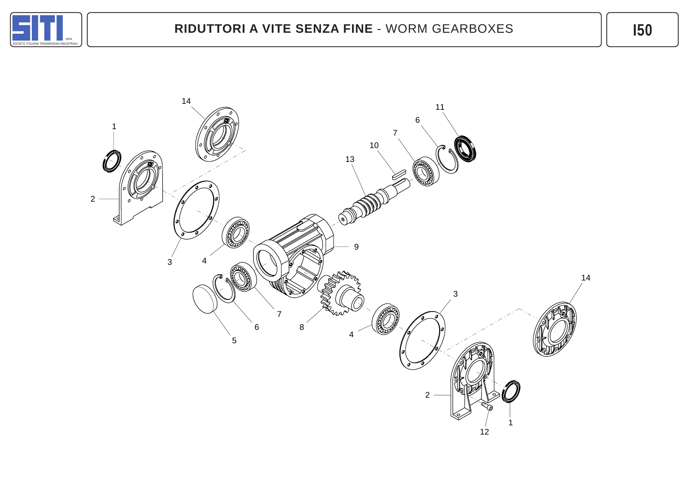

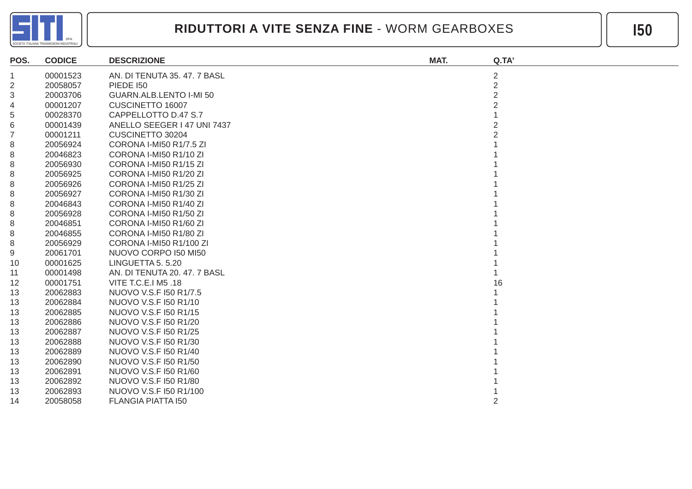

| POS.           | <b>CODICE</b> | <b>DESCRIZIONE</b>           | MAT. | Q.TA'          |
|----------------|---------------|------------------------------|------|----------------|
| $\mathbf 1$    | 00001523      | AN. DI TENUTA 35.47.7 BASL   |      | $\overline{2}$ |
| $\overline{c}$ | 20058057      | <b>PIEDE 150</b>             |      | $\overline{2}$ |
| 3              | 20003706      | GUARN.ALB.LENTO I-MI 50      |      |                |
| 4              | 00001207      | CUSCINETTO 16007             |      |                |
| 5              | 00028370      | CAPPELLOTTO D.47 S.7         |      |                |
| 6              | 00001439      | ANELLO SEEGER I 47 UNI 7437  |      |                |
| $\overline{7}$ | 00001211      | CUSCINETTO 30204             |      |                |
| 8              | 20056924      | CORONA I-MI50 R1/7.5 ZI      |      |                |
| 8              | 20046823      | CORONA I-MI50 R1/10 ZI       |      |                |
| 8              | 20056930      | CORONA I-MI50 R1/15 ZI       |      |                |
| 8              | 20056925      | CORONA I-MI50 R1/20 ZI       |      |                |
| 8              | 20056926      | CORONA I-MI50 R1/25 ZI       |      |                |
| 8              | 20056927      | CORONA I-MI50 R1/30 ZI       |      |                |
| 8              | 20046843      | CORONA I-MI50 R1/40 ZI       |      |                |
| 8              | 20056928      | CORONA I-MI50 R1/50 ZI       |      |                |
| 8              | 20046851      | CORONA I-MI50 R1/60 ZI       |      |                |
| 8              | 20046855      | CORONA I-MI50 R1/80 ZI       |      |                |
| 8              | 20056929      | CORONA I-MI50 R1/100 ZI      |      |                |
| 9              | 20061701      | NUOVO CORPO I50 MI50         |      |                |
| 10             | 00001625      | LINGUETTA 5, 5.20            |      |                |
| 11             | 00001498      | AN. DI TENUTA 20. 47. 7 BASL |      |                |
| 12             | 00001751      | VITE T.C.E.I M5 .18          |      | 16             |
| 13             | 20062883      | NUOVO V.S.F I50 R1/7.5       |      |                |
| 13             | 20062884      | NUOVO V.S.F I50 R1/10        |      |                |
| 13             | 20062885      | NUOVO V.S.F I50 R1/15        |      |                |
| 13             | 20062886      | NUOVO V.S.F I50 R1/20        |      |                |
| 13             | 20062887      | NUOVO V.S.F I50 R1/25        |      |                |
| 13             | 20062888      | NUOVO V.S.F I50 R1/30        |      |                |
| 13             | 20062889      | NUOVO V.S.F I50 R1/40        |      |                |
| 13             | 20062890      | NUOVO V.S.F I50 R1/50        |      |                |
| 13             | 20062891      | NUOVO V.S.F I50 R1/60        |      |                |
| 13             | 20062892      | NUOVO V.S.F I50 R1/80        |      |                |
| 13             | 20062893      | NUOVO V.S.F I50 R1/100       |      |                |
| 14             | 20058058      | <b>FLANGIA PIATTA I50</b>    |      |                |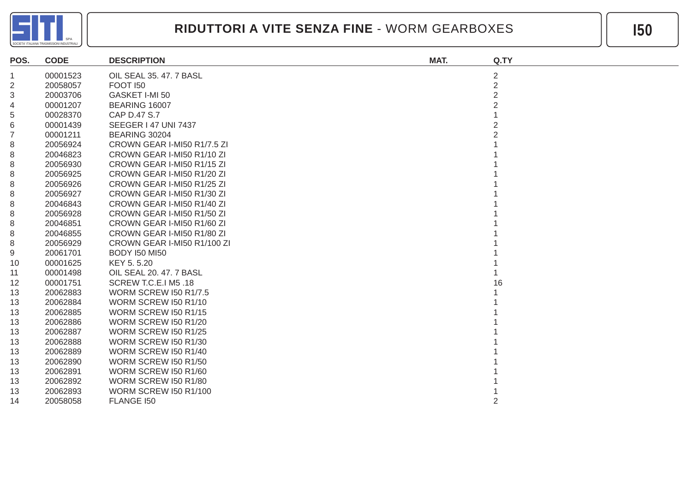

| POS.           | <b>CODE</b> | <b>DESCRIPTION</b>           | MAT. | Q.TY           |
|----------------|-------------|------------------------------|------|----------------|
| $\mathbf{1}$   | 00001523    | OIL SEAL 35.47.7 BASL        |      | $\overline{2}$ |
| $\overline{2}$ | 20058057    | <b>FOOT 150</b>              |      | $\overline{2}$ |
| 3              | 20003706    | GASKET I-MI 50               |      | $\overline{2}$ |
| 4              | 00001207    | BEARING 16007                |      |                |
| 5              | 00028370    | CAP D.47 S.7                 |      |                |
| 6              | 00001439    | <b>SEEGER 147 UNI 7437</b>   |      |                |
| $\overline{7}$ | 00001211    | BEARING 30204                |      |                |
| 8              | 20056924    | CROWN GEAR I-MI50 R1/7.5 ZI  |      |                |
| 8              | 20046823    | CROWN GEAR I-MI50 R1/10 ZI   |      |                |
| 8              | 20056930    | CROWN GEAR I-MI50 R1/15 ZI   |      |                |
| 8              | 20056925    | CROWN GEAR I-MI50 R1/20 ZI   |      |                |
| 8              | 20056926    | CROWN GEAR I-MI50 R1/25 ZI   |      |                |
| 8              | 20056927    | CROWN GEAR I-MI50 R1/30 ZI   |      |                |
| 8              | 20046843    | CROWN GEAR I-MI50 R1/40 ZI   |      |                |
| 8              | 20056928    | CROWN GEAR I-MI50 R1/50 ZI   |      |                |
| 8              | 20046851    | CROWN GEAR I-MI50 R1/60 ZI   |      |                |
| 8              | 20046855    | CROWN GEAR I-MI50 R1/80 ZI   |      |                |
| 8              | 20056929    | CROWN GEAR I-MI50 R1/100 ZI  |      |                |
| 9              | 20061701    | <b>BODY 150 MI50</b>         |      |                |
| 10             | 00001625    | KEY 5.5.20                   |      |                |
| 11             | 00001498    | OIL SEAL 20. 47. 7 BASL      |      |                |
| 12             | 00001751    | SCREW T.C.E.I M5 .18         |      | 16             |
| 13             | 20062883    | <b>WORM SCREW I50 R1/7.5</b> |      |                |
| 13             | 20062884    | WORM SCREW I50 R1/10         |      |                |
| 13             | 20062885    | WORM SCREW I50 R1/15         |      |                |
| 13             | 20062886    | <b>WORM SCREW I50 R1/20</b>  |      |                |
| 13             | 20062887    | <b>WORM SCREW I50 R1/25</b>  |      |                |
| 13             | 20062888    | WORM SCREW I50 R1/30         |      |                |
| 13             | 20062889    | WORM SCREW I50 R1/40         |      |                |
| 13             | 20062890    | WORM SCREW I50 R1/50         |      |                |
| 13             | 20062891    | WORM SCREW I50 R1/60         |      |                |
| 13             | 20062892    | <b>WORM SCREW I50 R1/80</b>  |      |                |
| 13             | 20062893    | <b>WORM SCREW I50 R1/100</b> |      |                |
| 14             | 20058058    | FLANGE 150                   |      | 2              |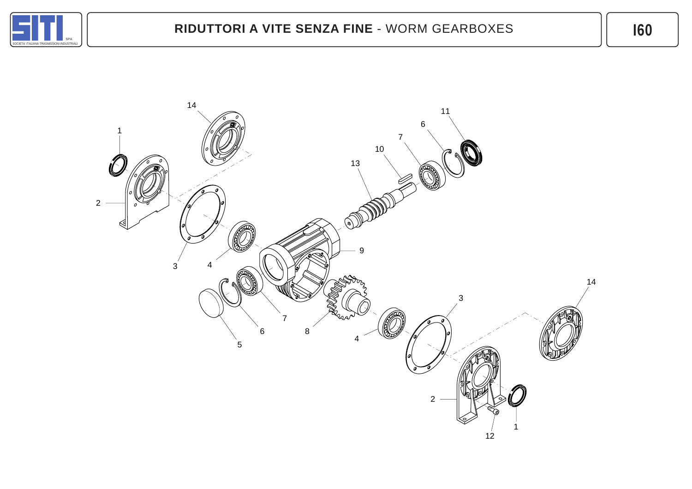

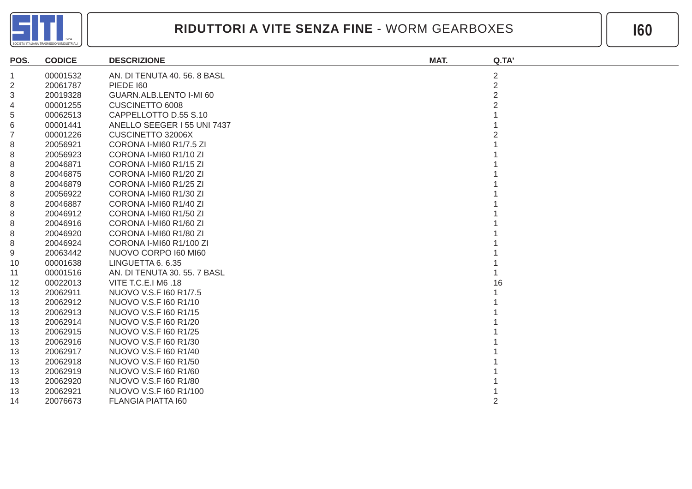

| POS.           | <b>CODICE</b> | <b>DESCRIZIONE</b>           | MAT. | Q.TA'          |
|----------------|---------------|------------------------------|------|----------------|
| $\mathbf{1}$   | 00001532      | AN. DI TENUTA 40. 56. 8 BASL |      | $\overline{2}$ |
| $\mathbf 2$    | 20061787      | <b>PIEDE 160</b>             |      | $\overline{2}$ |
| 3              | 20019328      | GUARN.ALB.LENTO I-MI 60      |      |                |
| 4              | 00001255      | CUSCINETTO 6008              |      |                |
| 5              | 00062513      | CAPPELLOTTO D.55 S.10        |      |                |
| 6              | 00001441      | ANELLO SEEGER I 55 UNI 7437  |      |                |
| $\overline{7}$ | 00001226      | CUSCINETTO 32006X            |      |                |
| 8              | 20056921      | CORONA I-MI60 R1/7.5 ZI      |      |                |
| 8              | 20056923      | CORONA I-MI60 R1/10 ZI       |      |                |
| 8              | 20046871      | CORONA I-MI60 R1/15 ZI       |      |                |
| 8              | 20046875      | CORONA I-MI60 R1/20 ZI       |      |                |
| 8              | 20046879      | CORONA I-MI60 R1/25 ZI       |      |                |
| 8              | 20056922      | CORONA I-MI60 R1/30 ZI       |      |                |
| 8              | 20046887      | CORONA I-MI60 R1/40 ZI       |      |                |
| 8              | 20046912      | CORONA I-MI60 R1/50 ZI       |      |                |
| 8              | 20046916      | CORONA I-MI60 R1/60 ZI       |      |                |
| 8              | 20046920      | CORONA I-MI60 R1/80 ZI       |      |                |
| 8              | 20046924      | CORONA I-MI60 R1/100 ZI      |      |                |
| 9              | 20063442      | NUOVO CORPO I60 MI60         |      |                |
| 10             | 00001638      | LINGUETTA 6. 6.35            |      |                |
| 11             | 00001516      | AN. DI TENUTA 30. 55. 7 BASL |      |                |
| 12             | 00022013      | VITE T.C.E.I M6 .18          |      | 16             |
| 13             | 20062911      | NUOVO V.S.F I60 R1/7.5       |      |                |
| 13             | 20062912      | NUOVO V.S.F 160 R1/10        |      |                |
| 13             | 20062913      | NUOVO V.S.F 160 R1/15        |      |                |
| 13             | 20062914      | NUOVO V.S.F I60 R1/20        |      |                |
| 13             | 20062915      | NUOVO V.S.F 160 R1/25        |      |                |
| 13             | 20062916      | NUOVO V.S.F 160 R1/30        |      |                |
| 13             | 20062917      | NUOVO V.S.F 160 R1/40        |      |                |
| 13             | 20062918      | NUOVO V.S.F 160 R1/50        |      |                |
| 13             | 20062919      | NUOVO V.S.F 160 R1/60        |      |                |
| 13             | 20062920      | NUOVO V.S.F I60 R1/80        |      |                |
| 13             | 20062921      | NUOVO V.S.F I60 R1/100       |      |                |
| 14             | 20076673      | <b>FLANGIA PIATTA 160</b>    |      |                |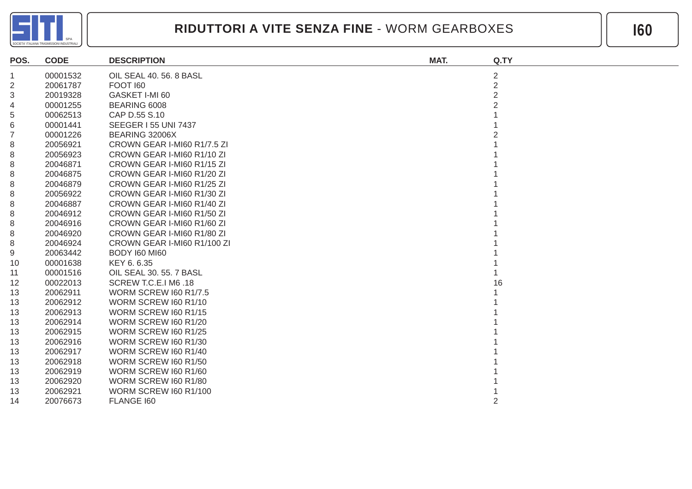

| POS.           | <b>CODE</b> | <b>DESCRIPTION</b>           | MAT. | Q.TY           |
|----------------|-------------|------------------------------|------|----------------|
| $\mathbf{1}$   | 00001532    | OIL SEAL 40. 56. 8 BASL      |      | $\overline{2}$ |
| $\overline{2}$ | 20061787    | <b>FOOT 160</b>              |      | $\overline{2}$ |
| 3              | 20019328    | GASKET I-MI 60               |      | $\overline{2}$ |
| 4              | 00001255    | BEARING 6008                 |      |                |
| 5              | 00062513    | CAP D.55 S.10                |      |                |
| 6              | 00001441    | <b>SEEGER 155 UNI 7437</b>   |      |                |
| $\overline{7}$ | 00001226    | BEARING 32006X               |      |                |
| 8              | 20056921    | CROWN GEAR I-MI60 R1/7.5 ZI  |      |                |
| 8              | 20056923    | CROWN GEAR I-MI60 R1/10 ZI   |      |                |
| 8              | 20046871    | CROWN GEAR I-MI60 R1/15 ZI   |      |                |
| 8              | 20046875    | CROWN GEAR I-MI60 R1/20 ZI   |      |                |
| 8              | 20046879    | CROWN GEAR I-MI60 R1/25 ZI   |      |                |
| 8              | 20056922    | CROWN GEAR I-MI60 R1/30 ZI   |      |                |
| 8              | 20046887    | CROWN GEAR I-MI60 R1/40 ZI   |      |                |
| 8              | 20046912    | CROWN GEAR I-MI60 R1/50 ZI   |      |                |
| 8              | 20046916    | CROWN GEAR I-MI60 R1/60 ZI   |      |                |
| 8              | 20046920    | CROWN GEAR I-MI60 R1/80 ZI   |      |                |
| 8              | 20046924    | CROWN GEAR I-MI60 R1/100 ZI  |      |                |
| 9              | 20063442    | BODY I60 MI60                |      |                |
| 10             | 00001638    | KEY 6.6.35                   |      |                |
| 11             | 00001516    | OIL SEAL 30, 55, 7 BASL      |      |                |
| 12             | 00022013    | SCREW T.C.E.I M6 .18         |      | 16             |
| 13             | 20062911    | <b>WORM SCREW 160 R1/7.5</b> |      |                |
| 13             | 20062912    | WORM SCREW I60 R1/10         |      |                |
| 13             | 20062913    | WORM SCREW I60 R1/15         |      |                |
| 13             | 20062914    | WORM SCREW 160 R1/20         |      |                |
| 13             | 20062915    | WORM SCREW I60 R1/25         |      |                |
| 13             | 20062916    | WORM SCREW 160 R1/30         |      |                |
| 13             | 20062917    | WORM SCREW 160 R1/40         |      |                |
| 13             | 20062918    | WORM SCREW I60 R1/50         |      |                |
| 13             | 20062919    | WORM SCREW 160 R1/60         |      |                |
| 13             | 20062920    | WORM SCREW 160 R1/80         |      |                |
| 13             | 20062921    | <b>WORM SCREW I60 R1/100</b> |      |                |
| 14             | 20076673    | FLANGE 160                   |      |                |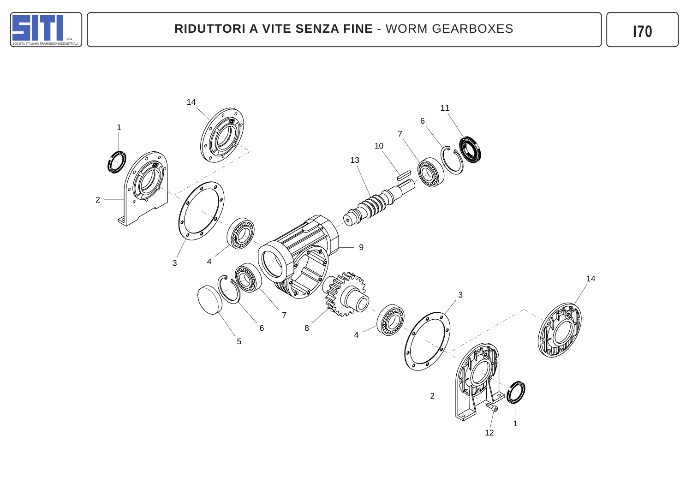

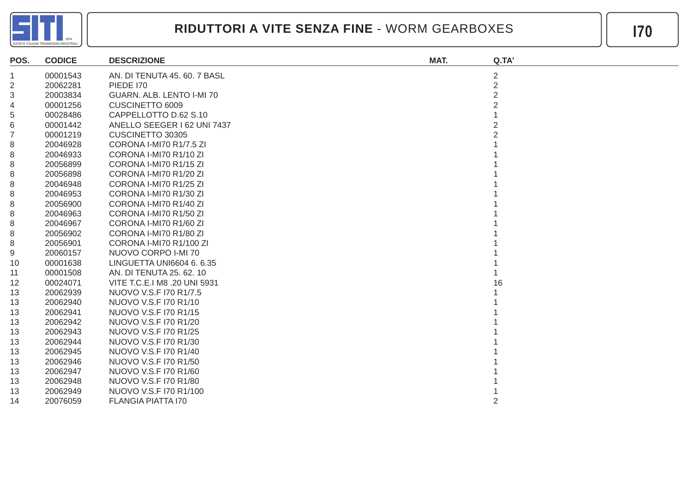

| POS.           | <b>CODICE</b> | <b>DESCRIZIONE</b>           | MAT. | Q.TA'          |
|----------------|---------------|------------------------------|------|----------------|
| 1              | 00001543      | AN. DI TENUTA 45. 60. 7 BASL |      | $\overline{c}$ |
| $\overline{2}$ | 20062281      | <b>PIEDE 170</b>             |      | $\overline{2}$ |
| 3              | 20003834      | GUARN. ALB. LENTO I-MI 70    |      |                |
| 4              | 00001256      | CUSCINETTO 6009              |      |                |
| 5              | 00028486      | CAPPELLOTTO D.62 S.10        |      |                |
| 6              | 00001442      | ANELLO SEEGER I 62 UNI 7437  |      |                |
| $\overline{7}$ | 00001219      | CUSCINETTO 30305             |      |                |
| 8              | 20046928      | CORONA I-MI70 R1/7.5 ZI      |      |                |
| 8              | 20046933      | CORONA I-MI70 R1/10 ZI       |      |                |
| 8              | 20056899      | CORONA I-MI70 R1/15 ZI       |      |                |
| 8              | 20056898      | CORONA I-MI70 R1/20 ZI       |      |                |
| 8              | 20046948      | CORONA I-MI70 R1/25 ZI       |      |                |
| 8              | 20046953      | CORONA I-MI70 R1/30 ZI       |      |                |
| 8              | 20056900      | CORONA I-MI70 R1/40 ZI       |      |                |
| 8              | 20046963      | CORONA I-MI70 R1/50 ZI       |      |                |
| 8              | 20046967      | CORONA I-MI70 R1/60 ZI       |      |                |
| 8              | 20056902      | CORONA I-MI70 R1/80 ZI       |      |                |
| 8              | 20056901      | CORONA I-MI70 R1/100 ZI      |      |                |
| 9              | 20060157      | NUOVO CORPO I-MI 70          |      |                |
| 10             | 00001638      | LINGUETTA UNI6604 6. 6.35    |      |                |
| 11             | 00001508      | AN. DI TENUTA 25. 62. 10     |      |                |
| 12             | 00024071      | VITE T.C.E.I M8 .20 UNI 5931 |      | 16             |
| 13             | 20062939      | NUOVO V.S.F I70 R1/7.5       |      |                |
| 13             | 20062940      | NUOVO V.S.F 170 R1/10        |      |                |
| 13             | 20062941      | NUOVO V.S.F I70 R1/15        |      |                |
| 13             | 20062942      | NUOVO V.S.F 170 R1/20        |      |                |
| 13             | 20062943      | NUOVO V.S.F I70 R1/25        |      |                |
| 13             | 20062944      | NUOVO V.S.F I70 R1/30        |      |                |
| 13             | 20062945      | NUOVO V.S.F 170 R1/40        |      |                |
| 13             | 20062946      | NUOVO V.S.F 170 R1/50        |      |                |
| 13             | 20062947      | NUOVO V.S.F 170 R1/60        |      |                |
| 13             | 20062948      | NUOVO V.S.F 170 R1/80        |      |                |
| 13             | 20062949      | NUOVO V.S.F I70 R1/100       |      |                |
| 14             | 20076059      | <b>FLANGIA PIATTA 170</b>    |      |                |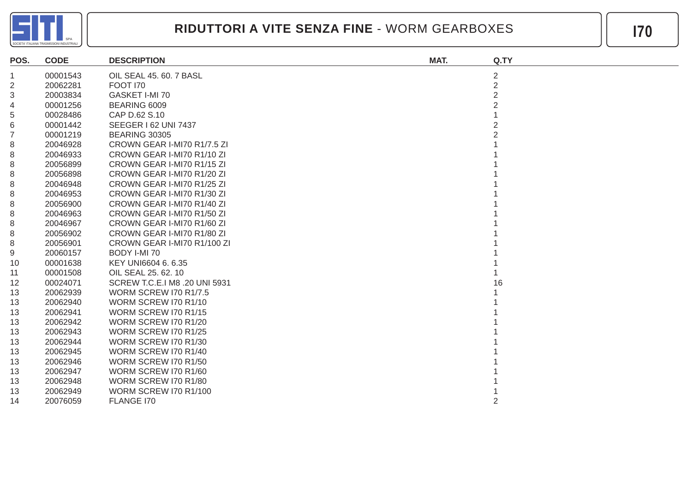

| POS.           | <b>CODE</b> | <b>DESCRIPTION</b>            | MAT. | Q.TY           |
|----------------|-------------|-------------------------------|------|----------------|
| 1              | 00001543    | OIL SEAL 45. 60. 7 BASL       |      | $\overline{2}$ |
| 2              | 20062281    | <b>FOOT 170</b>               |      | $\overline{2}$ |
| 3              | 20003834    | GASKET I-MI 70                |      | $\mathfrak{p}$ |
| 4              | 00001256    | BEARING 6009                  |      |                |
| 5              | 00028486    | CAP D.62 S.10                 |      |                |
| 6              | 00001442    | SEEGER I 62 UNI 7437          |      |                |
| $\overline{7}$ | 00001219    | <b>BEARING 30305</b>          |      |                |
| 8              | 20046928    | CROWN GEAR I-MI70 R1/7.5 ZI   |      |                |
| 8              | 20046933    | CROWN GEAR I-MI70 R1/10 ZI    |      |                |
| 8              | 20056899    | CROWN GEAR I-MI70 R1/15 ZI    |      |                |
| 8              | 20056898    | CROWN GEAR I-MI70 R1/20 ZI    |      |                |
| 8              | 20046948    | CROWN GEAR I-MI70 R1/25 ZI    |      |                |
| 8              | 20046953    | CROWN GEAR I-MI70 R1/30 ZI    |      |                |
| 8              | 20056900    | CROWN GEAR I-MI70 R1/40 ZI    |      |                |
| 8              | 20046963    | CROWN GEAR I-MI70 R1/50 ZI    |      |                |
| 8              | 20046967    | CROWN GEAR I-MI70 R1/60 ZI    |      |                |
| 8              | 20056902    | CROWN GEAR I-MI70 R1/80 ZI    |      |                |
| 8              | 20056901    | CROWN GEAR I-MI70 R1/100 ZI   |      |                |
| 9              | 20060157    | BODY I-MI 70                  |      |                |
| 10             | 00001638    | KEY UNI6604 6.6.35            |      |                |
| 11             | 00001508    | OIL SEAL 25, 62, 10           |      |                |
| 12             | 00024071    | SCREW T.C.E.I M8 .20 UNI 5931 |      | 16             |
| 13             | 20062939    | <b>WORM SCREW I70 R1/7.5</b>  |      |                |
| 13             | 20062940    | WORM SCREW I70 R1/10          |      |                |
| 13             | 20062941    | WORM SCREW I70 R1/15          |      |                |
| 13             | 20062942    | WORM SCREW I70 R1/20          |      |                |
| 13             | 20062943    | WORM SCREW I70 R1/25          |      |                |
| 13             | 20062944    | WORM SCREW I70 R1/30          |      |                |
| 13             | 20062945    | WORM SCREW I70 R1/40          |      |                |
| 13             | 20062946    | WORM SCREW I70 R1/50          |      |                |
| 13             | 20062947    | WORM SCREW I70 R1/60          |      |                |
| 13             | 20062948    | WORM SCREW I70 R1/80          |      |                |
| 13             | 20062949    | <b>WORM SCREW I70 R1/100</b>  |      |                |
| 14             | 20076059    | FLANGE I70                    |      | 2              |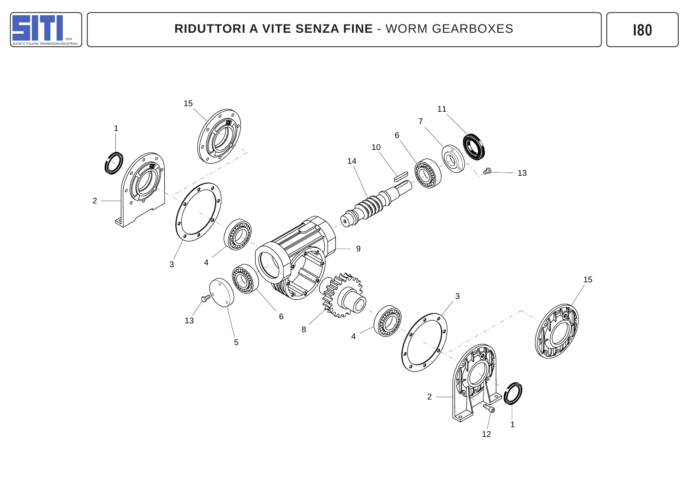

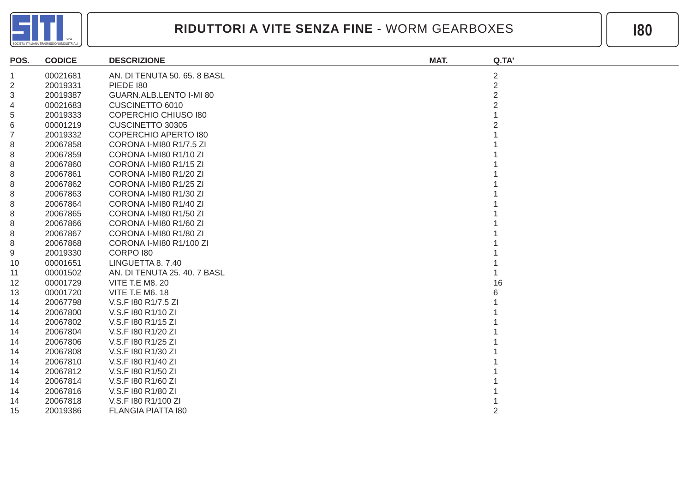

| POS.             | <b>CODICE</b> | <b>DESCRIZIONE</b>           | MAT. | Q.TA'          |
|------------------|---------------|------------------------------|------|----------------|
| $\mathbf 1$      | 00021681      | AN. DI TENUTA 50. 65. 8 BASL |      | $\overline{c}$ |
| 2                | 20019331      | <b>PIEDE 180</b>             |      | 2              |
| 3                | 20019387      | GUARN.ALB.LENTO I-MI 80      |      | $\overline{2}$ |
| 4                | 00021683      | CUSCINETTO 6010              |      |                |
| 5                | 20019333      | <b>COPERCHIO CHIUSO 180</b>  |      |                |
| 6                | 00001219      | CUSCINETTO 30305             |      |                |
| $\boldsymbol{7}$ | 20019332      | <b>COPERCHIO APERTO 180</b>  |      |                |
| 8                | 20067858      | CORONA I-MI80 R1/7.5 ZI      |      |                |
| 8                | 20067859      | CORONA I-MI80 R1/10 ZI       |      |                |
| 8                | 20067860      | CORONA I-MI80 R1/15 ZI       |      |                |
| 8                | 20067861      | CORONA I-MI80 R1/20 ZI       |      |                |
| 8                | 20067862      | CORONA I-MI80 R1/25 ZI       |      |                |
| 8                | 20067863      | CORONA I-MI80 R1/30 ZI       |      |                |
| 8                | 20067864      | CORONA I-MI80 R1/40 ZI       |      |                |
| 8                | 20067865      | CORONA I-MI80 R1/50 ZI       |      |                |
| 8                | 20067866      | CORONA I-MI80 R1/60 ZI       |      |                |
| 8                | 20067867      | CORONA I-MI80 R1/80 ZI       |      |                |
| 8                | 20067868      | CORONA I-MI80 R1/100 ZI      |      |                |
| 9                | 20019330      | CORPO 180                    |      |                |
| 10               | 00001651      | LINGUETTA 8.7.40             |      |                |
| 11               | 00001502      | AN. DI TENUTA 25, 40, 7 BASL |      |                |
| 12               | 00001729      | <b>VITE T.E M8. 20</b>       |      | 16             |
| 13               | 00001720      | <b>VITE T.E M6. 18</b>       |      |                |
| 14               | 20067798      | V.S.F 180 R1/7.5 ZI          |      |                |
| 14               | 20067800      | V.S.F 180 R1/10 ZI           |      |                |
| 14               | 20067802      | V.S.F 180 R1/15 ZI           |      |                |
| 14               | 20067804      | V.S.F 180 R1/20 ZI           |      |                |
| 14               | 20067806      | V.S.F 180 R1/25 ZI           |      |                |
| 14               | 20067808      | V.S.F 180 R1/30 ZI           |      |                |
| 14               | 20067810      | V.S.F 180 R1/40 ZI           |      |                |
| 14               | 20067812      | V.S.F 180 R1/50 ZI           |      |                |
| 14               | 20067814      | V.S.F 180 R1/60 ZI           |      |                |
| 14               | 20067816      | V.S.F 180 R1/80 ZI           |      |                |
| 14               | 20067818      | V.S.F 180 R1/100 ZI          |      |                |
| 15               | 20019386      | FLANGIA PIATTA 180           |      | 2              |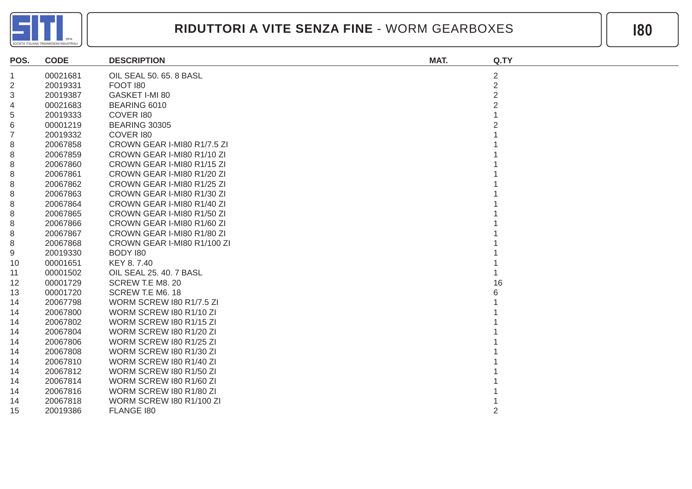

| POS.           | <b>CODE</b> | <b>DESCRIPTION</b>              | MAT. | Q.TY           |
|----------------|-------------|---------------------------------|------|----------------|
| $\mathbf{1}$   | 00021681    | OIL SEAL 50. 65. 8 BASL         |      | $\overline{c}$ |
| 2              | 20019331    | <b>FOOT 180</b>                 |      | $\overline{2}$ |
| 3              | 20019387    | GASKET I-MI 80                  |      | $\overline{2}$ |
| 4              | 00021683    | BEARING 6010                    |      |                |
| 5              | 20019333    | COVER 180                       |      |                |
| 6              | 00001219    | <b>BEARING 30305</b>            |      |                |
| $\overline{7}$ | 20019332    | COVER 180                       |      |                |
| 8              | 20067858    | CROWN GEAR I-MI80 R1/7.5 ZI     |      |                |
| 8              | 20067859    | CROWN GEAR I-MI80 R1/10 ZI      |      |                |
| 8              | 20067860    | CROWN GEAR I-MI80 R1/15 ZI      |      |                |
| 8              | 20067861    | CROWN GEAR I-MI80 R1/20 ZI      |      |                |
| 8              | 20067862    | CROWN GEAR I-MI80 R1/25 ZI      |      |                |
| 8              | 20067863    | CROWN GEAR I-MI80 R1/30 ZI      |      |                |
| 8              | 20067864    | CROWN GEAR I-MI80 R1/40 ZI      |      |                |
| 8              | 20067865    | CROWN GEAR I-MI80 R1/50 ZI      |      |                |
| 8              | 20067866    | CROWN GEAR I-MI80 R1/60 ZI      |      |                |
| 8              | 20067867    | CROWN GEAR I-MI80 R1/80 ZI      |      |                |
| 8              | 20067868    | CROWN GEAR I-MI80 R1/100 ZI     |      |                |
| 9              | 20019330    | BODY 180                        |      |                |
| 10             | 00001651    | KEY 8.7.40                      |      |                |
| 11             | 00001502    | OIL SEAL 25. 40. 7 BASL         |      |                |
| 12             | 00001729    | SCREW T.E M8. 20                |      | 16             |
| 13             | 00001720    | SCREW T.E M6. 18                |      |                |
| 14             | 20067798    | <b>WORM SCREW 180 R1/7.5 ZI</b> |      |                |
| 14             | 20067800    | WORM SCREW 180 R1/10 ZI         |      |                |
| 14             | 20067802    | WORM SCREW 180 R1/15 ZI         |      |                |
| 14             | 20067804    | WORM SCREW 180 R1/20 ZI         |      |                |
| 14             | 20067806    | WORM SCREW 180 R1/25 ZI         |      |                |
| 14             | 20067808    | WORM SCREW 180 R1/30 ZI         |      |                |
| 14             | 20067810    | WORM SCREW 180 R1/40 ZI         |      |                |
| 14             | 20067812    | WORM SCREW 180 R1/50 ZI         |      |                |
| 14             | 20067814    | WORM SCREW I80 R1/60 ZI         |      |                |
| 14             | 20067816    | WORM SCREW 180 R1/80 ZI         |      |                |
| 14             | 20067818    | WORM SCREW I80 R1/100 ZI        |      |                |
| 15             | 20019386    | FLANGE 180                      |      | 2              |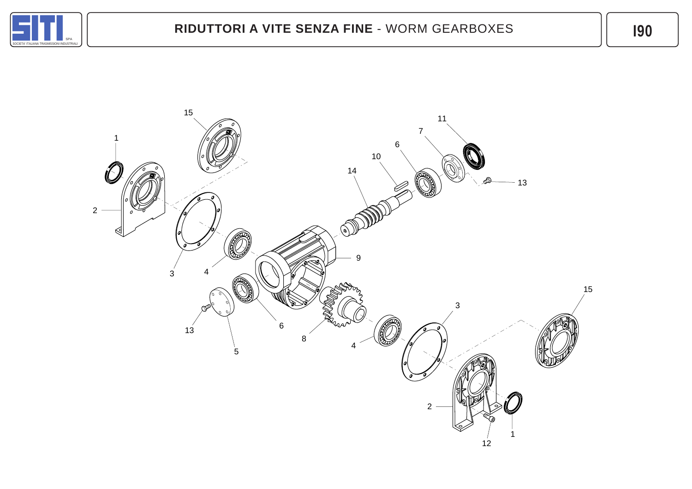

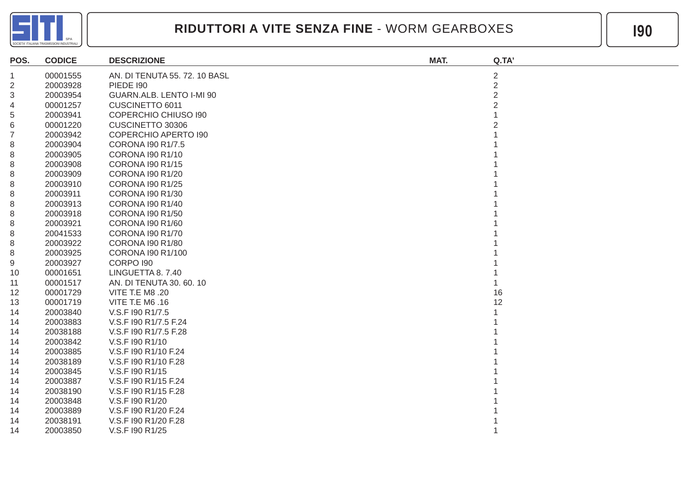

| POS.           | <b>CODICE</b> | <b>DESCRIZIONE</b>            | MAT. | Q.TA'          |
|----------------|---------------|-------------------------------|------|----------------|
| -1             | 00001555      | AN. DI TENUTA 55. 72. 10 BASL |      | $\overline{c}$ |
| $\overline{c}$ | 20003928      | <b>PIEDE 190</b>              |      | $\overline{2}$ |
| 3              | 20003954      | GUARN.ALB. LENTO I-MI 90      |      | $\overline{2}$ |
| 4              | 00001257      | CUSCINETTO 6011               |      |                |
| 5              | 20003941      | <b>COPERCHIO CHIUSO 190</b>   |      |                |
| 6              | 00001220      | CUSCINETTO 30306              |      |                |
| $\overline{7}$ | 20003942      | <b>COPERCHIO APERTO 190</b>   |      |                |
| 8              | 20003904      | CORONA 190 R1/7.5             |      |                |
| 8              | 20003905      | <b>CORONA 190 R1/10</b>       |      |                |
| 8              | 20003908      | <b>CORONA I90 R1/15</b>       |      |                |
| 8              | 20003909      | CORONA I90 R1/20              |      |                |
| 8              | 20003910      | <b>CORONA 190 R1/25</b>       |      |                |
| 8              | 20003911      | CORONA 190 R1/30              |      |                |
| 8              | 20003913      | <b>CORONA I90 R1/40</b>       |      |                |
| 8              | 20003918      | <b>CORONA 190 R1/50</b>       |      |                |
| 8              | 20003921      | CORONA I90 R1/60              |      |                |
| 8              | 20041533      | CORONA 190 R1/70              |      |                |
| 8              | 20003922      | CORONA I90 R1/80              |      |                |
| 8              | 20003925      | CORONA I90 R1/100             |      |                |
| 9              | 20003927      | CORPO 190                     |      |                |
| 10             | 00001651      | LINGUETTA 8. 7.40             |      |                |
| 11             | 00001517      | AN. DI TENUTA 30. 60. 10      |      |                |
| 12             | 00001729      | <b>VITE T.E M8 .20</b>        |      | 16             |
| 13             | 00001719      | VITE T.E M6 .16               |      | 12             |
| 14             | 20003840      | V.S.F 190 R1/7.5              |      |                |
| 14             | 20003883      | V.S.F I90 R1/7.5 F.24         |      |                |
| 14             | 20038188      | V.S.F I90 R1/7.5 F.28         |      |                |
| 14             | 20003842      | V.S.F 190 R1/10               |      |                |
| 14             | 20003885      | V.S.F I90 R1/10 F.24          |      |                |
| 14             | 20038189      | V.S.F 190 R1/10 F.28          |      |                |
| 14             | 20003845      | V.S.F 190 R1/15               |      |                |
| 14             | 20003887      | V.S.F I90 R1/15 F.24          |      |                |
| 14             | 20038190      | V.S.F I90 R1/15 F.28          |      |                |
| 14             | 20003848      | V.S.F 190 R1/20               |      |                |
| 14             | 20003889      | V.S.F 190 R1/20 F.24          |      |                |
| 14             | 20038191      | V.S.F I90 R1/20 F.28          |      |                |
| 14             | 20003850      | V.S.F 190 R1/25               |      |                |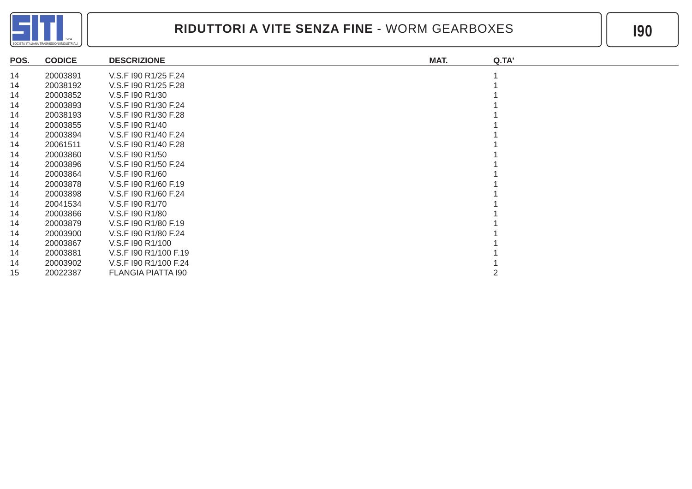

| POS. | <b>CODICE</b> | <b>DESCRIZIONE</b>    | MAT. | Q.TA' |
|------|---------------|-----------------------|------|-------|
| 14   | 20003891      | V.S.F 190 R1/25 F.24  |      |       |
| 14   | 20038192      | V.S.F 190 R1/25 F.28  |      |       |
| 14   | 20003852      | V.S.F 190 R1/30       |      |       |
| 14   | 20003893      | V.S.F 190 R1/30 F.24  |      |       |
| 14   | 20038193      | V.S.F 190 R1/30 F.28  |      |       |
| 14   | 20003855      | V.S.F 190 R1/40       |      |       |
| 14   | 20003894      | V.S.F 190 R1/40 F.24  |      |       |
| 14   | 20061511      | V.S.F 190 R1/40 F.28  |      |       |
| 14   | 20003860      | V.S.F 190 R1/50       |      |       |
| 14   | 20003896      | V.S.F 190 R1/50 F.24  |      |       |
| 14   | 20003864      | V.S.F 190 R1/60       |      |       |
| 14   | 20003878      | V.S.F 190 R1/60 F.19  |      |       |
| 14   | 20003898      | V.S.F 190 R1/60 F.24  |      |       |
| 14   | 20041534      | V.S.F 190 R1/70       |      |       |
| 14   | 20003866      | V.S.F 190 R1/80       |      |       |
| 14   | 20003879      | V.S.F 190 R1/80 F.19  |      |       |
| 14   | 20003900      | V.S.F 190 R1/80 F.24  |      |       |
| 14   | 20003867      | V.S.F 190 R1/100      |      |       |
| 14   | 20003881      | V.S.F 190 R1/100 F.19 |      |       |
| 14   | 20003902      | V.S.F 190 R1/100 F.24 |      |       |
| 15   | 20022387      | FLANGIA PIATTA 190    |      |       |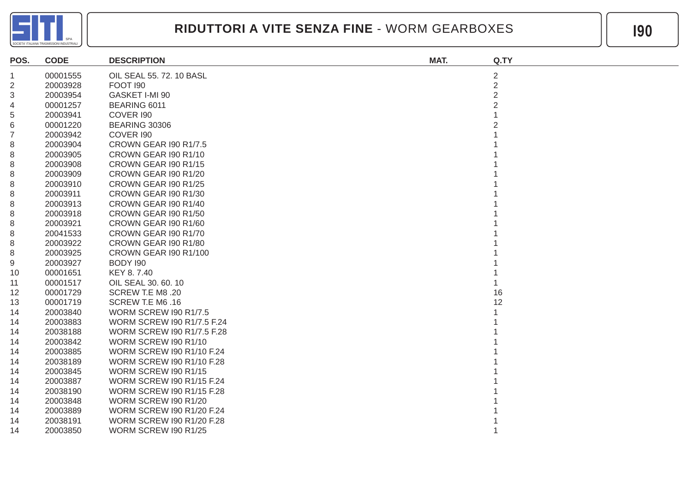

| POS.           | <b>CODE</b> | <b>DESCRIPTION</b>                | MAT. | Q.TY           |
|----------------|-------------|-----------------------------------|------|----------------|
| -1             | 00001555    | OIL SEAL 55. 72. 10 BASL          |      | $\overline{2}$ |
| $\overline{2}$ | 20003928    | <b>FOOT 190</b>                   |      | $\overline{2}$ |
| 3              | 20003954    | GASKET I-MI 90                    |      | $\overline{2}$ |
| 4              | 00001257    | BEARING 6011                      |      | $\overline{2}$ |
| 5              | 20003941    | COVER 190                         |      |                |
| 6              | 00001220    | <b>BEARING 30306</b>              |      |                |
| $\overline{7}$ | 20003942    | COVER 190                         |      |                |
| 8              | 20003904    | CROWN GEAR I90 R1/7.5             |      |                |
| 8              | 20003905    | CROWN GEAR 190 R1/10              |      |                |
| 8              | 20003908    | CROWN GEAR 190 R1/15              |      |                |
| 8              | 20003909    | CROWN GEAR I90 R1/20              |      |                |
| 8              | 20003910    | CROWN GEAR I90 R1/25              |      |                |
| 8              | 20003911    | CROWN GEAR 190 R1/30              |      |                |
| 8              | 20003913    | CROWN GEAR 190 R1/40              |      |                |
| 8              | 20003918    | CROWN GEAR I90 R1/50              |      |                |
| 8              | 20003921    | CROWN GEAR 190 R1/60              |      |                |
| 8              | 20041533    | CROWN GEAR 190 R1/70              |      |                |
| 8              | 20003922    | CROWN GEAR 190 R1/80              |      |                |
| 8              | 20003925    | CROWN GEAR I90 R1/100             |      |                |
| 9              | 20003927    | BODY 190                          |      |                |
| 10             | 00001651    | KEY 8.7.40                        |      |                |
| 11             | 00001517    | OIL SEAL 30. 60. 10               |      |                |
| 12             | 00001729    | SCREW T.E M8 .20                  |      | 16             |
| 13             | 00001719    | SCREW T.E M6.16                   |      | 12             |
| 14             | 20003840    | <b>WORM SCREW I90 R1/7.5</b>      |      |                |
| 14             | 20003883    | <b>WORM SCREW 190 R1/7.5 F.24</b> |      |                |
| 14             | 20038188    | <b>WORM SCREW 190 R1/7.5 F.28</b> |      |                |
| 14             | 20003842    | WORM SCREW I90 R1/10              |      |                |
| 14             | 20003885    | WORM SCREW I90 R1/10 F.24         |      |                |
| 14             | 20038189    | WORM SCREW I90 R1/10 F.28         |      |                |
| 14             | 20003845    | WORM SCREW 190 R1/15              |      |                |
| 14             | 20003887    | WORM SCREW I90 R1/15 F.24         |      |                |
| 14             | 20038190    | WORM SCREW I90 R1/15 F.28         |      |                |
| 14             | 20003848    | WORM SCREW I90 R1/20              |      |                |
| 14             | 20003889    | <b>WORM SCREW 190 R1/20 F.24</b>  |      |                |
| 14             | 20038191    | WORM SCREW I90 R1/20 F.28         |      |                |
| 14             | 20003850    | WORM SCREW I90 R1/25              |      |                |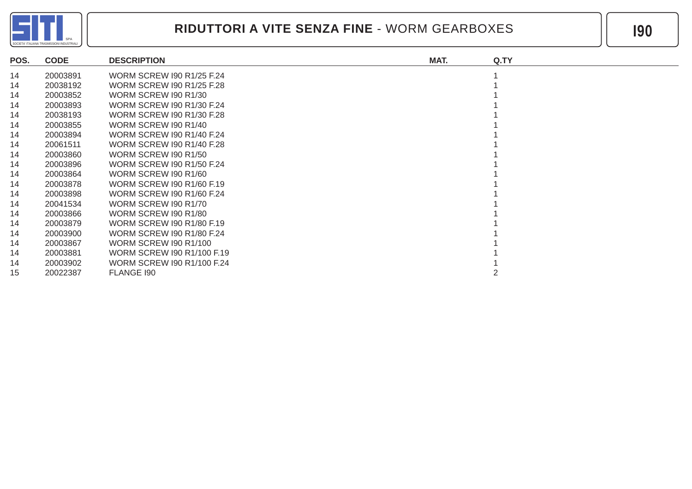

| POS. | <b>CODE</b> | <b>DESCRIPTION</b>               | MAT. | Q.TY |
|------|-------------|----------------------------------|------|------|
| 14   | 20003891    | <b>WORM SCREW 190 R1/25 F.24</b> |      |      |
| 14   | 20038192    | <b>WORM SCREW 190 R1/25 F.28</b> |      |      |
| 14   | 20003852    | <b>WORM SCREW 190 R1/30</b>      |      |      |
| 14   | 20003893    | WORM SCREW 190 R1/30 F.24        |      |      |
| 14   | 20038193    | <b>WORM SCREW 190 R1/30 F.28</b> |      |      |
| 14   | 20003855    | <b>WORM SCREW 190 R1/40</b>      |      |      |
| 14   | 20003894    | <b>WORM SCREW 190 R1/40 F.24</b> |      |      |
| 14   | 20061511    | <b>WORM SCREW 190 R1/40 F.28</b> |      |      |
| 14   | 20003860    | WORM SCREW 190 R1/50             |      |      |
| 14   | 20003896    | <b>WORM SCREW 190 R1/50 F.24</b> |      |      |
| 14   | 20003864    | WORM SCREW 190 R1/60             |      |      |
| 14   | 20003878    | <b>WORM SCREW 190 R1/60 F.19</b> |      |      |
| 14   | 20003898    | WORM SCREW 190 R1/60 F.24        |      |      |
| 14   | 20041534    | <b>WORM SCREW 190 R1/70</b>      |      |      |
| 14   | 20003866    | WORM SCREW 190 R1/80             |      |      |
| 14   | 20003879    | <b>WORM SCREW 190 R1/80 F.19</b> |      |      |
| 14   | 20003900    | <b>WORM SCREW 190 R1/80 F.24</b> |      |      |
| 14   | 20003867    | <b>WORM SCREW 190 R1/100</b>     |      |      |
| 14   | 20003881    | WORM SCREW 190 R1/100 F.19       |      |      |
| 14   | 20003902    | WORM SCREW 190 R1/100 F.24       |      |      |
| 15   | 20022387    | FLANGE 190                       |      |      |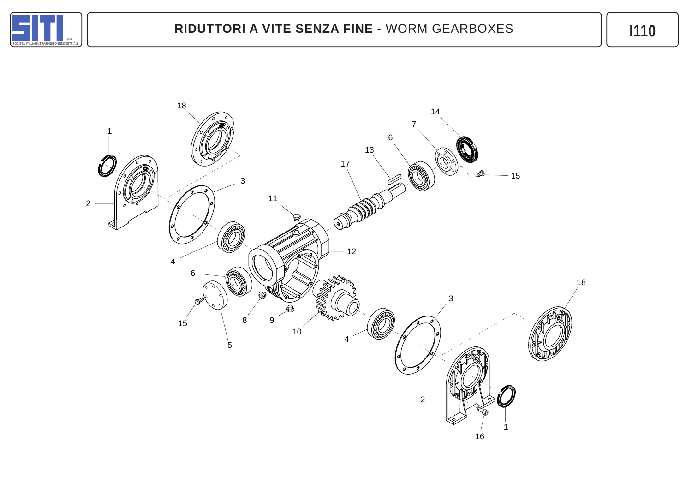

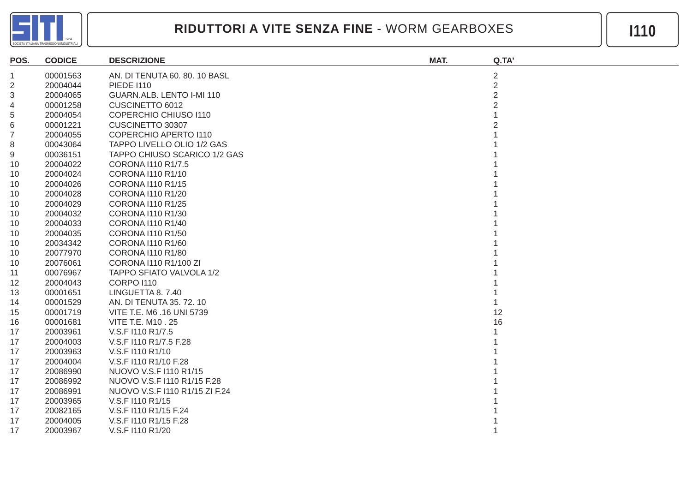

| POS.           | <b>CODICE</b> | <b>DESCRIZIONE</b>             | MAT. | Q.TA'          |
|----------------|---------------|--------------------------------|------|----------------|
| $\mathbf 1$    | 00001563      | AN. DI TENUTA 60.80.10 BASL    |      | $\overline{2}$ |
| $\overline{2}$ | 20004044      | <b>PIEDE 1110</b>              |      | $\overline{2}$ |
| 3              | 20004065      | GUARN.ALB. LENTO I-MI 110      |      | 2              |
| 4              | 00001258      | CUSCINETTO 6012                |      |                |
| 5              | 20004054      | COPERCHIO CHIUSO I110          |      |                |
| 6              | 00001221      | CUSCINETTO 30307               |      |                |
| 7              | 20004055      | COPERCHIO APERTO I110          |      |                |
| 8              | 00043064      | TAPPO LIVELLO OLIO 1/2 GAS     |      |                |
| 9              | 00036151      | TAPPO CHIUSO SCARICO 1/2 GAS   |      |                |
| 10             | 20004022      | CORONA I110 R1/7.5             |      |                |
| 10             | 20004024      | CORONA I110 R1/10              |      |                |
| 10             | 20004026      | CORONA I110 R1/15              |      |                |
| 10             | 20004028      | CORONA I110 R1/20              |      |                |
| 10             | 20004029      | CORONA I110 R1/25              |      |                |
| 10             | 20004032      | CORONA I110 R1/30              |      |                |
| 10             | 20004033      | CORONA I110 R1/40              |      |                |
| 10             | 20004035      | CORONA I110 R1/50              |      |                |
| 10             | 20034342      | CORONA I110 R1/60              |      |                |
| 10             | 20077970      | CORONA I110 R1/80              |      |                |
| 10             | 20076061      | CORONA I110 R1/100 ZI          |      |                |
| 11             | 00076967      | TAPPO SFIATO VALVOLA 1/2       |      |                |
| 12             | 20004043      | <b>CORPO I110</b>              |      |                |
| 13             | 00001651      | LINGUETTA 8.7.40               |      |                |
| 14             | 00001529      | AN. DI TENUTA 35. 72. 10       |      |                |
| 15             | 00001719      | VITE T.E. M6 .16 UNI 5739      |      | 12             |
| 16             | 00001681      | <b>VITE T.E. M10.25</b>        |      | 16             |
| 17             | 20003961      | V.S.F I110 R1/7.5              |      |                |
| 17             | 20004003      | V.S.F I110 R1/7.5 F.28         |      |                |
| 17             | 20003963      | V.S.F I110 R1/10               |      |                |
| 17             | 20004004      | V.S.F I110 R1/10 F.28          |      |                |
| 17             | 20086990      | NUOVO V.S.F I110 R1/15         |      |                |
| 17             | 20086992      | NUOVO V.S.F I110 R1/15 F.28    |      |                |
| 17             | 20086991      | NUOVO V.S.F I110 R1/15 ZI F.24 |      |                |
| 17             | 20003965      | V.S.F I110 R1/15               |      |                |
| 17             | 20082165      | V.S.F I110 R1/15 F.24          |      |                |
| 17             | 20004005      | V.S.F I110 R1/15 F.28          |      |                |
| 17             | 20003967      | V.S.F I110 R1/20               |      |                |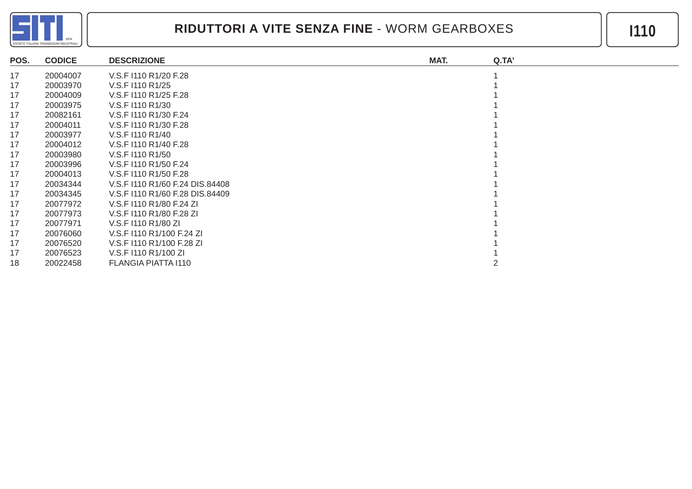

| POS. | <b>CODICE</b> | <b>DESCRIZIONE</b>              | MAT. | Q.TA' |
|------|---------------|---------------------------------|------|-------|
| 17   | 20004007      | V.S.F I110 R1/20 F.28           |      |       |
| 17   | 20003970      | V.S.F I110 R1/25                |      |       |
| 17   | 20004009      | V.S.F I110 R1/25 F.28           |      |       |
| 17   | 20003975      | V.S.F I110 R1/30                |      |       |
| 17   | 20082161      | V.S.F I110 R1/30 F.24           |      |       |
| 17   | 20004011      | V.S.F I110 R1/30 F.28           |      |       |
| 17   | 20003977      | V.S.F I110 R1/40                |      |       |
| 17   | 20004012      | V.S.F I110 R1/40 F.28           |      |       |
| 17   | 20003980      | V.S.F I110 R1/50                |      |       |
| 17   | 20003996      | V.S.F I110 R1/50 F.24           |      |       |
| 17   | 20004013      | V.S.F I110 R1/50 F.28           |      |       |
| 17   | 20034344      | V.S.F I110 R1/60 F.24 DIS.84408 |      |       |
| 17   | 20034345      | V.S.F I110 R1/60 F.28 DIS.84409 |      |       |
| 17   | 20077972      | V.S.F I110 R1/80 F.24 ZI        |      |       |
| 17   | 20077973      | V.S.F I110 R1/80 F.28 ZI        |      |       |
| 17   | 20077971      | V.S.F I110 R1/80 ZI             |      |       |
| 17   | 20076060      | V.S.F I110 R1/100 F.24 ZI       |      |       |
| 17   | 20076520      | V.S.F 1110 R1/100 F.28 ZI       |      |       |
| 17   | 20076523      | V.S.F I110 R1/100 ZI            |      |       |
| 18   | 20022458      | FLANGIA PIATTA I110             |      |       |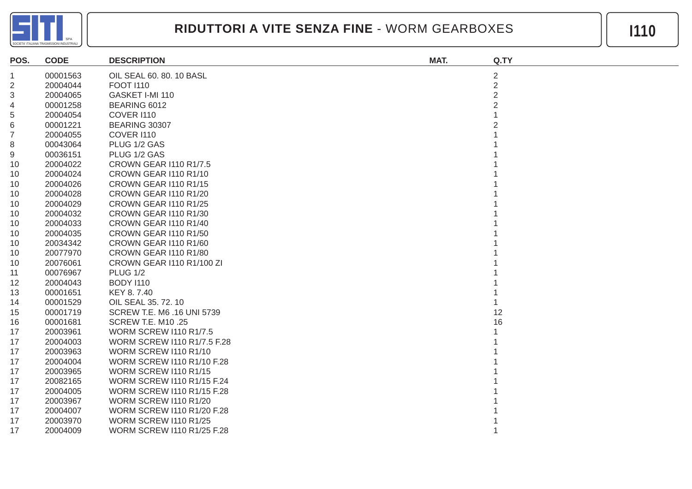

| POS.             | <b>CODE</b> | <b>DESCRIPTION</b>                 | MAT. | Q.TY                    |
|------------------|-------------|------------------------------------|------|-------------------------|
| $\mathbf 1$      | 00001563    | OIL SEAL 60. 80. 10 BASL           |      | $\overline{\mathbf{c}}$ |
| $\overline{c}$   | 20004044    | <b>FOOT 1110</b>                   |      | $\overline{2}$          |
| 3                | 20004065    | GASKET I-MI 110                    |      | $\overline{2}$          |
| 4                | 00001258    | BEARING 6012                       |      | $\overline{2}$          |
| 5                | 20004054    | COVER I110                         |      |                         |
| 6                | 00001221    | <b>BEARING 30307</b>               |      |                         |
| $\boldsymbol{7}$ | 20004055    | <b>COVER I110</b>                  |      |                         |
| 8                | 00043064    | PLUG 1/2 GAS                       |      |                         |
| 9                | 00036151    | PLUG 1/2 GAS                       |      |                         |
| 10               | 20004022    | <b>CROWN GEAR I110 R1/7.5</b>      |      |                         |
| 10               | 20004024    | CROWN GEAR I110 R1/10              |      |                         |
| 10               | 20004026    | CROWN GEAR I110 R1/15              |      |                         |
| 10               | 20004028    | CROWN GEAR I110 R1/20              |      |                         |
| 10               | 20004029    | CROWN GEAR I110 R1/25              |      |                         |
| 10               | 20004032    | CROWN GEAR I110 R1/30              |      |                         |
| 10               | 20004033    | CROWN GEAR I110 R1/40              |      |                         |
| 10               | 20004035    | CROWN GEAR I110 R1/50              |      |                         |
| 10               | 20034342    | CROWN GEAR I110 R1/60              |      |                         |
| 10               | 20077970    | CROWN GEAR I110 R1/80              |      |                         |
| 10               | 20076061    | CROWN GEAR I110 R1/100 ZI          |      |                         |
| 11               | 00076967    | <b>PLUG 1/2</b>                    |      |                         |
| 12               | 20004043    | <b>BODY 1110</b>                   |      |                         |
| 13               | 00001651    | KEY 8.7.40                         |      |                         |
| 14               | 00001529    | OIL SEAL 35. 72. 10                |      |                         |
| 15               | 00001719    | SCREW T.E. M6 .16 UNI 5739         |      | 12                      |
| 16               | 00001681    | <b>SCREW T.E. M10 .25</b>          |      | 16                      |
| 17               | 20003961    | <b>WORM SCREW I110 R1/7.5</b>      |      |                         |
| 17               | 20004003    | <b>WORM SCREW I110 R1/7.5 F.28</b> |      |                         |
| 17               | 20003963    | <b>WORM SCREW I110 R1/10</b>       |      |                         |
| 17               | 20004004    | WORM SCREW I110 R1/10 F.28         |      |                         |
| 17               | 20003965    | <b>WORM SCREW I110 R1/15</b>       |      |                         |
| 17               | 20082165    | <b>WORM SCREW I110 R1/15 F.24</b>  |      |                         |
| 17               | 20004005    | <b>WORM SCREW I110 R1/15 F.28</b>  |      |                         |
| 17               | 20003967    | <b>WORM SCREW I110 R1/20</b>       |      |                         |
| 17               | 20004007    | WORM SCREW I110 R1/20 F.28         |      |                         |
| 17               | 20003970    | <b>WORM SCREW I110 R1/25</b>       |      |                         |
| 17               | 20004009    | WORM SCREW I110 R1/25 F.28         |      |                         |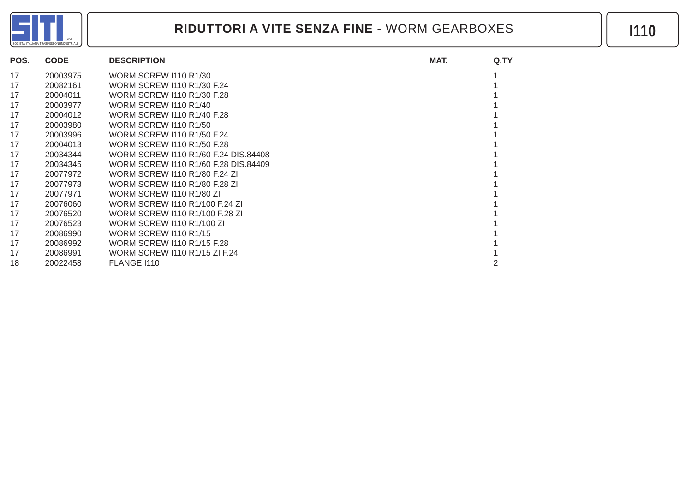

| POS. | <b>CODE</b> | <b>DESCRIPTION</b>                   | MAT. | Q.TY |
|------|-------------|--------------------------------------|------|------|
| 17   | 20003975    | <b>WORM SCREW I110 R1/30</b>         |      |      |
| 17   | 20082161    | WORM SCREW I110 R1/30 F.24           |      |      |
| 17   | 20004011    | WORM SCREW 1110 R1/30 F.28           |      |      |
| 17   | 20003977    | <b>WORM SCREW I110 R1/40</b>         |      |      |
| 17   | 20004012    | WORM SCREW 1110 R1/40 F.28           |      |      |
| 17   | 20003980    | <b>WORM SCREW I110 R1/50</b>         |      |      |
| 17   | 20003996    | WORM SCREW 1110 R1/50 F.24           |      |      |
| 17   | 20004013    | WORM SCREW 1110 R1/50 F.28           |      |      |
| 17   | 20034344    | WORM SCREW 1110 R1/60 F.24 DIS.84408 |      |      |
| 17   | 20034345    | WORM SCREW 1110 R1/60 F.28 DIS.84409 |      |      |
| 17   | 20077972    | WORM SCREW 1110 R1/80 F.24 ZI        |      |      |
| 17   | 20077973    | WORM SCREW 1110 R1/80 F.28 ZI        |      |      |
| 17   | 20077971    | WORM SCREW I110 R1/80 ZI             |      |      |
| 17   | 20076060    | WORM SCREW 1110 R1/100 F.24 ZI       |      |      |
| 17   | 20076520    | WORM SCREW 1110 R1/100 F.28 ZI       |      |      |
| 17   | 20076523    | <b>WORM SCREW I110 R1/100 ZI</b>     |      |      |
| 17   | 20086990    | <b>WORM SCREW I110 R1/15</b>         |      |      |
| 17   | 20086992    | WORM SCREW 1110 R1/15 F.28           |      |      |
| 17   | 20086991    | WORM SCREW 1110 R1/15 ZI F.24        |      |      |
| 18   | 20022458    | FLANGE I110                          |      |      |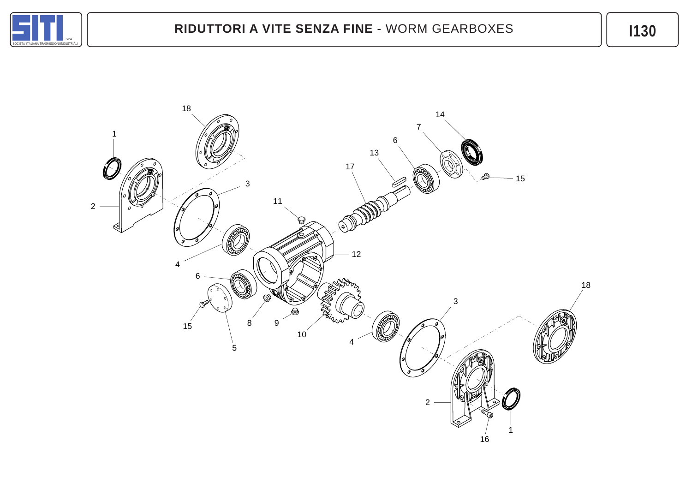

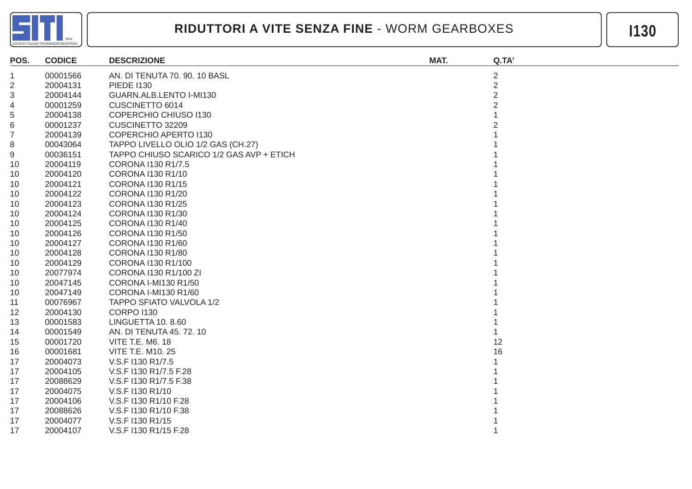

| POS.           | <b>CODICE</b> | <b>DESCRIZIONE</b>                       | MAT. | Q.TA'          |
|----------------|---------------|------------------------------------------|------|----------------|
| 1              | 00001566      | AN. DI TENUTA 70. 90. 10 BASL            |      | $\overline{2}$ |
| $\overline{2}$ | 20004131      | <b>PIEDE 1130</b>                        |      | $\overline{2}$ |
| 3              | 20004144      | GUARN.ALB.LENTO I-MI130                  |      | $\overline{2}$ |
| 4              | 00001259      | CUSCINETTO 6014                          |      |                |
| 5              | 20004138      | COPERCHIO CHIUSO I130                    |      |                |
| 6              | 00001237      | CUSCINETTO 32209                         |      |                |
| 7              | 20004139      | <b>COPERCHIO APERTO 1130</b>             |      |                |
| 8              | 00043064      | TAPPO LIVELLO OLIO 1/2 GAS (CH.27)       |      |                |
| 9              | 00036151      | TAPPO CHIUSO SCARICO 1/2 GAS AVP + ETICH |      |                |
| 10             | 20004119      | CORONA I130 R1/7.5                       |      |                |
| 10             | 20004120      | CORONA I130 R1/10                        |      |                |
| 10             | 20004121      | CORONA I130 R1/15                        |      |                |
| 10             | 20004122      | CORONA I130 R1/20                        |      |                |
| 10             | 20004123      | CORONA I130 R1/25                        |      |                |
| 10             | 20004124      | CORONA I130 R1/30                        |      |                |
| 10             | 20004125      | CORONA I130 R1/40                        |      |                |
| 10             | 20004126      | CORONA I130 R1/50                        |      |                |
| 10             | 20004127      | CORONA I130 R1/60                        |      |                |
| 10             | 20004128      | CORONA I130 R1/80                        |      |                |
| 10             | 20004129      | CORONA I130 R1/100                       |      |                |
| 10             | 20077974      | CORONA I130 R1/100 ZI                    |      |                |
| 10             | 20047145      | CORONA I-MI130 R1/50                     |      |                |
| 10             | 20047149      | CORONA I-MI130 R1/60                     |      |                |
| 11             | 00076967      | TAPPO SFIATO VALVOLA 1/2                 |      |                |
| 12             | 20004130      | <b>CORPO I130</b>                        |      |                |
| 13             | 00001583      | LINGUETTA 10.8.60                        |      |                |
| 14             | 00001549      | AN. DI TENUTA 45.72.10                   |      |                |
| 15             | 00001720      | <b>VITE T.E. M6. 18</b>                  |      | 12             |
| 16             | 00001681      | VITE T.E. M10. 25                        |      | 16             |
| 17             | 20004073      | V.S.F I130 R1/7.5                        |      |                |
| 17             | 20004105      | V.S.F I130 R1/7.5 F.28                   |      |                |
| 17             | 20088629      | V.S.F I130 R1/7.5 F.38                   |      |                |
| 17             | 20004075      | V.S.F I130 R1/10                         |      |                |
| 17             | 20004106      | V.S.F I130 R1/10 F.28                    |      |                |
| 17             | 20088626      | V.S.F I130 R1/10 F.38                    |      |                |
| 17             | 20004077      | V.S.F I130 R1/15                         |      |                |
| 17             | 20004107      | V.S.F I130 R1/15 F.28                    |      |                |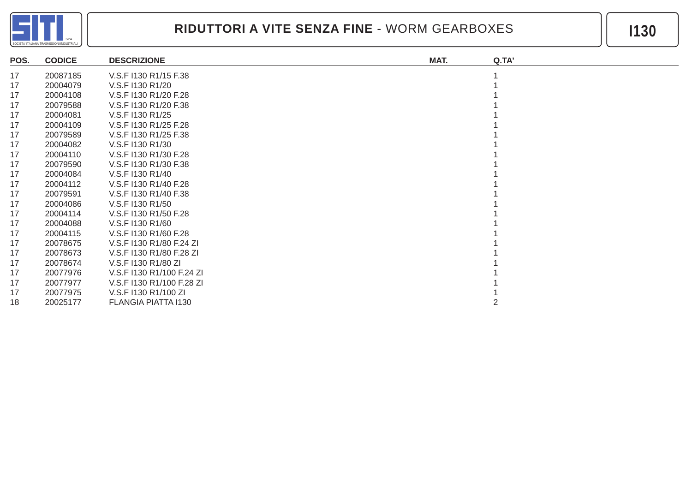

| POS. | <b>CODICE</b> | <b>DESCRIZIONE</b>        | MAT. | Q.TA' |
|------|---------------|---------------------------|------|-------|
| 17   | 20087185      | V.S.F I130 R1/15 F.38     |      |       |
| 17   | 20004079      | V.S.F I130 R1/20          |      |       |
| 17   | 20004108      | V.S.F I130 R1/20 F.28     |      |       |
| 17   | 20079588      | V.S.F I130 R1/20 F.38     |      |       |
| 17   | 20004081      | V.S.F I130 R1/25          |      |       |
| 17   | 20004109      | V.S.F I130 R1/25 F.28     |      |       |
| 17   | 20079589      | V.S.F I130 R1/25 F.38     |      |       |
| 17   | 20004082      | V.S.F I130 R1/30          |      |       |
| 17   | 20004110      | V.S.F I130 R1/30 F.28     |      |       |
| 17   | 20079590      | V.S.F I130 R1/30 F.38     |      |       |
| 17   | 20004084      | V.S.F I130 R1/40          |      |       |
| 17   | 20004112      | V.S.F I130 R1/40 F.28     |      |       |
| 17   | 20079591      | V.S.F I130 R1/40 F.38     |      |       |
| 17   | 20004086      | V.S.F I130 R1/50          |      |       |
| 17   | 20004114      | V.S.F I130 R1/50 F.28     |      |       |
| 17   | 20004088      | V.S.F I130 R1/60          |      |       |
| 17   | 20004115      | V.S.F I130 R1/60 F.28     |      |       |
| 17   | 20078675      | V.S.F I130 R1/80 F.24 ZI  |      |       |
| 17   | 20078673      | V.S.F I130 R1/80 F.28 ZI  |      |       |
| 17   | 20078674      | V.S.F I130 R1/80 ZI       |      |       |
| 17   | 20077976      | V.S.F I130 R1/100 F.24 ZI |      |       |
| 17   | 20077977      | V.S.F I130 R1/100 F.28 ZI |      |       |
| 17   | 20077975      | V.S.F I130 R1/100 ZI      |      |       |
| 18   | 20025177      | FLANGIA PIATTA I130       |      |       |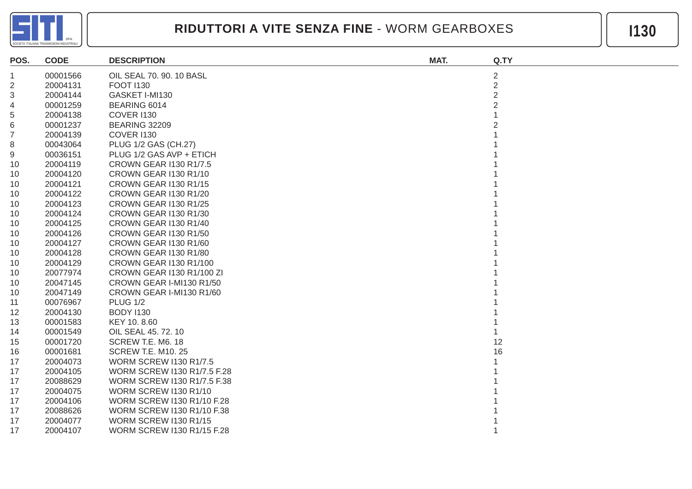

| POS.           | <b>CODE</b> | <b>DESCRIPTION</b>            | MAT. | Q.TY           |
|----------------|-------------|-------------------------------|------|----------------|
| -1             | 00001566    | OIL SEAL 70. 90. 10 BASL      |      | $\overline{2}$ |
| $\overline{c}$ | 20004131    | <b>FOOT 1130</b>              |      | $\overline{2}$ |
| 3              | 20004144    | GASKET I-MI130                |      | $\overline{2}$ |
| 4              | 00001259    | BEARING 6014                  |      | $\overline{2}$ |
| 5              | 20004138    | <b>COVER I130</b>             |      |                |
| 6              | 00001237    | <b>BEARING 32209</b>          |      |                |
| $\overline{7}$ | 20004139    | <b>COVER I130</b>             |      |                |
| 8              | 00043064    | PLUG 1/2 GAS (CH.27)          |      |                |
| 9              | 00036151    | PLUG 1/2 GAS AVP + ETICH      |      |                |
| 10             | 20004119    | <b>CROWN GEAR I130 R1/7.5</b> |      |                |
| 10             | 20004120    | <b>CROWN GEAR I130 R1/10</b>  |      |                |
| 10             | 20004121    | CROWN GEAR I130 R1/15         |      |                |
| 10             | 20004122    | CROWN GEAR I130 R1/20         |      |                |
| 10             | 20004123    | <b>CROWN GEAR I130 R1/25</b>  |      |                |
| 10             | 20004124    | CROWN GEAR I130 R1/30         |      |                |
| 10             | 20004125    | CROWN GEAR I130 R1/40         |      |                |
| 10             | 20004126    | <b>CROWN GEAR I130 R1/50</b>  |      |                |
| 10             | 20004127    | CROWN GEAR I130 R1/60         |      |                |
| 10             | 20004128    | CROWN GEAR I130 R1/80         |      |                |
| 10             | 20004129    | CROWN GEAR I130 R1/100        |      |                |
| 10             | 20077974    | CROWN GEAR I130 R1/100 ZI     |      |                |
| 10             | 20047145    | CROWN GEAR I-MI130 R1/50      |      |                |
| 10             | 20047149    | CROWN GEAR I-MI130 R1/60      |      |                |
| 11             | 00076967    | <b>PLUG 1/2</b>               |      |                |
| 12             | 20004130    | <b>BODY I130</b>              |      |                |
| 13             | 00001583    | KEY 10.8.60                   |      |                |
| 14             | 00001549    | OIL SEAL 45, 72, 10           |      |                |
| 15             | 00001720    | SCREW T.E. M6. 18             |      | 12             |
| 16             | 00001681    | <b>SCREW T.E. M10. 25</b>     |      | 16             |
| 17             | 20004073    | <b>WORM SCREW I130 R1/7.5</b> |      |                |
| 17             | 20004105    | WORM SCREW I130 R1/7.5 F.28   |      |                |
| 17             | 20088629    | WORM SCREW I130 R1/7.5 F.38   |      |                |
| 17             | 20004075    | <b>WORM SCREW I130 R1/10</b>  |      |                |
| 17             | 20004106    | WORM SCREW I130 R1/10 F.28    |      |                |
| 17             | 20088626    | WORM SCREW I130 R1/10 F.38    |      |                |
| 17             | 20004077    | <b>WORM SCREW I130 R1/15</b>  |      |                |
| 17             | 20004107    | WORM SCREW I130 R1/15 F.28    |      |                |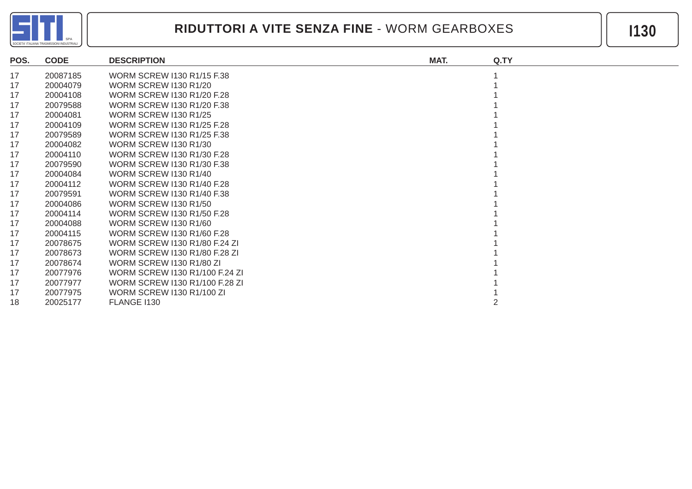

| POS. | <b>CODE</b> | <b>DESCRIPTION</b>               | MAT. | Q.TY |
|------|-------------|----------------------------------|------|------|
| 17   | 20087185    | WORM SCREW I130 R1/15 F.38       |      |      |
| 17   | 20004079    | <b>WORM SCREW I130 R1/20</b>     |      |      |
| 17   | 20004108    | WORM SCREW 1130 R1/20 F.28       |      |      |
| 17   | 20079588    | WORM SCREW 1130 R1/20 F.38       |      |      |
| 17   | 20004081    | <b>WORM SCREW 1130 R1/25</b>     |      |      |
| 17   | 20004109    | WORM SCREW 1130 R1/25 F.28       |      |      |
| 17   | 20079589    | WORM SCREW 1130 R1/25 F.38       |      |      |
| 17   | 20004082    | <b>WORM SCREW I130 R1/30</b>     |      |      |
| 17   | 20004110    | WORM SCREW 1130 R1/30 F.28       |      |      |
| 17   | 20079590    | WORM SCREW 1130 R1/30 F.38       |      |      |
| 17   | 20004084    | <b>WORM SCREW I130 R1/40</b>     |      |      |
| 17   | 20004112    | WORM SCREW I130 R1/40 F.28       |      |      |
| 17   | 20079591    | WORM SCREW 1130 R1/40 F.38       |      |      |
| 17   | 20004086    | <b>WORM SCREW I130 R1/50</b>     |      |      |
| 17   | 20004114    | WORM SCREW I130 R1/50 F.28       |      |      |
| 17   | 20004088    | <b>WORM SCREW I130 R1/60</b>     |      |      |
| 17   | 20004115    | WORM SCREW 1130 R1/60 F.28       |      |      |
| 17   | 20078675    | WORM SCREW 1130 R1/80 F.24 ZI    |      |      |
| 17   | 20078673    | WORM SCREW I130 R1/80 F.28 ZI    |      |      |
| 17   | 20078674    | WORM SCREW I130 R1/80 ZI         |      |      |
| 17   | 20077976    | WORM SCREW 1130 R1/100 F.24 ZI   |      |      |
| 17   | 20077977    | WORM SCREW 1130 R1/100 F.28 ZI   |      |      |
| 17   | 20077975    | <b>WORM SCREW I130 R1/100 ZI</b> |      |      |
| 18   | 20025177    | FLANGE I130                      |      |      |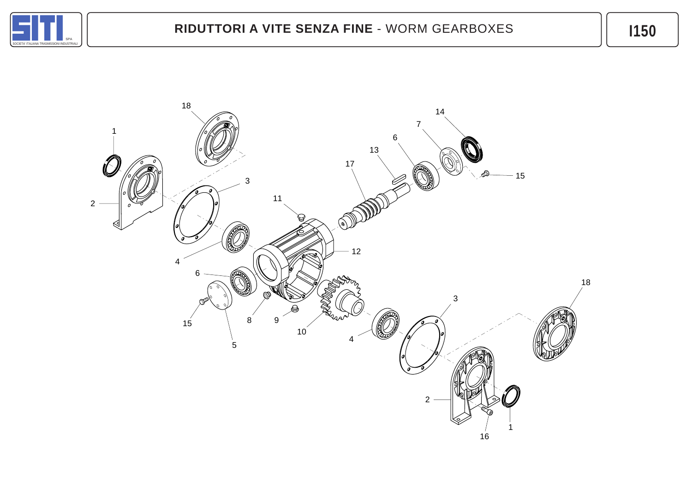

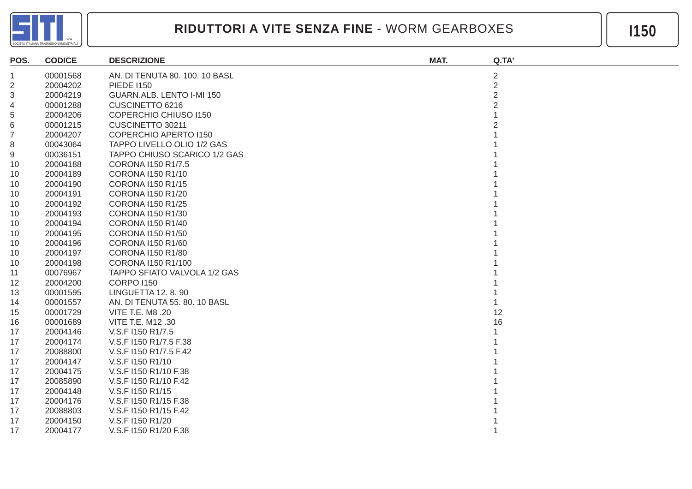

| POS.           | <b>CODICE</b> | <b>DESCRIZIONE</b>             | MAT. | Q.TA'          |
|----------------|---------------|--------------------------------|------|----------------|
| 1              | 00001568      | AN. DI TENUTA 80. 100. 10 BASL |      | $\overline{c}$ |
| 2              | 20004202      | <b>PIEDE I150</b>              |      | $\overline{2}$ |
| 3              | 20004219      | GUARN.ALB. LENTO I-MI 150      |      | $\overline{2}$ |
| 4              | 00001288      | CUSCINETTO 6216                |      |                |
| 5              | 20004206      | <b>COPERCHIO CHIUSO I150</b>   |      |                |
| 6              | 00001215      | CUSCINETTO 30211               |      |                |
| $\overline{7}$ | 20004207      | <b>COPERCHIO APERTO 1150</b>   |      |                |
| 8              | 00043064      | TAPPO LIVELLO OLIO 1/2 GAS     |      |                |
| 9              | 00036151      | TAPPO CHIUSO SCARICO 1/2 GAS   |      |                |
| 10             | 20004188      | CORONA I150 R1/7.5             |      |                |
| 10             | 20004189      | CORONA I150 R1/10              |      |                |
| 10             | 20004190      | CORONA I150 R1/15              |      |                |
| 10             | 20004191      | CORONA I150 R1/20              |      |                |
| 10             | 20004192      | CORONA I150 R1/25              |      |                |
| 10             | 20004193      | CORONA I150 R1/30              |      |                |
| 10             | 20004194      | CORONA I150 R1/40              |      |                |
| 10             | 20004195      | CORONA I150 R1/50              |      |                |
| 10             | 20004196      | CORONA I150 R1/60              |      |                |
| 10             | 20004197      | CORONA I150 R1/80              |      |                |
| 10             | 20004198      | CORONA I150 R1/100             |      |                |
| 11             | 00076967      | TAPPO SFIATO VALVOLA 1/2 GAS   |      |                |
| 12             | 20004200      | <b>CORPO I150</b>              |      |                |
| 13             | 00001595      | <b>LINGUETTA 12, 8, 90</b>     |      |                |
| 14             | 00001557      | AN. DI TENUTA 55. 80. 10 BASL  |      |                |
| 15             | 00001729      | VITE T.E. M8 .20               |      | 12             |
| 16             | 00001689      | VITE T.E. M12 .30              |      | 16             |
| 17             | 20004146      | V.S.F I150 R1/7.5              |      |                |
| 17             | 20004174      | V.S.F I150 R1/7.5 F.38         |      |                |
| 17             | 20088800      | V.S.F I150 R1/7.5 F.42         |      |                |
| 17             | 20004147      | V.S.F I150 R1/10               |      |                |
| 17             | 20004175      | V.S.F I150 R1/10 F.38          |      |                |
| 17             | 20085890      | V.S.F I150 R1/10 F.42          |      |                |
| 17             | 20004148      | V.S.F I150 R1/15               |      |                |
| 17             | 20004176      | V.S.F I150 R1/15 F.38          |      |                |
| 17             | 20088803      | V.S.F I150 R1/15 F.42          |      |                |
| 17             | 20004150      | V.S.F I150 R1/20               |      |                |
| 17             | 20004177      | V.S.F I150 R1/20 F.38          |      |                |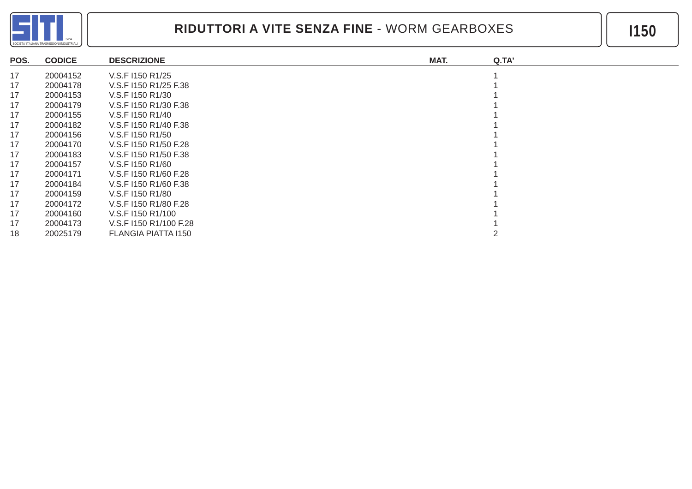

| POS. | <b>CODICE</b> | <b>DESCRIZIONE</b>     | MAT.<br>Q.TA' |  |
|------|---------------|------------------------|---------------|--|
| 17   | 20004152      | V.S.F I150 R1/25       |               |  |
| 17   | 20004178      | V.S.F I150 R1/25 F.38  |               |  |
| 17   | 20004153      | V.S.F 1150 R1/30       |               |  |
| 17   | 20004179      | V.S.F I150 R1/30 F.38  |               |  |
| 17   | 20004155      | V.S.F I150 R1/40       |               |  |
| 17   | 20004182      | V.S.F I150 R1/40 F.38  |               |  |
| 17   | 20004156      | V.S.F 1150 R1/50       |               |  |
| 17   | 20004170      | V.S.F I150 R1/50 F.28  |               |  |
| 17   | 20004183      | V.S.F I150 R1/50 F.38  |               |  |
| 17   | 20004157      | V.S.F I150 R1/60       |               |  |
| 17   | 20004171      | V.S.F I150 R1/60 F.28  |               |  |
| 17   | 20004184      | V.S.F I150 R1/60 F.38  |               |  |
| 17   | 20004159      | V.S.F I150 R1/80       |               |  |
| 17   | 20004172      | V.S.F I150 R1/80 F.28  |               |  |
| 17   | 20004160      | V.S.F I150 R1/100      |               |  |
| 17   | 20004173      | V.S.F I150 R1/100 F.28 |               |  |
| 18   | 20025179      | FLANGIA PIATTA I150    |               |  |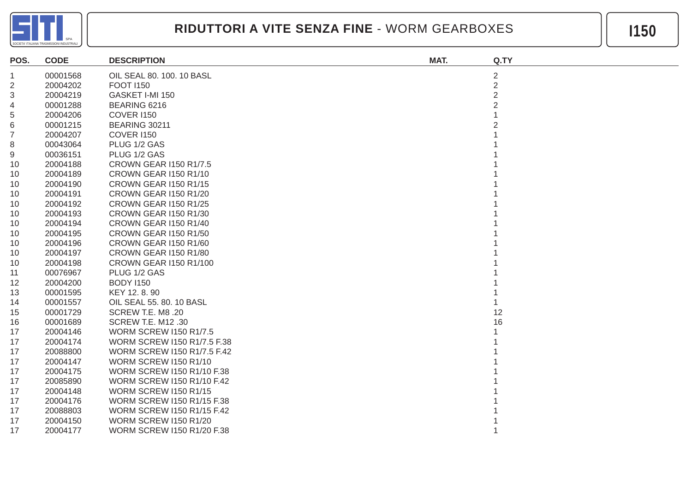

| POS.           | <b>CODE</b> | <b>DESCRIPTION</b>                 | MAT. | Q.TY           |
|----------------|-------------|------------------------------------|------|----------------|
| 1              | 00001568    | OIL SEAL 80. 100. 10 BASL          |      | $\overline{2}$ |
| $\overline{2}$ | 20004202    | <b>FOOT 1150</b>                   |      | $\overline{2}$ |
| 3              | 20004219    | GASKET I-MI 150                    |      | $\overline{2}$ |
| 4              | 00001288    | BEARING 6216                       |      |                |
| 5              | 20004206    | <b>COVER I150</b>                  |      |                |
| 6              | 00001215    | <b>BEARING 30211</b>               |      |                |
| $\overline{7}$ | 20004207    | <b>COVER I150</b>                  |      |                |
| 8              | 00043064    | PLUG 1/2 GAS                       |      |                |
| 9              | 00036151    | PLUG 1/2 GAS                       |      |                |
| -10            | 20004188    | <b>CROWN GEAR I150 R1/7.5</b>      |      |                |
| 10             | 20004189    | CROWN GEAR I150 R1/10              |      |                |
| 10             | 20004190    | CROWN GEAR I150 R1/15              |      |                |
| 10             | 20004191    | CROWN GEAR I150 R1/20              |      |                |
| 10             | 20004192    | <b>CROWN GEAR I150 R1/25</b>       |      |                |
| 10             | 20004193    | <b>CROWN GEAR I150 R1/30</b>       |      |                |
| 10             | 20004194    | CROWN GEAR I150 R1/40              |      |                |
| 10             | 20004195    | CROWN GEAR I150 R1/50              |      |                |
| 10             | 20004196    | CROWN GEAR I150 R1/60              |      |                |
| 10             | 20004197    | <b>CROWN GEAR 1150 R1/80</b>       |      |                |
| 10             | 20004198    | <b>CROWN GEAR I150 R1/100</b>      |      |                |
| 11             | 00076967    | PLUG 1/2 GAS                       |      |                |
| 12             | 20004200    | <b>BODY 1150</b>                   |      |                |
| 13             | 00001595    | KEY 12.8.90                        |      |                |
| 14             | 00001557    | OIL SEAL 55. 80. 10 BASL           |      |                |
| 15             | 00001729    | SCREW T.E. M8 .20                  |      | 12             |
| 16             | 00001689    | <b>SCREW T.E. M12 .30</b>          |      | 16             |
| 17             | 20004146    | <b>WORM SCREW I150 R1/7.5</b>      |      |                |
| 17             | 20004174    | WORM SCREW I150 R1/7.5 F.38        |      |                |
| 17             | 20088800    | <b>WORM SCREW I150 R1/7.5 F.42</b> |      |                |
| 17             | 20004147    | <b>WORM SCREW I150 R1/10</b>       |      |                |
| 17             | 20004175    | WORM SCREW I150 R1/10 F.38         |      |                |
| 17             | 20085890    | WORM SCREW I150 R1/10 F.42         |      |                |
| 17             | 20004148    | <b>WORM SCREW I150 R1/15</b>       |      |                |
| 17             | 20004176    | WORM SCREW I150 R1/15 F.38         |      |                |
| 17             | 20088803    | <b>WORM SCREW I150 R1/15 F.42</b>  |      |                |
| 17             | 20004150    | <b>WORM SCREW I150 R1/20</b>       |      |                |
| 17             | 20004177    | WORM SCREW I150 R1/20 F.38         |      |                |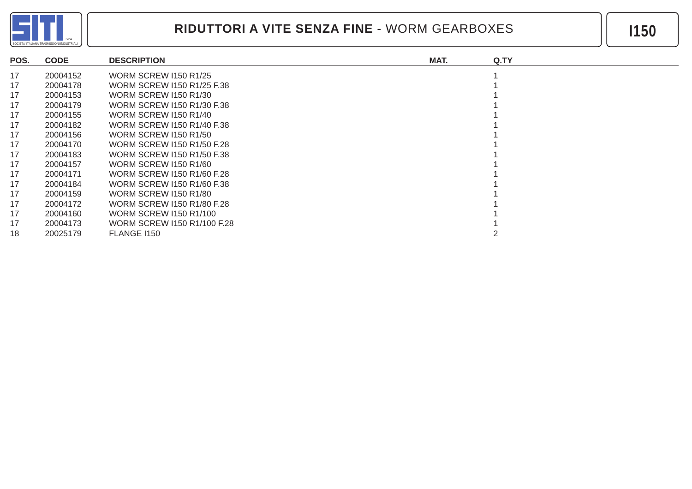

| POS. | <b>CODE</b> | <b>DESCRIPTION</b>           | MAT. | Q.TY |
|------|-------------|------------------------------|------|------|
| 17   | 20004152    | <b>WORM SCREW I150 R1/25</b> |      |      |
| 17   | 20004178    | WORM SCREW 1150 R1/25 F.38   |      |      |
| 17   | 20004153    | <b>WORM SCREW I150 R1/30</b> |      |      |
| 17   | 20004179    | WORM SCREW 1150 R1/30 F.38   |      |      |
| 17   | 20004155    | <b>WORM SCREW I150 R1/40</b> |      |      |
| 17   | 20004182    | WORM SCREW 1150 R1/40 F.38   |      |      |
| 17   | 20004156    | <b>WORM SCREW I150 R1/50</b> |      |      |
| 17   | 20004170    | WORM SCREW 1150 R1/50 F.28   |      |      |
| 17   | 20004183    | WORM SCREW 1150 R1/50 F.38   |      |      |
| 17   | 20004157    | <b>WORM SCREW 1150 R1/60</b> |      |      |
| 17   | 20004171    | WORM SCREW 1150 R1/60 F.28   |      |      |
| 17   | 20004184    | WORM SCREW 1150 R1/60 F.38   |      |      |
| 17   | 20004159    | <b>WORM SCREW I150 R1/80</b> |      |      |
| 17   | 20004172    | WORM SCREW 1150 R1/80 F.28   |      |      |
| 17   | 20004160    | WORM SCREW 1150 R1/100       |      |      |
| 17   | 20004173    | WORM SCREW 1150 R1/100 F.28  |      |      |
| 18   | 20025179    | <b>FLANGE 1150</b>           |      |      |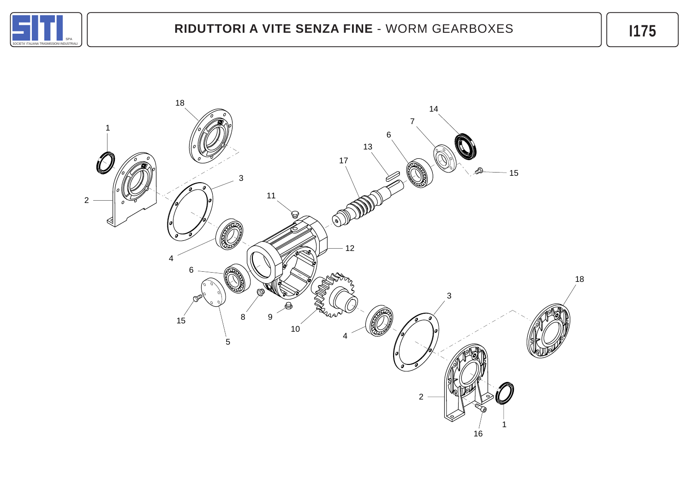

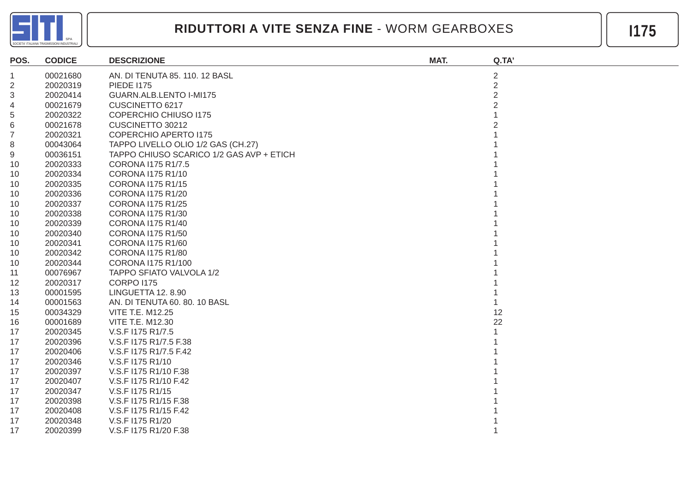

| POS.           | <b>CODICE</b> | <b>DESCRIZIONE</b>                       | MAT. | Q.TA'          |
|----------------|---------------|------------------------------------------|------|----------------|
| $\mathbf{1}$   | 00021680      | AN. DI TENUTA 85. 110. 12 BASL           |      | $\overline{2}$ |
| $\overline{2}$ | 20020319      | <b>PIEDE I175</b>                        |      | $\overline{2}$ |
| 3              | 20020414      | GUARN.ALB.LENTO I-MI175                  |      | $\overline{2}$ |
| 4              | 00021679      | CUSCINETTO 6217                          |      | $\overline{2}$ |
| 5              | 20020322      | <b>COPERCHIO CHIUSO 1175</b>             |      |                |
| 6              | 00021678      | CUSCINETTO 30212                         |      |                |
| $\overline{7}$ | 20020321      | <b>COPERCHIO APERTO 1175</b>             |      |                |
| 8              | 00043064      | TAPPO LIVELLO OLIO 1/2 GAS (CH.27)       |      |                |
| 9              | 00036151      | TAPPO CHIUSO SCARICO 1/2 GAS AVP + ETICH |      |                |
| 10             | 20020333      | CORONA I175 R1/7.5                       |      |                |
| 10             | 20020334      | CORONA 1175 R1/10                        |      |                |
| 10             | 20020335      | <b>CORONA I175 R1/15</b>                 |      |                |
| 10             | 20020336      | CORONA I175 R1/20                        |      |                |
| 10             | 20020337      | <b>CORONA I175 R1/25</b>                 |      |                |
| 10             | 20020338      | <b>CORONA I175 R1/30</b>                 |      |                |
| 10             | 20020339      | <b>CORONA I175 R1/40</b>                 |      |                |
| 10             | 20020340      | <b>CORONA I175 R1/50</b>                 |      |                |
| 10             | 20020341      | <b>CORONA I175 R1/60</b>                 |      |                |
| 10             | 20020342      | <b>CORONA I175 R1/80</b>                 |      |                |
| 10             | 20020344      | CORONA 1175 R1/100                       |      |                |
| 11             | 00076967      | TAPPO SFIATO VALVOLA 1/2                 |      |                |
| 12             | 20020317      | <b>CORPO I175</b>                        |      |                |
| 13             | 00001595      | LINGUETTA 12, 8.90                       |      |                |
| 14             | 00001563      | AN. DI TENUTA 60. 80. 10 BASL            |      |                |
| 15             | 00034329      | <b>VITE T.E. M12.25</b>                  |      | 12             |
| 16             | 00001689      | <b>VITE T.E. M12.30</b>                  |      | 22             |
| 17             | 20020345      | V.S.F I175 R1/7.5                        |      |                |
| 17             | 20020396      | V.S.F I175 R1/7.5 F.38                   |      |                |
| 17             | 20020406      | V.S.F I175 R1/7.5 F.42                   |      |                |
| 17             | 20020346      | V.S.F I175 R1/10                         |      |                |
| 17             | 20020397      | V.S.F I175 R1/10 F.38                    |      |                |
| 17             | 20020407      | V.S.F I175 R1/10 F.42                    |      |                |
| 17             | 20020347      | V.S.F I175 R1/15                         |      |                |
| 17             | 20020398      | V.S.F I175 R1/15 F.38                    |      |                |
| 17             | 20020408      | V.S.F I175 R1/15 F.42                    |      |                |
| 17             | 20020348      | V.S.F I175 R1/20                         |      |                |
| 17             | 20020399      | V.S.F I175 R1/20 F.38                    |      |                |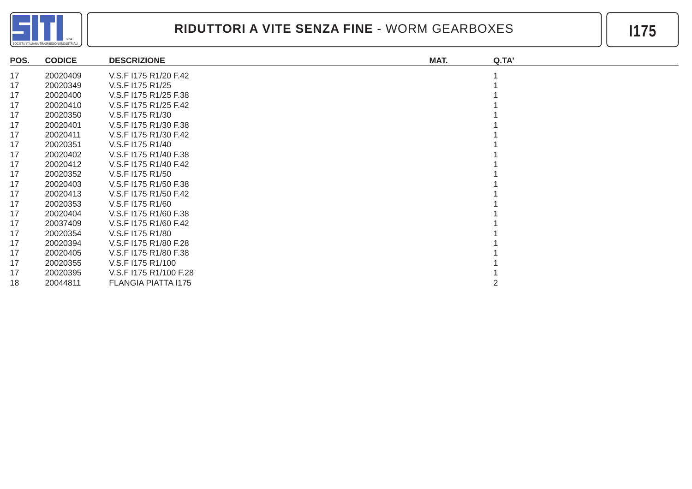

| POS. | <b>CODICE</b> | <b>DESCRIZIONE</b>     | MAT. | Q.TA' |
|------|---------------|------------------------|------|-------|
| 17   | 20020409      | V.S.F I175 R1/20 F.42  |      |       |
| 17   | 20020349      | V.S.F I175 R1/25       |      |       |
| 17   | 20020400      | V.S.F I175 R1/25 F.38  |      |       |
| 17   | 20020410      | V.S.F I175 R1/25 F.42  |      |       |
| 17   | 20020350      | V.S.F I175 R1/30       |      |       |
| 17   | 20020401      | V.S.F I175 R1/30 F.38  |      |       |
| 17   | 20020411      | V.S.F I175 R1/30 F.42  |      |       |
| 17   | 20020351      | V.S.F I175 R1/40       |      |       |
| 17   | 20020402      | V.S.F I175 R1/40 F.38  |      |       |
| 17   | 20020412      | V.S.F I175 R1/40 F.42  |      |       |
| 17   | 20020352      | V.S.F I175 R1/50       |      |       |
| 17   | 20020403      | V.S.F I175 R1/50 F.38  |      |       |
| 17   | 20020413      | V.S.F I175 R1/50 F.42  |      |       |
| 17   | 20020353      | V.S.F I175 R1/60       |      |       |
| 17   | 20020404      | V.S.F I175 R1/60 F.38  |      |       |
| 17   | 20037409      | V.S.F I175 R1/60 F.42  |      |       |
| 17   | 20020354      | V.S.F I175 R1/80       |      |       |
| 17   | 20020394      | V.S.F I175 R1/80 F.28  |      |       |
| 17   | 20020405      | V.S.F I175 R1/80 F.38  |      |       |
| 17   | 20020355      | V.S.F I175 R1/100      |      |       |
| 17   | 20020395      | V.S.F I175 R1/100 F.28 |      |       |
| 18   | 20044811      | FLANGIA PIATTA 1175    |      |       |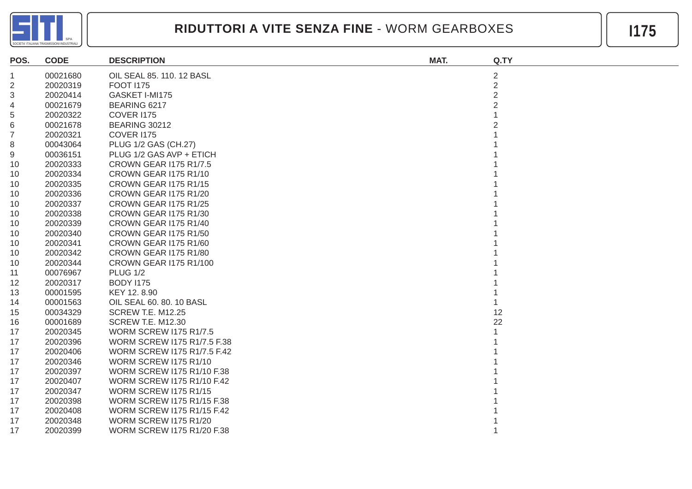

| POS.           | <b>CODE</b> | <b>DESCRIPTION</b>                 | MAT. | Q.TY           |
|----------------|-------------|------------------------------------|------|----------------|
| $\mathbf{1}$   | 00021680    | OIL SEAL 85. 110. 12 BASL          |      | $\overline{2}$ |
| $\overline{2}$ | 20020319    | <b>FOOT 1175</b>                   |      | $\overline{2}$ |
| 3              | 20020414    | GASKET I-MI175                     |      | $\overline{2}$ |
| 4              | 00021679    | BEARING 6217                       |      | $\overline{2}$ |
| 5              | 20020322    | <b>COVER I175</b>                  |      |                |
| 6              | 00021678    | <b>BEARING 30212</b>               |      |                |
| $\overline{7}$ | 20020321    | <b>COVER I175</b>                  |      |                |
| 8              | 00043064    | PLUG 1/2 GAS (CH.27)               |      |                |
| 9              | 00036151    | PLUG 1/2 GAS AVP + ETICH           |      |                |
| 10             | 20020333    | <b>CROWN GEAR I175 R1/7.5</b>      |      |                |
| 10             | 20020334    | CROWN GEAR I175 R1/10              |      |                |
| 10             | 20020335    | <b>CROWN GEAR I175 R1/15</b>       |      |                |
| 10             | 20020336    | CROWN GEAR I175 R1/20              |      |                |
| 10             | 20020337    | CROWN GEAR I175 R1/25              |      |                |
| 10             | 20020338    | CROWN GEAR I175 R1/30              |      |                |
| 10             | 20020339    | CROWN GEAR I175 R1/40              |      |                |
| 10             | 20020340    | CROWN GEAR I175 R1/50              |      |                |
| 10             | 20020341    | CROWN GEAR I175 R1/60              |      |                |
| 10             | 20020342    | CROWN GEAR I175 R1/80              |      |                |
| 10             | 20020344    | <b>CROWN GEAR I175 R1/100</b>      |      |                |
| 11             | 00076967    | <b>PLUG 1/2</b>                    |      |                |
| 12             | 20020317    | <b>BODY I175</b>                   |      |                |
| 13             | 00001595    | KEY 12.8.90                        |      |                |
| 14             | 00001563    | OIL SEAL 60. 80. 10 BASL           |      |                |
| 15             | 00034329    | <b>SCREW T.E. M12.25</b>           |      | 12             |
| 16             | 00001689    | <b>SCREW T.E. M12.30</b>           |      | 22             |
| 17             | 20020345    | <b>WORM SCREW I175 R1/7.5</b>      |      |                |
| 17             | 20020396    | WORM SCREW I175 R1/7.5 F.38        |      |                |
| 17             | 20020406    | <b>WORM SCREW 1175 R1/7.5 F.42</b> |      |                |
| 17             | 20020346    | <b>WORM SCREW I175 R1/10</b>       |      |                |
| 17             | 20020397    | <b>WORM SCREW I175 R1/10 F.38</b>  |      |                |
| 17             | 20020407    | <b>WORM SCREW I175 R1/10 F.42</b>  |      |                |
| 17             | 20020347    | <b>WORM SCREW I175 R1/15</b>       |      |                |
| 17             | 20020398    | <b>WORM SCREW I175 R1/15 F.38</b>  |      |                |
| 17             | 20020408    | <b>WORM SCREW I175 R1/15 F.42</b>  |      |                |
| 17             | 20020348    | <b>WORM SCREW I175 R1/20</b>       |      |                |
| 17             | 20020399    | WORM SCREW I175 R1/20 F.38         |      |                |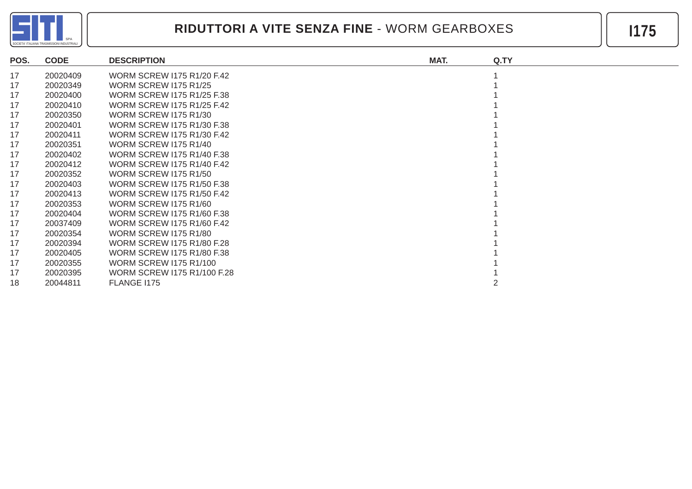

| POS. | <b>CODE</b> | <b>DESCRIPTION</b>                | MAT. | Q.TY |
|------|-------------|-----------------------------------|------|------|
| 17   | 20020409    | <b>WORM SCREW I175 R1/20 F.42</b> |      |      |
| 17   | 20020349    | <b>WORM SCREW 1175 R1/25</b>      |      |      |
| 17   | 20020400    | <b>WORM SCREW 1175 R1/25 F.38</b> |      |      |
| 17   | 20020410    | <b>WORM SCREW I175 R1/25 F.42</b> |      |      |
| 17   | 20020350    | <b>WORM SCREW 1175 R1/30</b>      |      |      |
| 17   | 20020401    | WORM SCREW 1175 R1/30 F.38        |      |      |
| 17   | 20020411    | WORM SCREW 1175 R1/30 F.42        |      |      |
| 17   | 20020351    | <b>WORM SCREW 1175 R1/40</b>      |      |      |
| 17   | 20020402    | WORM SCREW 1175 R1/40 F.38        |      |      |
| 17   | 20020412    | <b>WORM SCREW 1175 R1/40 F.42</b> |      |      |
| 17   | 20020352    | <b>WORM SCREW 1175 R1/50</b>      |      |      |
| 17   | 20020403    | <b>WORM SCREW I175 R1/50 F.38</b> |      |      |
| 17   | 20020413    | WORM SCREW 1175 R1/50 F.42        |      |      |
| 17   | 20020353    | <b>WORM SCREW 1175 R1/60</b>      |      |      |
| 17   | 20020404    | WORM SCREW 1175 R1/60 F.38        |      |      |
| 17   | 20037409    | <b>WORM SCREW 1175 R1/60 F.42</b> |      |      |
| 17   | 20020354    | <b>WORM SCREW 1175 R1/80</b>      |      |      |
| 17   | 20020394    | WORM SCREW 1175 R1/80 F.28        |      |      |
| 17   | 20020405    | WORM SCREW 1175 R1/80 F.38        |      |      |
| 17   | 20020355    | <b>WORM SCREW I175 R1/100</b>     |      |      |
| 17   | 20020395    | WORM SCREW 1175 R1/100 F.28       |      |      |
| 18   | 20044811    | FLANGE 1175                       |      |      |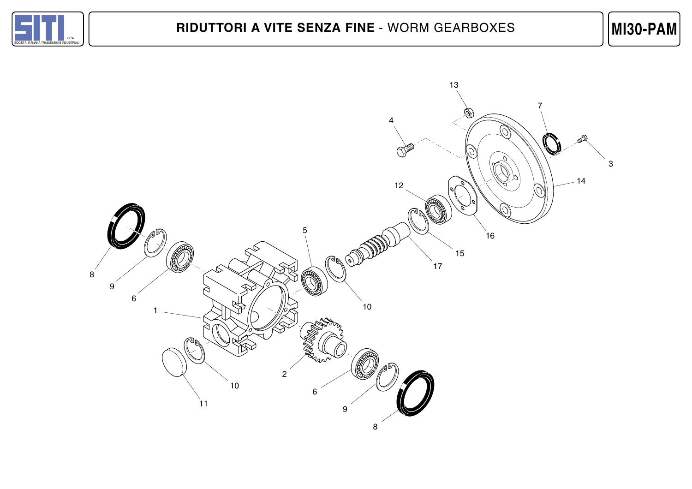

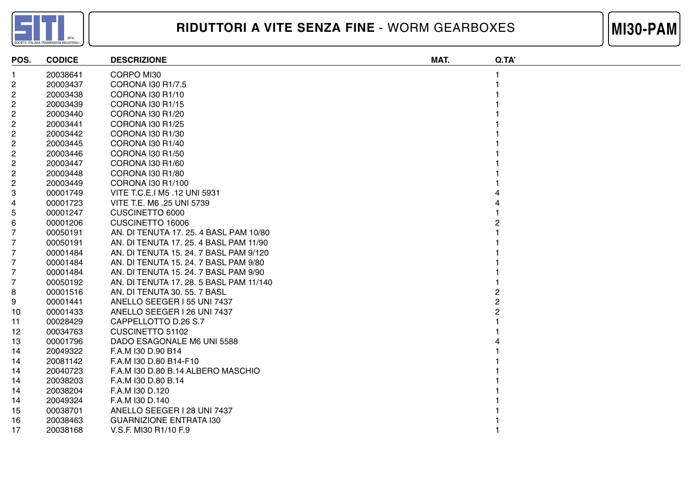



| POS.                    | <b>CODICE</b> | <b>DESCRIZIONE</b>                      | MAT. | Q.TA' |
|-------------------------|---------------|-----------------------------------------|------|-------|
|                         | 20038641      | CORPO MI30                              |      |       |
| 2                       | 20003437      | CORONA 130 R1/7.5                       |      |       |
| 2                       | 20003438      | CORONA I30 R1/10                        |      |       |
| 2                       | 20003439      | CORONA I30 R1/15                        |      |       |
| 2                       | 20003440      | CORONA I30 R1/20                        |      |       |
| 2                       | 20003441      | CORONA I30 R1/25                        |      |       |
| 2                       | 20003442      | CORONA I30 R1/30                        |      |       |
| $\overline{\mathbf{c}}$ | 20003445      | CORONA I30 R1/40                        |      |       |
| $\overline{c}$          | 20003446      | CORONA I30 R1/50                        |      |       |
| 2                       | 20003447      | CORONA I30 R1/60                        |      |       |
| 2                       | 20003448      | CORONA I30 R1/80                        |      |       |
| 2                       | 20003449      | CORONA I30 R1/100                       |      |       |
| 3                       | 00001749      | VITE T.C.E.I M5 .12 UNI 5931            |      |       |
| 4                       | 00001723      | VITE T.E. M6 .25 UNI 5739               |      |       |
| 5                       | 00001247      | <b>CUSCINETTO 6000</b>                  |      |       |
| 6                       | 00001206      | CUSCINETTO 16006                        |      |       |
| 7                       | 00050191      | AN. DI TENUTA 17. 25. 4 BASL PAM 10/80  |      |       |
| 7                       | 00050191      | AN. DI TENUTA 17, 25, 4 BASL PAM 11/90  |      |       |
| 7                       | 00001484      | AN. DI TENUTA 15, 24, 7 BASL PAM 9/120  |      |       |
| 7                       | 00001484      | AN. DI TENUTA 15. 24. 7 BASL PAM 9/80   |      |       |
| 7                       | 00001484      | AN. DI TENUTA 15. 24. 7 BASL PAM 9/90   |      |       |
| 7                       | 00050192      | AN. DI TENUTA 17. 28. 5 BASL PAM 11/140 |      |       |
| 8                       | 00001516      | AN. DI TENUTA 30. 55. 7 BASL            |      |       |
| 9                       | 00001441      | ANELLO SEEGER I 55 UNI 7437             |      |       |
| 10                      | 00001433      | ANELLO SEEGER I 26 UNI 7437             |      |       |
| 11                      | 00028429      | CAPPELLOTTO D.26 S.7                    |      |       |
| 12                      | 00034763      | <b>CUSCINETTO 51102</b>                 |      |       |
| 13                      | 00001796      | DADO ESAGONALE M6 UNI 5588              |      |       |
| 14                      | 20049322      | F.A.M I30 D.90 B14                      |      |       |
| 14                      | 20081142      | F.A.M I30 D.80 B14-F10                  |      |       |
| 14                      | 20040723      | F.A.M I30 D.80 B.14 ALBERO MASCHIO      |      |       |
| 14                      | 20038203      | F.A.M I30 D.80 B.14                     |      |       |
| 14                      | 20038204      | F.A.M I30 D.120                         |      |       |
| 14                      | 20049324      | F.A.M I30 D.140                         |      |       |
| 15                      | 00038701      | ANELLO SEEGER I 28 UNI 7437             |      |       |
| 16                      | 20038463      | <b>GUARNIZIONE ENTRATA 130</b>          |      |       |
| 17                      | 20038168      | V.S.F. MI30 R1/10 F.9                   |      |       |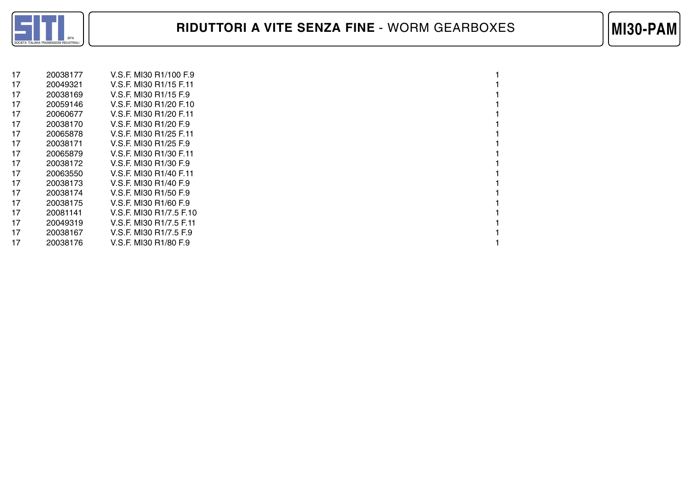

| 17 | 20038177 | V.S.F. MI30 R1/100 F.9  |  |
|----|----------|-------------------------|--|
| 17 | 20049321 | V.S.F. MI30 R1/15 F.11  |  |
| 17 | 20038169 | V.S.F. MI30 R1/15 F.9   |  |
| 17 | 20059146 | V.S.F. MI30 R1/20 F.10  |  |
| 17 | 20060677 | V.S.F. MI30 R1/20 F.11  |  |
| 17 | 20038170 | V.S.F. MI30 R1/20 F.9   |  |
| 17 | 20065878 | V.S.F. MI30 R1/25 F.11  |  |
| 17 | 20038171 | V.S.F. MI30 R1/25 F.9   |  |
| 17 | 20065879 | V.S.F. MI30 R1/30 F.11  |  |
| 17 | 20038172 | V.S.F. MI30 R1/30 F.9   |  |
| 17 | 20063550 | V.S.F. MI30 R1/40 F.11  |  |
| 17 | 20038173 | V.S.F. MI30 R1/40 F.9   |  |
| 17 | 20038174 | V.S.F. MI30 R1/50 F.9   |  |
| 17 | 20038175 | V.S.F. MI30 R1/60 F.9   |  |
| 17 | 20081141 | V.S.F. MI30 R1/7.5 F.10 |  |
| 17 | 20049319 | V.S.F. MI30 R1/7.5 F.11 |  |
| 17 | 20038167 | V.S.F. MI30 R1/7.5 F.9  |  |
| 17 | 20038176 | V.S.F. MI30 R1/80 F.9   |  |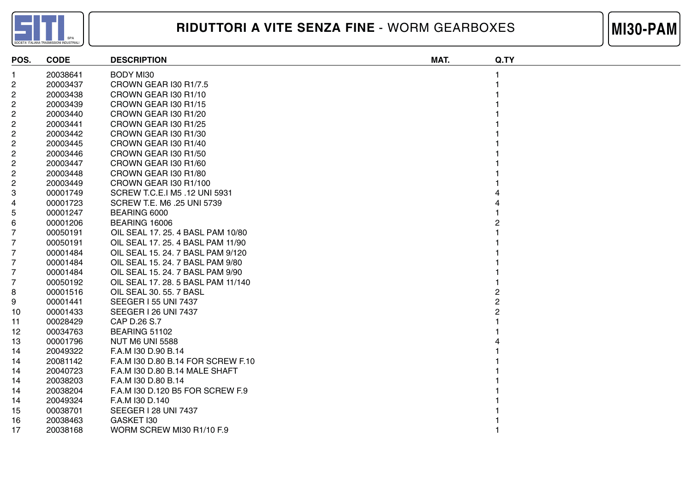



| POS.                    | <b>CODE</b> | <b>DESCRIPTION</b>                 | MAT. | Q.TY |
|-------------------------|-------------|------------------------------------|------|------|
|                         | 20038641    | <b>BODY MI30</b>                   |      |      |
| $\overline{\mathbf{c}}$ | 20003437    | CROWN GEAR I30 R1/7.5              |      |      |
| $\overline{c}$          | 20003438    | CROWN GEAR 130 R1/10               |      |      |
| $\overline{\mathbf{c}}$ | 20003439    | CROWN GEAR I30 R1/15               |      |      |
| $\overline{\mathbf{c}}$ | 20003440    | CROWN GEAR I30 R1/20               |      |      |
| $\overline{\mathbf{c}}$ | 20003441    | CROWN GEAR I30 R1/25               |      |      |
| 2                       | 20003442    | CROWN GEAR I30 R1/30               |      |      |
| $\overline{\mathbf{c}}$ | 20003445    | CROWN GEAR I30 R1/40               |      |      |
| $\overline{\mathbf{c}}$ | 20003446    | CROWN GEAR I30 R1/50               |      |      |
| $\overline{c}$          | 20003447    | CROWN GEAR I30 R1/60               |      |      |
| 2                       | 20003448    | CROWN GEAR 130 R1/80               |      |      |
| 2                       | 20003449    | CROWN GEAR I30 R1/100              |      |      |
| 3                       | 00001749    | SCREW T.C.E.I M5 .12 UNI 5931      |      |      |
| 4                       | 00001723    | SCREW T.E. M6 .25 UNI 5739         |      |      |
| 5                       | 00001247    | BEARING 6000                       |      |      |
| 6                       | 00001206    | BEARING 16006                      |      |      |
| 7                       | 00050191    | OIL SEAL 17. 25. 4 BASL PAM 10/80  |      |      |
| 7                       | 00050191    | OIL SEAL 17. 25. 4 BASL PAM 11/90  |      |      |
| $\overline{7}$          | 00001484    | OIL SEAL 15. 24. 7 BASL PAM 9/120  |      |      |
| $\overline{7}$          | 00001484    | OIL SEAL 15. 24. 7 BASL PAM 9/80   |      |      |
| $\overline{7}$          | 00001484    | OIL SEAL 15. 24. 7 BASL PAM 9/90   |      |      |
| 7                       | 00050192    | OIL SEAL 17, 28, 5 BASL PAM 11/140 |      |      |
| 8                       | 00001516    | OIL SEAL 30. 55. 7 BASL            |      |      |
| 9                       | 00001441    | <b>SEEGER I 55 UNI 7437</b>        |      |      |
| 10                      | 00001433    | <b>SEEGER I 26 UNI 7437</b>        |      |      |
| 11                      | 00028429    | CAP D.26 S.7                       |      |      |
| 12                      | 00034763    | BEARING 51102                      |      |      |
| 13                      | 00001796    | <b>NUT M6 UNI 5588</b>             |      |      |
| 14                      | 20049322    | F.A.M I30 D.90 B.14                |      |      |
| 14                      | 20081142    | F.A.M I30 D.80 B.14 FOR SCREW F.10 |      |      |
| 14                      | 20040723    | F.A.M I30 D.80 B.14 MALE SHAFT     |      |      |
| 14                      | 20038203    | F.A.M I30 D.80 B.14                |      |      |
| 14                      | 20038204    | F.A.M I30 D.120 B5 FOR SCREW F.9   |      |      |
| 14                      | 20049324    | F.A.M I30 D.140                    |      |      |
| 15                      | 00038701    | <b>SEEGER I 28 UNI 7437</b>        |      |      |
| 16                      | 20038463    | GASKET I30                         |      |      |
| 17                      | 20038168    | WORM SCREW MI30 R1/10 F.9          |      |      |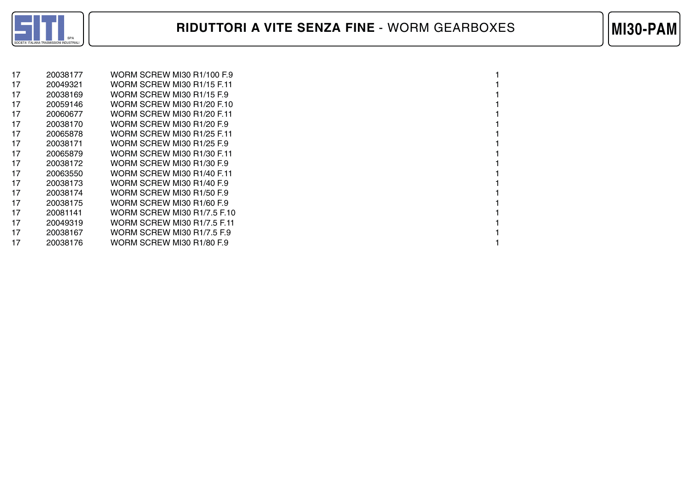

| 17 | 20038177 | WORM SCREW MI30 R1/100 F.9  |  |
|----|----------|-----------------------------|--|
| 17 | 20049321 | WORM SCREW MI30 R1/15 F.11  |  |
| 17 | 20038169 | WORM SCREW MI30 R1/15 F.9   |  |
| 17 | 20059146 | WORM SCREW MI30 R1/20 F.10  |  |
| 17 | 20060677 | WORM SCREW MI30 R1/20 F.11  |  |
| 17 | 20038170 | WORM SCREW MI30 R1/20 F.9   |  |
| 17 | 20065878 | WORM SCREW MI30 R1/25 F.11  |  |
| 17 | 20038171 | WORM SCREW MI30 R1/25 F.9   |  |
| 17 | 20065879 | WORM SCREW MI30 R1/30 F.11  |  |
| 17 | 20038172 | WORM SCREW MI30 R1/30 F.9   |  |
| 17 | 20063550 | WORM SCREW MI30 R1/40 F.11  |  |
| 17 | 20038173 | WORM SCREW MI30 R1/40 F.9   |  |
| 17 | 20038174 | WORM SCREW MI30 R1/50 F.9   |  |
| 17 | 20038175 | WORM SCREW MI30 R1/60 F.9   |  |
| 17 | 20081141 | WORM SCREW MI30 R1/7.5 F.10 |  |
| 17 | 20049319 | WORM SCREW MI30 R1/7.5 F.11 |  |
| 17 | 20038167 | WORM SCREW MI30 R1/7.5 F.9  |  |
| 17 | 20038176 | WORM SCREW MI30 R1/80 F.9   |  |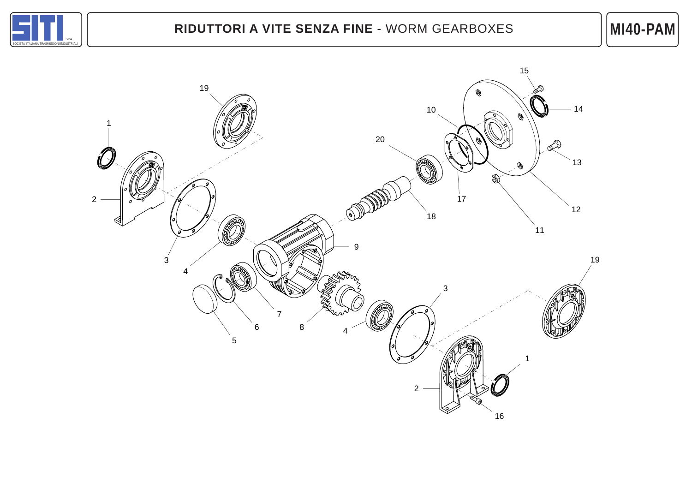

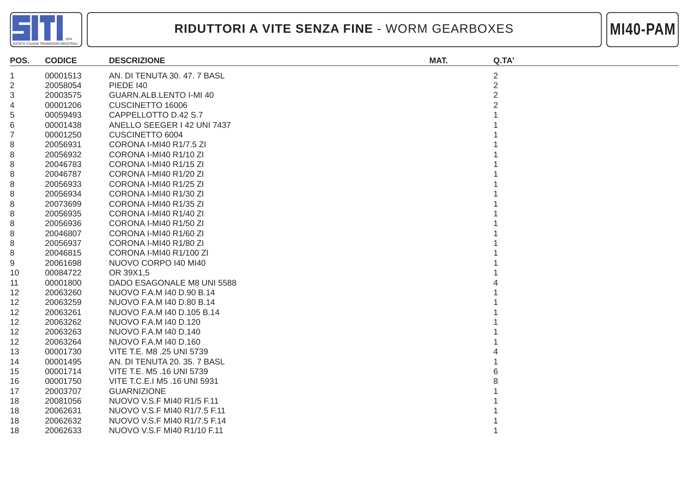

**MI40-PAM**

| POS.           | <b>CODICE</b> | <b>DESCRIZIONE</b>           | MAT. | Q.TA'          |
|----------------|---------------|------------------------------|------|----------------|
| $\mathbf 1$    | 00001513      | AN. DI TENUTA 30. 47. 7 BASL |      | $\overline{c}$ |
| $\overline{2}$ | 20058054      | <b>PIEDE 140</b>             |      | $\overline{2}$ |
| 3              | 20003575      | GUARN.ALB.LENTO I-MI 40      |      | $\overline{2}$ |
| 4              | 00001206      | CUSCINETTO 16006             |      |                |
| 5              | 00059493      | CAPPELLOTTO D.42 S.7         |      |                |
| 6              | 00001438      | ANELLO SEEGER I 42 UNI 7437  |      |                |
| $\overline{7}$ | 00001250      | CUSCINETTO 6004              |      |                |
| 8              | 20056931      | CORONA I-MI40 R1/7.5 ZI      |      |                |
| 8              | 20056932      | CORONA I-MI40 R1/10 ZI       |      |                |
| 8              | 20046783      | CORONA I-MI40 R1/15 ZI       |      |                |
| 8              | 20046787      | CORONA I-MI40 R1/20 ZI       |      |                |
| 8              | 20056933      | CORONA I-MI40 R1/25 ZI       |      |                |
| 8              | 20056934      | CORONA I-MI40 R1/30 ZI       |      |                |
| 8              | 20073699      | CORONA I-MI40 R1/35 ZI       |      |                |
| 8              | 20056935      | CORONA I-MI40 R1/40 ZI       |      |                |
| 8              | 20056936      | CORONA I-MI40 R1/50 ZI       |      |                |
| 8              | 20046807      | CORONA I-MI40 R1/60 ZI       |      |                |
| 8              | 20056937      | CORONA I-MI40 R1/80 ZI       |      |                |
| 8              | 20046815      | CORONA I-MI40 R1/100 ZI      |      |                |
| 9              | 20061698      | NUOVO CORPO I40 MI40         |      |                |
| 10             | 00084722      | OR 39X1,5                    |      |                |
| 11             | 00001800      | DADO ESAGONALE M8 UNI 5588   |      |                |
| 12             | 20063260      | NUOVO F.A.M 140 D.90 B.14    |      |                |
| 12             | 20063259      | NUOVO F.A.M I40 D.80 B.14    |      |                |
| 12             | 20063261      | NUOVO F.A.M I40 D.105 B.14   |      |                |
| 12             | 20063262      | NUOVO F.A.M I40 D.120        |      |                |
| 12             | 20063263      | NUOVO F.A.M 140 D.140        |      |                |
| 12             | 20063264      | NUOVO F.A.M I40 D.160        |      |                |
| 13             | 00001730      | VITE T.E. M8 .25 UNI 5739    |      |                |
| 14             | 00001495      | AN. DI TENUTA 20. 35. 7 BASL |      |                |
| 15             | 00001714      | VITE T.E. M5 .16 UNI 5739    |      |                |
| 16             | 00001750      | VITE T.C.E.I M5 .16 UNI 5931 |      |                |
| 17             | 20003707      | <b>GUARNIZIONE</b>           |      |                |
| 18             | 20081056      | NUOVO V.S.F MI40 R1/5 F.11   |      |                |
| 18             | 20062631      | NUOVO V.S.F MI40 R1/7.5 F.11 |      |                |
| 18             | 20062632      | NUOVO V.S.F MI40 R1/7.5 F.14 |      |                |
| 18             | 20062633      | NUOVO V.S.F MI40 R1/10 F.11  |      |                |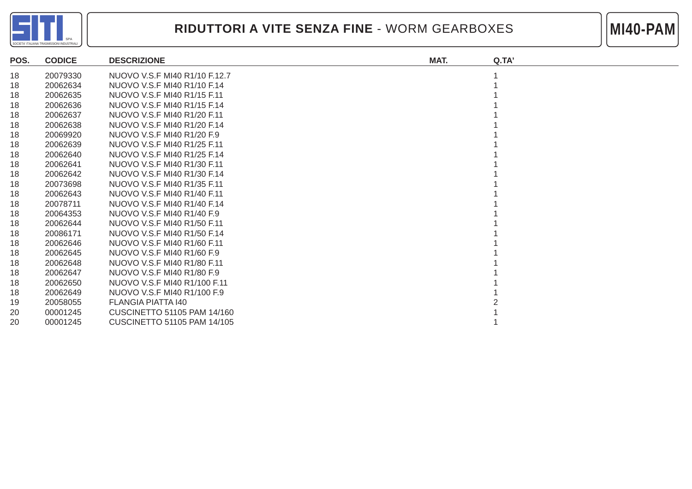

**MI40-PAM**

| POS. | <b>CODICE</b> | <b>DESCRIZIONE</b>                 | MAT. | Q.TA' |
|------|---------------|------------------------------------|------|-------|
| 18   | 20079330      | NUOVO V.S.F MI40 R1/10 F.12.7      |      |       |
| 18   | 20062634      | NUOVO V.S.F MI40 R1/10 F.14        |      |       |
| 18   | 20062635      | NUOVO V.S.F MI40 R1/15 F.11        |      |       |
| 18   | 20062636      | NUOVO V.S.F MI40 R1/15 F.14        |      |       |
| 18   | 20062637      | NUOVO V.S.F MI40 R1/20 F.11        |      |       |
| 18   | 20062638      | NUOVO V.S.F MI40 R1/20 F.14        |      |       |
| 18   | 20069920      | NUOVO V.S.F MI40 R1/20 F.9         |      |       |
| 18   | 20062639      | NUOVO V.S.F MI40 R1/25 F.11        |      |       |
| 18   | 20062640      | NUOVO V.S.F MI40 R1/25 F.14        |      |       |
| 18   | 20062641      | NUOVO V.S.F MI40 R1/30 F.11        |      |       |
| 18   | 20062642      | NUOVO V.S.F MI40 R1/30 F.14        |      |       |
| 18   | 20073698      | NUOVO V.S.F MI40 R1/35 F.11        |      |       |
| 18   | 20062643      | NUOVO V.S.F MI40 R1/40 F.11        |      |       |
| 18   | 20078711      | NUOVO V.S.F MI40 R1/40 F.14        |      |       |
| 18   | 20064353      | NUOVO V.S.F MI40 R1/40 F.9         |      |       |
| 18   | 20062644      | NUOVO V.S.F MI40 R1/50 F.11        |      |       |
| 18   | 20086171      | NUOVO V.S.F MI40 R1/50 F.14        |      |       |
| 18   | 20062646      | NUOVO V.S.F MI40 R1/60 F.11        |      |       |
| 18   | 20062645      | NUOVO V.S.F MI40 R1/60 F.9         |      |       |
| 18   | 20062648      | NUOVO V.S.F MI40 R1/80 F.11        |      |       |
| 18   | 20062647      | NUOVO V.S.F MI40 R1/80 F.9         |      |       |
| 18   | 20062650      | NUOVO V.S.F MI40 R1/100 F.11       |      |       |
| 18   | 20062649      | NUOVO V.S.F MI40 R1/100 F.9        |      |       |
| 19   | 20058055      | FLANGIA PIATTA 140                 |      |       |
| 20   | 00001245      | <b>CUSCINETTO 51105 PAM 14/160</b> |      |       |
| 20   | 00001245      | <b>CUSCINETTO 51105 PAM 14/105</b> |      |       |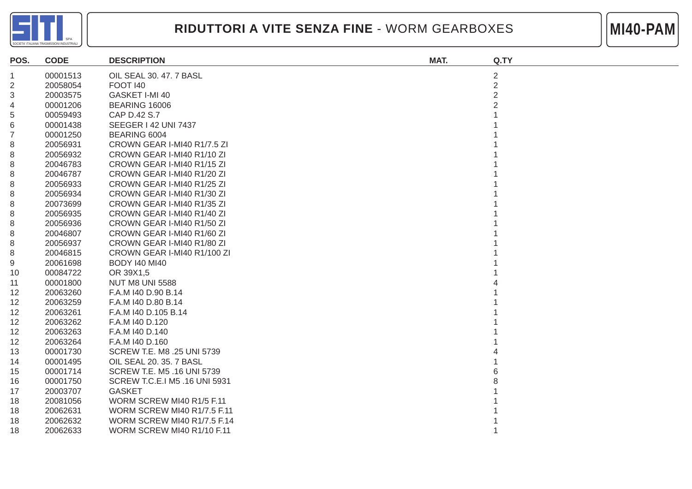

**MI40-PAM**

| POS.           | <b>CODE</b> | <b>DESCRIPTION</b>                 | MAT. | Q.TY           |
|----------------|-------------|------------------------------------|------|----------------|
| 1              | 00001513    | OIL SEAL 30, 47, 7 BASL            |      | $\overline{2}$ |
| $\overline{2}$ | 20058054    | <b>FOOT 140</b>                    |      | $\overline{2}$ |
| 3              | 20003575    | GASKET I-MI 40                     |      | $\overline{2}$ |
| 4              | 00001206    | <b>BEARING 16006</b>               |      |                |
| 5              | 00059493    | CAP D.42 S.7                       |      |                |
| 6              | 00001438    | SEEGER   42 UNI 7437               |      |                |
| $\overline{7}$ | 00001250    | BEARING 6004                       |      |                |
| 8              | 20056931    | CROWN GEAR I-MI40 R1/7.5 ZI        |      |                |
| 8              | 20056932    | CROWN GEAR I-MI40 R1/10 ZI         |      |                |
| 8              | 20046783    | CROWN GEAR I-MI40 R1/15 ZI         |      |                |
| 8              | 20046787    | CROWN GEAR I-MI40 R1/20 ZI         |      |                |
| 8              | 20056933    | CROWN GEAR I-MI40 R1/25 ZI         |      |                |
| 8              | 20056934    | CROWN GEAR I-MI40 R1/30 ZI         |      |                |
| 8              | 20073699    | CROWN GEAR I-MI40 R1/35 ZI         |      |                |
| 8              | 20056935    | CROWN GEAR I-MI40 R1/40 ZI         |      |                |
| 8              | 20056936    | CROWN GEAR I-MI40 R1/50 ZI         |      |                |
| 8              | 20046807    | CROWN GEAR I-MI40 R1/60 ZI         |      |                |
| 8              | 20056937    | CROWN GEAR I-MI40 R1/80 ZI         |      |                |
| 8              | 20046815    | CROWN GEAR I-MI40 R1/100 ZI        |      |                |
| 9              | 20061698    | <b>BODY 140 MI40</b>               |      |                |
| 10             | 00084722    | OR 39X1,5                          |      |                |
| 11             | 00001800    | <b>NUT M8 UNI 5588</b>             |      |                |
| 12             | 20063260    | F.A.M I40 D.90 B.14                |      |                |
| 12             | 20063259    | F.A.M I40 D.80 B.14                |      |                |
| 12             | 20063261    | F.A.M I40 D.105 B.14               |      |                |
| 12             | 20063262    | F.A.M I40 D.120                    |      |                |
| 12             | 20063263    | F.A.M I40 D.140                    |      |                |
| 12             | 20063264    | F.A.M I40 D.160                    |      |                |
| 13             | 00001730    | SCREW T.E. M8 .25 UNI 5739         |      |                |
| 14             | 00001495    | OIL SEAL 20. 35. 7 BASL            |      |                |
| 15             | 00001714    | SCREW T.E. M5 .16 UNI 5739         |      |                |
| 16             | 00001750    | SCREW T.C.E.I M5 .16 UNI 5931      |      |                |
| 17             | 20003707    | <b>GASKET</b>                      |      |                |
| 18             | 20081056    | WORM SCREW MI40 R1/5 F.11          |      |                |
| 18             | 20062631    | <b>WORM SCREW MI40 R1/7.5 F.11</b> |      |                |
| 18             | 20062632    | <b>WORM SCREW MI40 R1/7.5 F.14</b> |      |                |
| 18             | 20062633    | WORM SCREW MI40 R1/10 F.11         |      |                |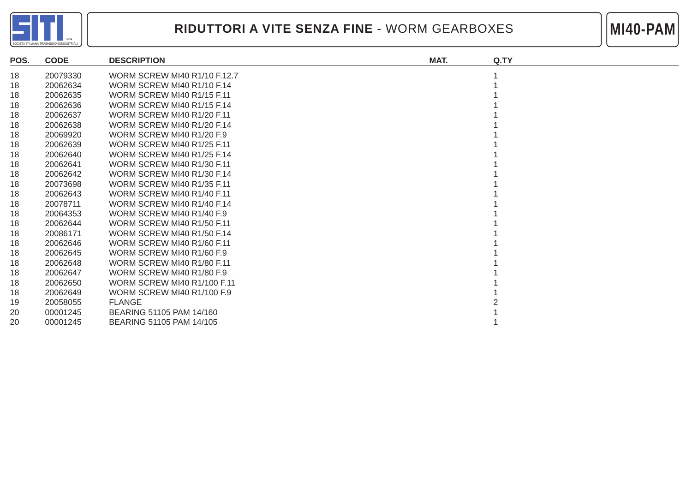



| POS. | <b>CODE</b> | <b>DESCRIPTION</b>                  | MAT. | Q.TY |
|------|-------------|-------------------------------------|------|------|
| 18   | 20079330    | <b>WORM SCREW MI40 R1/10 F.12.7</b> |      |      |
| 18   | 20062634    | WORM SCREW MI40 R1/10 F.14          |      |      |
| 18   | 20062635    | <b>WORM SCREW MI40 R1/15 F.11</b>   |      |      |
| 18   | 20062636    | <b>WORM SCREW MI40 R1/15 F.14</b>   |      |      |
| 18   | 20062637    | <b>WORM SCREW MI40 R1/20 F.11</b>   |      |      |
| 18   | 20062638    | <b>WORM SCREW MI40 R1/20 F.14</b>   |      |      |
| 18   | 20069920    | WORM SCREW MI40 R1/20 F.9           |      |      |
| 18   | 20062639    | <b>WORM SCREW MI40 R1/25 F.11</b>   |      |      |
| 18   | 20062640    | <b>WORM SCREW MI40 R1/25 F.14</b>   |      |      |
| 18   | 20062641    | WORM SCREW MI40 R1/30 F.11          |      |      |
| 18   | 20062642    | <b>WORM SCREW MI40 R1/30 F.14</b>   |      |      |
| 18   | 20073698    | WORM SCREW MI40 R1/35 F.11          |      |      |
| 18   | 20062643    | WORM SCREW MI40 R1/40 F.11          |      |      |
| 18   | 20078711    | <b>WORM SCREW MI40 R1/40 F.14</b>   |      |      |
| 18   | 20064353    | WORM SCREW MI40 R1/40 F.9           |      |      |
| 18   | 20062644    | <b>WORM SCREW MI40 R1/50 F.11</b>   |      |      |
| 18   | 20086171    | <b>WORM SCREW MI40 R1/50 F.14</b>   |      |      |
| 18   | 20062646    | <b>WORM SCREW MI40 R1/60 F.11</b>   |      |      |
| 18   | 20062645    | WORM SCREW MI40 R1/60 F.9           |      |      |
| 18   | 20062648    | WORM SCREW MI40 R1/80 F.11          |      |      |
| 18   | 20062647    | WORM SCREW MI40 R1/80 F.9           |      |      |
| 18   | 20062650    | <b>WORM SCREW MI40 R1/100 F.11</b>  |      |      |
| 18   | 20062649    | WORM SCREW MI40 R1/100 F.9          |      |      |
| 19   | 20058055    | <b>FLANGE</b>                       |      |      |
| 20   | 00001245    | BEARING 51105 PAM 14/160            |      |      |
| 20   | 00001245    | BEARING 51105 PAM 14/105            |      |      |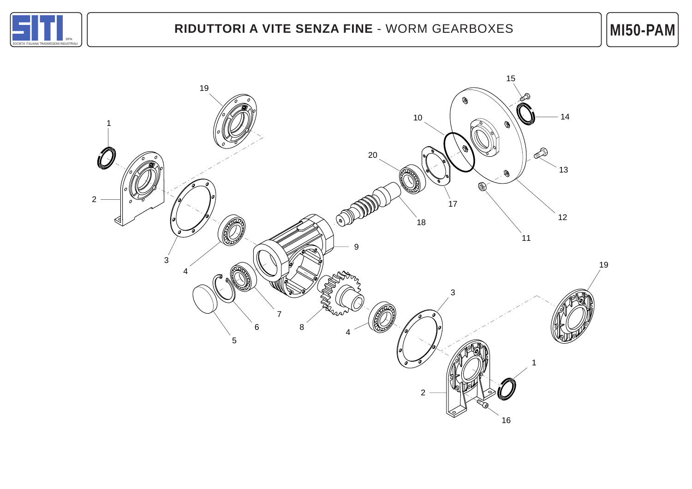

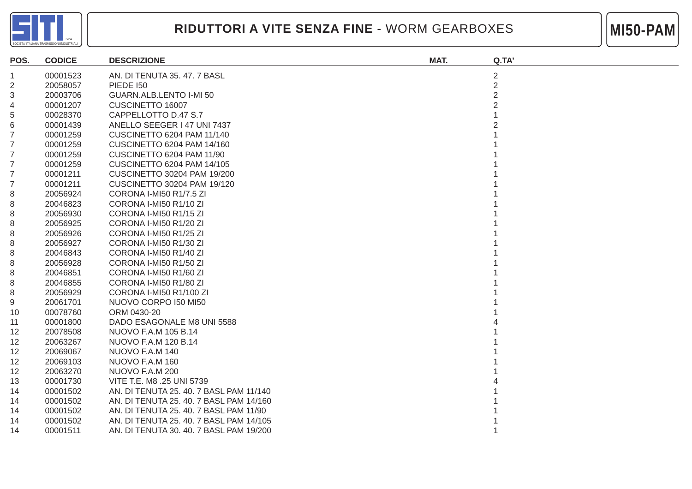



| POS.           | <b>CODICE</b> | <b>DESCRIZIONE</b>                      | MAT. | Q.TA'          |
|----------------|---------------|-----------------------------------------|------|----------------|
| 1.             | 00001523      | AN. DI TENUTA 35.47.7 BASL              |      | $\overline{c}$ |
| $\overline{2}$ | 20058057      | <b>PIEDE 150</b>                        |      | $\overline{2}$ |
| 3              | 20003706      | GUARN.ALB.LENTO I-MI 50                 |      | $\overline{2}$ |
| 4              | 00001207      | CUSCINETTO 16007                        |      | 2              |
| 5              | 00028370      | CAPPELLOTTO D.47 S.7                    |      |                |
| 6              | 00001439      | ANELLO SEEGER I 47 UNI 7437             |      |                |
| 7              | 00001259      | <b>CUSCINETTO 6204 PAM 11/140</b>       |      |                |
| 7              | 00001259      | <b>CUSCINETTO 6204 PAM 14/160</b>       |      |                |
| 7              | 00001259      | CUSCINETTO 6204 PAM 11/90               |      |                |
| 7              | 00001259      | <b>CUSCINETTO 6204 PAM 14/105</b>       |      |                |
| 7              | 00001211      | CUSCINETTO 30204 PAM 19/200             |      |                |
| 7              | 00001211      | <b>CUSCINETTO 30204 PAM 19/120</b>      |      |                |
| 8              | 20056924      | CORONA I-MI50 R1/7.5 ZI                 |      |                |
| 8              | 20046823      | CORONA I-MI50 R1/10 ZI                  |      |                |
| 8              | 20056930      | CORONA I-MI50 R1/15 ZI                  |      |                |
| 8              | 20056925      | CORONA I-MI50 R1/20 ZI                  |      |                |
| 8              | 20056926      | CORONA I-MI50 R1/25 ZI                  |      |                |
| 8              | 20056927      | CORONA I-MI50 R1/30 ZI                  |      |                |
| 8              | 20046843      | CORONA I-MI50 R1/40 ZI                  |      |                |
| 8              | 20056928      | CORONA I-MI50 R1/50 ZI                  |      |                |
| 8              | 20046851      | CORONA I-MI50 R1/60 ZI                  |      |                |
| 8              | 20046855      | CORONA I-MI50 R1/80 ZI                  |      |                |
| 8              | 20056929      | CORONA I-MI50 R1/100 ZI                 |      |                |
| 9              | 20061701      | NUOVO CORPO I50 MI50                    |      |                |
| 10             | 00078760      | ORM 0430-20                             |      |                |
| 11             | 00001800      | DADO ESAGONALE M8 UNI 5588              |      |                |
| 12             | 20078508      | NUOVO F.A.M 105 B.14                    |      |                |
| 12             | 20063267      | NUOVO F.A.M 120 B.14                    |      |                |
| 12             | 20069067      | NUOVO F.A.M 140                         |      |                |
| 12             | 20069103      | NUOVO F.A.M 160                         |      |                |
| 12             | 20063270      | NUOVO F.A.M 200                         |      |                |
| 13             | 00001730      | VITE T.E. M8 .25 UNI 5739               |      |                |
| 14             | 00001502      | AN. DI TENUTA 25.40.7 BASL PAM 11/140   |      |                |
| 14             | 00001502      | AN. DI TENUTA 25. 40. 7 BASL PAM 14/160 |      |                |
| 14             | 00001502      | AN. DI TENUTA 25. 40. 7 BASL PAM 11/90  |      |                |
| 14             | 00001502      | AN. DI TENUTA 25. 40. 7 BASL PAM 14/105 |      |                |
| 14             | 00001511      | AN. DI TENUTA 30. 40. 7 BASL PAM 19/200 |      |                |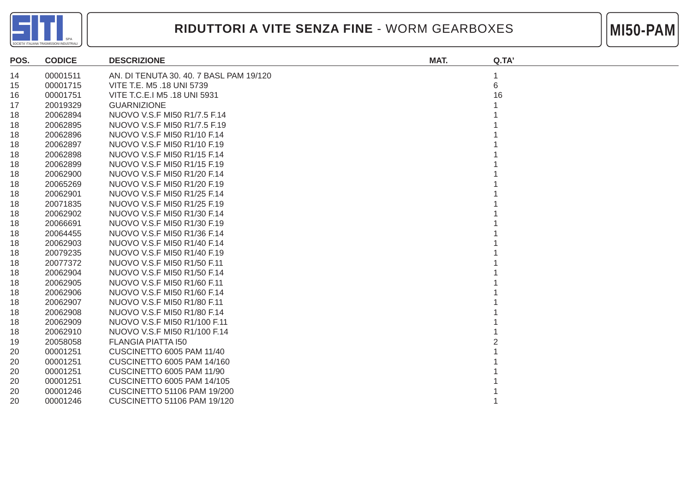



| POS. | <b>CODICE</b> | <b>DESCRIZIONE</b>                      | MAT. | Q.TA' |
|------|---------------|-----------------------------------------|------|-------|
| 14   | 00001511      | AN. DI TENUTA 30. 40. 7 BASL PAM 19/120 |      |       |
| 15   | 00001715      | VITE T.E. M5 .18 UNI 5739               |      | 6     |
| 16   | 00001751      | VITE T.C.E.I M5 .18 UNI 5931            |      | 16    |
| 17   | 20019329      | <b>GUARNIZIONE</b>                      |      |       |
| 18   | 20062894      | NUOVO V.S.F MI50 R1/7.5 F.14            |      |       |
| 18   | 20062895      | NUOVO V.S.F MI50 R1/7.5 F.19            |      |       |
| 18   | 20062896      | NUOVO V.S.F MI50 R1/10 F.14             |      |       |
| 18   | 20062897      | NUOVO V.S.F MI50 R1/10 F.19             |      |       |
| 18   | 20062898      | NUOVO V.S.F MI50 R1/15 F.14             |      |       |
| 18   | 20062899      | NUOVO V.S.F MI50 R1/15 F.19             |      |       |
| 18   | 20062900      | NUOVO V.S.F MI50 R1/20 F.14             |      |       |
| 18   | 20065269      | NUOVO V.S.F MI50 R1/20 F.19             |      |       |
| 18   | 20062901      | NUOVO V.S.F MI50 R1/25 F.14             |      |       |
| 18   | 20071835      | NUOVO V.S.F MI50 R1/25 F.19             |      |       |
| 18   | 20062902      | NUOVO V.S.F MI50 R1/30 F.14             |      |       |
| 18   | 20066691      | NUOVO V.S.F MI50 R1/30 F.19             |      |       |
| 18   | 20064455      | NUOVO V.S.F MI50 R1/36 F.14             |      |       |
| 18   | 20062903      | NUOVO V.S.F MI50 R1/40 F.14             |      |       |
| 18   | 20079235      | NUOVO V.S.F MI50 R1/40 F.19             |      |       |
| 18   | 20077372      | NUOVO V.S.F MI50 R1/50 F.11             |      |       |
| 18   | 20062904      | NUOVO V.S.F MI50 R1/50 F.14             |      |       |
| 18   | 20062905      | NUOVO V.S.F MI50 R1/60 F.11             |      |       |
| 18   | 20062906      | NUOVO V.S.F MI50 R1/60 F.14             |      |       |
| 18   | 20062907      | NUOVO V.S.F MI50 R1/80 F.11             |      |       |
| 18   | 20062908      | NUOVO V.S.F MI50 R1/80 F.14             |      |       |
| 18   | 20062909      | NUOVO V.S.F MI50 R1/100 F.11            |      |       |
| 18   | 20062910      | NUOVO V.S.F MI50 R1/100 F.14            |      |       |
| 19   | 20058058      | <b>FLANGIA PIATTA 150</b>               |      |       |
| 20   | 00001251      | CUSCINETTO 6005 PAM 11/40               |      |       |
| 20   | 00001251      | <b>CUSCINETTO 6005 PAM 14/160</b>       |      |       |
| 20   | 00001251      | CUSCINETTO 6005 PAM 11/90               |      |       |
| 20   | 00001251      | <b>CUSCINETTO 6005 PAM 14/105</b>       |      |       |
| 20   | 00001246      | <b>CUSCINETTO 51106 PAM 19/200</b>      |      |       |
| 20   | 00001246      | CUSCINETTO 51106 PAM 19/120             |      |       |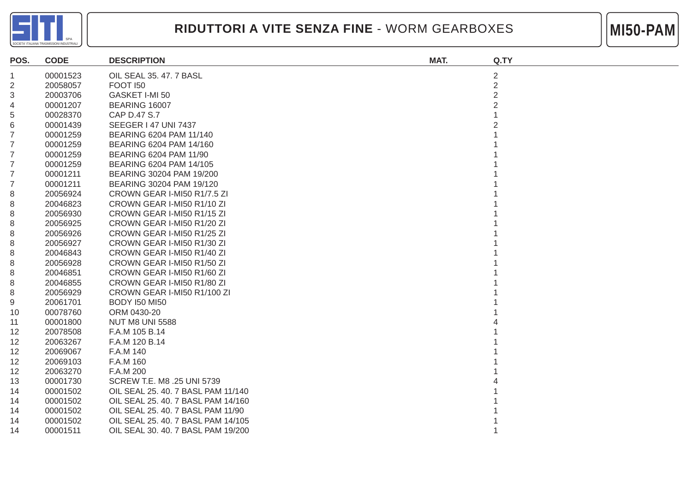



| POS.           | <b>CODE</b> | <b>DESCRIPTION</b>                 | MAT. | Q.TY           |
|----------------|-------------|------------------------------------|------|----------------|
| $\mathbf 1$    | 00001523    | OIL SEAL 35.47.7 BASL              |      | $\overline{c}$ |
| $\overline{2}$ | 20058057    | <b>FOOT 150</b>                    |      | $\overline{2}$ |
| 3              | 20003706    | GASKET I-MI 50                     |      | $\overline{2}$ |
| 4              | 00001207    | BEARING 16007                      |      |                |
| 5              | 00028370    | CAP D.47 S.7                       |      |                |
| 6              | 00001439    | <b>SEEGER   47 UNI 7437</b>        |      |                |
| 7              | 00001259    | BEARING 6204 PAM 11/140            |      |                |
| 7              | 00001259    | BEARING 6204 PAM 14/160            |      |                |
| 7              | 00001259    | BEARING 6204 PAM 11/90             |      |                |
| 7              | 00001259    | BEARING 6204 PAM 14/105            |      |                |
| 7              | 00001211    | BEARING 30204 PAM 19/200           |      |                |
| 7              | 00001211    | BEARING 30204 PAM 19/120           |      |                |
| 8              | 20056924    | CROWN GEAR I-MI50 R1/7.5 ZI        |      |                |
| 8              | 20046823    | CROWN GEAR I-MI50 R1/10 ZI         |      |                |
| 8              | 20056930    | CROWN GEAR I-MI50 R1/15 ZI         |      |                |
| 8              | 20056925    | CROWN GEAR I-MI50 R1/20 ZI         |      |                |
| 8              | 20056926    | CROWN GEAR I-MI50 R1/25 ZI         |      |                |
| 8              | 20056927    | CROWN GEAR I-MI50 R1/30 ZI         |      |                |
| 8              | 20046843    | CROWN GEAR I-MI50 R1/40 ZI         |      |                |
| 8              | 20056928    | CROWN GEAR I-MI50 R1/50 ZI         |      |                |
| 8              | 20046851    | CROWN GEAR I-MI50 R1/60 ZI         |      |                |
| 8              | 20046855    | CROWN GEAR I-MI50 R1/80 ZI         |      |                |
| 8              | 20056929    | CROWN GEAR I-MI50 R1/100 ZI        |      |                |
| 9              | 20061701    | <b>BODY I50 MI50</b>               |      |                |
| 10             | 00078760    | ORM 0430-20                        |      |                |
| 11             | 00001800    | <b>NUT M8 UNI 5588</b>             |      |                |
| 12             | 20078508    | F.A.M 105 B.14                     |      |                |
| 12             | 20063267    | F.A.M 120 B.14                     |      |                |
| 12             | 20069067    | F.A.M 140                          |      |                |
| 12             | 20069103    | F.A.M 160                          |      |                |
| 12             | 20063270    | F.A.M 200                          |      |                |
| 13             | 00001730    | SCREW T.E. M8 .25 UNI 5739         |      |                |
| 14             | 00001502    | OIL SEAL 25. 40. 7 BASL PAM 11/140 |      |                |
| 14             | 00001502    | OIL SEAL 25. 40. 7 BASL PAM 14/160 |      |                |
| 14             | 00001502    | OIL SEAL 25, 40, 7 BASL PAM 11/90  |      |                |
| 14             | 00001502    | OIL SEAL 25. 40. 7 BASL PAM 14/105 |      |                |
| 14             | 00001511    | OIL SEAL 30. 40. 7 BASL PAM 19/200 |      |                |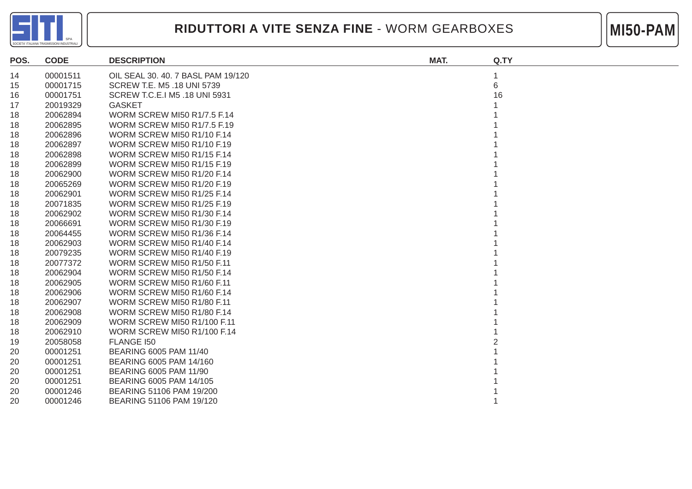



| POS. | <b>CODE</b> | <b>DESCRIPTION</b>                 | MAT. | Q.TY |
|------|-------------|------------------------------------|------|------|
| 14   | 00001511    | OIL SEAL 30, 40, 7 BASL PAM 19/120 |      | 1    |
| 15   | 00001715    | SCREW T.E. M5 .18 UNI 5739         |      | 6    |
| 16   | 00001751    | SCREW T.C.E.I M5 .18 UNI 5931      |      | 16   |
| 17   | 20019329    | <b>GASKET</b>                      |      |      |
| 18   | 20062894    | <b>WORM SCREW MI50 R1/7.5 F.14</b> |      |      |
| 18   | 20062895    | <b>WORM SCREW MI50 R1/7.5 F.19</b> |      |      |
| 18   | 20062896    | <b>WORM SCREW MI50 R1/10 F.14</b>  |      |      |
| 18   | 20062897    | <b>WORM SCREW MI50 R1/10 F.19</b>  |      |      |
| 18   | 20062898    | <b>WORM SCREW MI50 R1/15 F.14</b>  |      |      |
| 18   | 20062899    | WORM SCREW MI50 R1/15 F.19         |      |      |
| 18   | 20062900    | <b>WORM SCREW MI50 R1/20 F.14</b>  |      |      |
| 18   | 20065269    | <b>WORM SCREW MI50 R1/20 F.19</b>  |      |      |
| 18   | 20062901    | <b>WORM SCREW MI50 R1/25 F.14</b>  |      |      |
| 18   | 20071835    | <b>WORM SCREW MI50 R1/25 F.19</b>  |      |      |
| 18   | 20062902    | <b>WORM SCREW MI50 R1/30 F.14</b>  |      |      |
| 18   | 20066691    | <b>WORM SCREW MI50 R1/30 F.19</b>  |      |      |
| 18   | 20064455    | WORM SCREW MI50 R1/36 F.14         |      |      |
| 18   | 20062903    | WORM SCREW MI50 R1/40 F.14         |      |      |
| 18   | 20079235    | <b>WORM SCREW MI50 R1/40 F.19</b>  |      |      |
| 18   | 20077372    | <b>WORM SCREW MI50 R1/50 F.11</b>  |      |      |
| 18   | 20062904    | <b>WORM SCREW MI50 R1/50 F.14</b>  |      |      |
| 18   | 20062905    | WORM SCREW MI50 R1/60 F.11         |      |      |
| 18   | 20062906    | WORM SCREW MI50 R1/60 F.14         |      |      |
| 18   | 20062907    | WORM SCREW MI50 R1/80 F.11         |      |      |
| 18   | 20062908    | <b>WORM SCREW MI50 R1/80 F.14</b>  |      |      |
| 18   | 20062909    | <b>WORM SCREW MI50 R1/100 F.11</b> |      |      |
| 18   | 20062910    | <b>WORM SCREW MI50 R1/100 F.14</b> |      |      |
| 19   | 20058058    | <b>FLANGE 150</b>                  |      |      |
| 20   | 00001251    | BEARING 6005 PAM 11/40             |      |      |
| 20   | 00001251    | BEARING 6005 PAM 14/160            |      |      |
| 20   | 00001251    | BEARING 6005 PAM 11/90             |      |      |
| 20   | 00001251    | BEARING 6005 PAM 14/105            |      |      |
| 20   | 00001246    | BEARING 51106 PAM 19/200           |      |      |
| 20   | 00001246    | BEARING 51106 PAM 19/120           |      |      |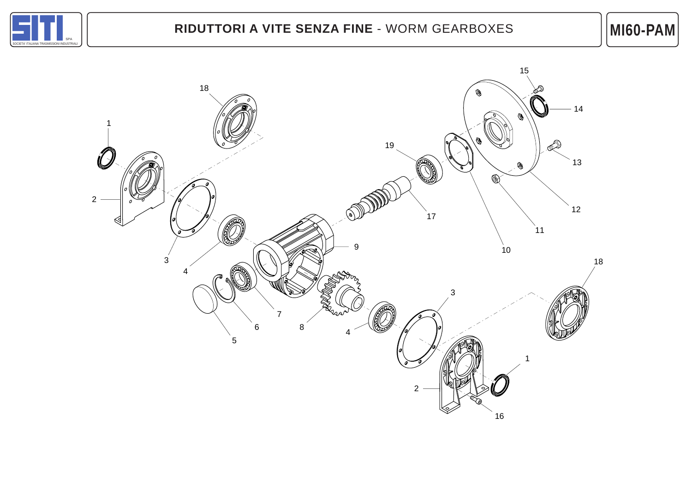

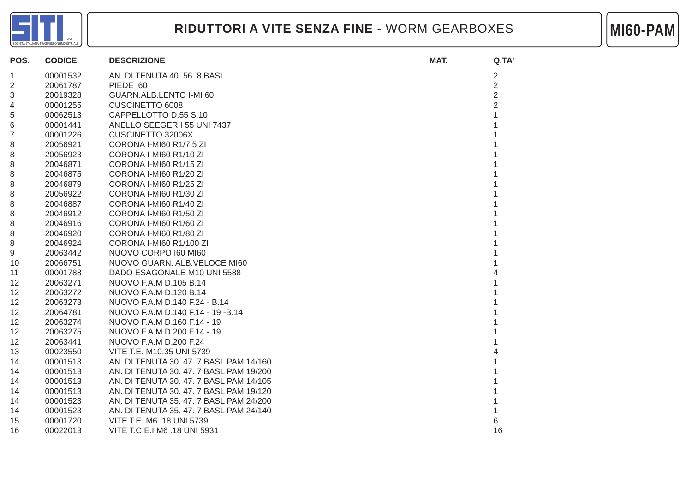



| POS. | <b>CODICE</b> | <b>DESCRIZIONE</b>                      | MAT. | Q.TA'          |
|------|---------------|-----------------------------------------|------|----------------|
| 1.   | 00001532      | AN. DI TENUTA 40. 56. 8 BASL            |      | $\overline{2}$ |
| 2    | 20061787      | <b>PIEDE 160</b>                        |      | $\overline{2}$ |
| 3    | 20019328      | GUARN.ALB.LENTO I-MI 60                 |      | $\overline{2}$ |
| 4    | 00001255      | CUSCINETTO 6008                         |      |                |
| 5    | 00062513      | CAPPELLOTTO D.55 S.10                   |      |                |
| 6    | 00001441      | ANELLO SEEGER I 55 UNI 7437             |      |                |
| 7    | 00001226      | CUSCINETTO 32006X                       |      |                |
| 8    | 20056921      | CORONA I-MI60 R1/7.5 ZI                 |      |                |
| 8    | 20056923      | CORONA I-MI60 R1/10 ZI                  |      |                |
| 8    | 20046871      | CORONA I-MI60 R1/15 ZI                  |      |                |
| 8    | 20046875      | CORONA I-MI60 R1/20 ZI                  |      |                |
| 8    | 20046879      | CORONA I-MI60 R1/25 ZI                  |      |                |
| 8    | 20056922      | CORONA I-MI60 R1/30 ZI                  |      |                |
| 8    | 20046887      | CORONA I-MI60 R1/40 ZI                  |      |                |
| 8    | 20046912      | CORONA I-MI60 R1/50 ZI                  |      |                |
| 8    | 20046916      | CORONA I-MI60 R1/60 ZI                  |      |                |
| 8    | 20046920      | CORONA I-MI60 R1/80 ZI                  |      |                |
| 8    | 20046924      | CORONA I-MI60 R1/100 ZI                 |      |                |
| 9    | 20063442      | NUOVO CORPO 160 MI60                    |      |                |
| 10   | 20066751      | NUOVO GUARN. ALB. VELOCE MI60           |      |                |
| 11   | 00001788      | DADO ESAGONALE M10 UNI 5588             |      |                |
| 12   | 20063271      | NUOVO F.A.M D.105 B.14                  |      |                |
| 12   | 20063272      | NUOVO F.A.M D.120 B.14                  |      |                |
| 12   | 20063273      | NUOVO F.A.M D.140 F.24 - B.14           |      |                |
| 12   | 20064781      | NUOVO F.A.M D.140 F.14 - 19 - B.14      |      |                |
| 12   | 20063274      | NUOVO F.A.M D.160 F.14 - 19             |      |                |
| 12   | 20063275      | NUOVO F.A.M D.200 F.14 - 19             |      |                |
| 12   | 20063441      | NUOVO F.A.M D.200 F.24                  |      |                |
| 13   | 00023550      | VITE T.E. M10.35 UNI 5739               |      |                |
| 14   | 00001513      | AN. DI TENUTA 30. 47. 7 BASL PAM 14/160 |      |                |
| 14   | 00001513      | AN. DI TENUTA 30. 47. 7 BASL PAM 19/200 |      |                |
| 14   | 00001513      | AN. DI TENUTA 30. 47. 7 BASL PAM 14/105 |      |                |
| 14   | 00001513      | AN. DI TENUTA 30. 47. 7 BASL PAM 19/120 |      |                |
| 14   | 00001523      | AN. DI TENUTA 35. 47. 7 BASL PAM 24/200 |      |                |
| 14   | 00001523      | AN. DI TENUTA 35. 47. 7 BASL PAM 24/140 |      |                |
| 15   | 00001720      | VITE T.E. M6 .18 UNI 5739               |      |                |
| 16   | 00022013      | VITE T.C.E.I M6 .18 UNI 5931            |      | 16             |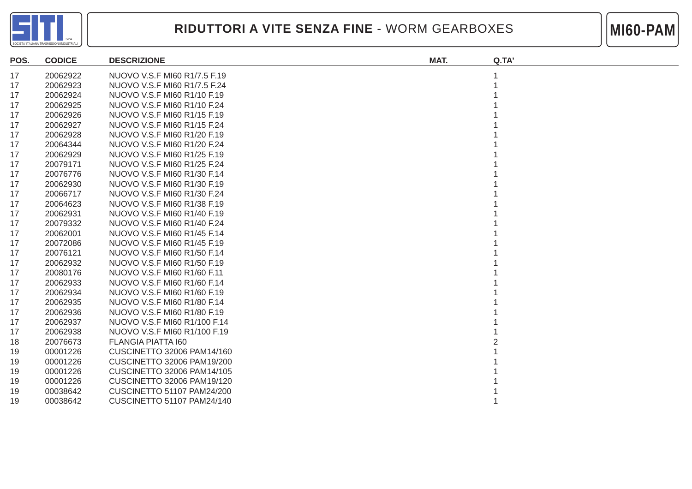



| POS. | <b>CODICE</b> | <b>DESCRIZIONE</b>                | MAT. | Q.TA' |
|------|---------------|-----------------------------------|------|-------|
| 17   | 20062922      | NUOVO V.S.F MI60 R1/7.5 F.19      |      |       |
| 17   | 20062923      | NUOVO V.S.F MI60 R1/7.5 F.24      |      |       |
| 17   | 20062924      | NUOVO V.S.F MI60 R1/10 F.19       |      |       |
| 17   | 20062925      | NUOVO V.S.F MI60 R1/10 F.24       |      |       |
| 17   | 20062926      | NUOVO V.S.F MI60 R1/15 F.19       |      |       |
| 17   | 20062927      | NUOVO V.S.F MI60 R1/15 F.24       |      |       |
| 17   | 20062928      | NUOVO V.S.F MI60 R1/20 F.19       |      |       |
| 17   | 20064344      | NUOVO V.S.F MI60 R1/20 F.24       |      |       |
| 17   | 20062929      | NUOVO V.S.F MI60 R1/25 F.19       |      |       |
| 17   | 20079171      | NUOVO V.S.F MI60 R1/25 F.24       |      |       |
| 17   | 20076776      | NUOVO V.S.F MI60 R1/30 F.14       |      |       |
| 17   | 20062930      | NUOVO V.S.F MI60 R1/30 F.19       |      |       |
| 17   | 20066717      | NUOVO V.S.F MI60 R1/30 F.24       |      |       |
| 17   | 20064623      | NUOVO V.S.F MI60 R1/38 F.19       |      |       |
| 17   | 20062931      | NUOVO V.S.F MI60 R1/40 F.19       |      |       |
| 17   | 20079332      | NUOVO V.S.F MI60 R1/40 F.24       |      |       |
| 17   | 20062001      | NUOVO V.S.F MI60 R1/45 F.14       |      |       |
| 17   | 20072086      | NUOVO V.S.F MI60 R1/45 F.19       |      |       |
| 17   | 20076121      | NUOVO V.S.F MI60 R1/50 F.14       |      |       |
| 17   | 20062932      | NUOVO V.S.F MI60 R1/50 F.19       |      |       |
| 17   | 20080176      | NUOVO V.S.F MI60 R1/60 F.11       |      |       |
| 17   | 20062933      | NUOVO V.S.F MI60 R1/60 F.14       |      |       |
| 17   | 20062934      | NUOVO V.S.F MI60 R1/60 F.19       |      |       |
| 17   | 20062935      | NUOVO V.S.F MI60 R1/80 F.14       |      |       |
| 17   | 20062936      | NUOVO V.S.F MI60 R1/80 F.19       |      |       |
| 17   | 20062937      | NUOVO V.S.F MI60 R1/100 F.14      |      |       |
| 17   | 20062938      | NUOVO V.S.F MI60 R1/100 F.19      |      |       |
| 18   | 20076673      | <b>FLANGIA PIATTA 160</b>         |      |       |
| 19   | 00001226      | CUSCINETTO 32006 PAM14/160        |      |       |
| 19   | 00001226      | CUSCINETTO 32006 PAM19/200        |      |       |
| 19   | 00001226      | <b>CUSCINETTO 32006 PAM14/105</b> |      |       |
| 19   | 00001226      | <b>CUSCINETTO 32006 PAM19/120</b> |      |       |
| 19   | 00038642      | <b>CUSCINETTO 51107 PAM24/200</b> |      |       |
| 19   | 00038642      | <b>CUSCINETTO 51107 PAM24/140</b> |      |       |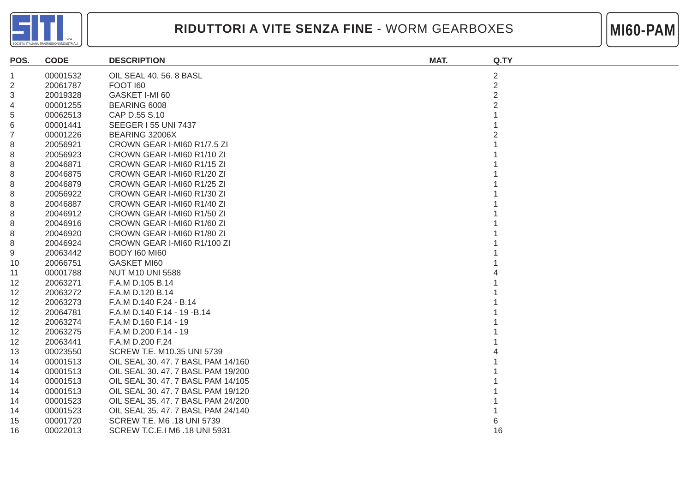



| POS.            | <b>CODE</b> | <b>DESCRIPTION</b>                 | MAT. | Q.TY           |
|-----------------|-------------|------------------------------------|------|----------------|
| 1               | 00001532    | OIL SEAL 40, 56, 8 BASL            |      | 2              |
| $\overline{c}$  | 20061787    | FOOT 160                           |      | $\overline{2}$ |
| 3               | 20019328    | GASKET I-MI 60                     |      | $\overline{2}$ |
| 4               | 00001255    | BEARING 6008                       |      |                |
| 5               | 00062513    | CAP D.55 S.10                      |      |                |
| 6               | 00001441    | <b>SEEGER 155 UNI 7437</b>         |      |                |
| 7               | 00001226    | BEARING 32006X                     |      |                |
| 8               | 20056921    | CROWN GEAR I-MI60 R1/7.5 ZI        |      |                |
| 8               | 20056923    | CROWN GEAR I-MI60 R1/10 ZI         |      |                |
| 8               | 20046871    | CROWN GEAR I-MI60 R1/15 ZI         |      |                |
| 8               | 20046875    | CROWN GEAR I-MI60 R1/20 ZI         |      |                |
| 8               | 20046879    | CROWN GEAR I-MI60 R1/25 ZI         |      |                |
| 8               | 20056922    | CROWN GEAR I-MI60 R1/30 ZI         |      |                |
| 8               | 20046887    | CROWN GEAR I-MI60 R1/40 ZI         |      |                |
| 8               | 20046912    | CROWN GEAR I-MI60 R1/50 ZI         |      |                |
| 8               | 20046916    | CROWN GEAR I-MI60 R1/60 ZI         |      |                |
| 8               | 20046920    | CROWN GEAR I-MI60 R1/80 ZI         |      |                |
| 8               | 20046924    | CROWN GEAR I-MI60 R1/100 ZI        |      |                |
| 9               | 20063442    | <b>BODY 160 MI60</b>               |      |                |
| 10              | 20066751    | <b>GASKET MI60</b>                 |      |                |
| 11              | 00001788    | <b>NUT M10 UNI 5588</b>            |      |                |
| 12              | 20063271    | F.A.M D.105 B.14                   |      |                |
| 12 <sup>°</sup> | 20063272    | F.A.M D.120 B.14                   |      |                |
| 12 <sup>°</sup> | 20063273    | F.A.M D.140 F.24 - B.14            |      |                |
| 12 <sup>°</sup> | 20064781    | F.A.M D.140 F.14 - 19 - B.14       |      |                |
| 12              | 20063274    | F.A.M D.160 F.14 - 19              |      |                |
| 12              | 20063275    | F.A.M D.200 F.14 - 19              |      |                |
| 12              | 20063441    | F.A.M D.200 F.24                   |      |                |
| 13              | 00023550    | SCREW T.E. M10.35 UNI 5739         |      |                |
| 14              | 00001513    | OIL SEAL 30, 47, 7 BASL PAM 14/160 |      |                |
| 14              | 00001513    | OIL SEAL 30, 47, 7 BASL PAM 19/200 |      |                |
| 14              | 00001513    | OIL SEAL 30, 47, 7 BASL PAM 14/105 |      |                |
| 14              | 00001513    | OIL SEAL 30, 47, 7 BASL PAM 19/120 |      |                |
| 14              | 00001523    | OIL SEAL 35, 47, 7 BASL PAM 24/200 |      |                |
| 14              | 00001523    | OIL SEAL 35, 47, 7 BASL PAM 24/140 |      |                |
| 15              | 00001720    | SCREW T.E. M6 .18 UNI 5739         |      |                |
| 16              | 00022013    | SCREW T.C.E.I M6 .18 UNI 5931      |      | 16             |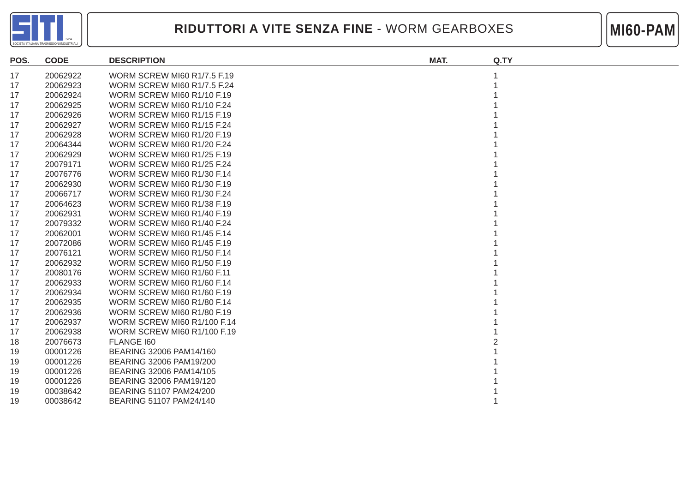



| POS. | <b>CODE</b> | <b>DESCRIPTION</b>                 | MAT. | Q.TY |
|------|-------------|------------------------------------|------|------|
| 17   | 20062922    | <b>WORM SCREW MI60 R1/7.5 F.19</b> |      |      |
| 17   | 20062923    | <b>WORM SCREW MI60 R1/7.5 F.24</b> |      |      |
| 17   | 20062924    | WORM SCREW MI60 R1/10 F.19         |      |      |
| 17   | 20062925    | WORM SCREW MI60 R1/10 F.24         |      |      |
| 17   | 20062926    | WORM SCREW MI60 R1/15 F.19         |      |      |
| 17   | 20062927    | WORM SCREW MI60 R1/15 F.24         |      |      |
| 17   | 20062928    | WORM SCREW MI60 R1/20 F.19         |      |      |
| 17   | 20064344    | WORM SCREW MI60 R1/20 F.24         |      |      |
| 17   | 20062929    | WORM SCREW MI60 R1/25 F.19         |      |      |
| 17   | 20079171    | WORM SCREW MI60 R1/25 F.24         |      |      |
| 17   | 20076776    | WORM SCREW MI60 R1/30 F.14         |      |      |
| 17   | 20062930    | WORM SCREW MI60 R1/30 F.19         |      |      |
| 17   | 20066717    | WORM SCREW MI60 R1/30 F.24         |      |      |
| 17   | 20064623    | WORM SCREW MI60 R1/38 F.19         |      |      |
| 17   | 20062931    | WORM SCREW MI60 R1/40 F.19         |      |      |
| 17   | 20079332    | WORM SCREW MI60 R1/40 F.24         |      |      |
| 17   | 20062001    | WORM SCREW MI60 R1/45 F.14         |      |      |
| 17   | 20072086    | WORM SCREW MI60 R1/45 F.19         |      |      |
| 17   | 20076121    | WORM SCREW MI60 R1/50 F.14         |      |      |
| 17   | 20062932    | WORM SCREW MI60 R1/50 F.19         |      |      |
| 17   | 20080176    | WORM SCREW MI60 R1/60 F.11         |      |      |
| 17   | 20062933    | WORM SCREW MI60 R1/60 F.14         |      |      |
| 17   | 20062934    | WORM SCREW MI60 R1/60 F.19         |      |      |
| 17   | 20062935    | WORM SCREW MI60 R1/80 F.14         |      |      |
| 17   | 20062936    | WORM SCREW MI60 R1/80 F.19         |      |      |
| 17   | 20062937    | <b>WORM SCREW MI60 R1/100 F.14</b> |      |      |
| 17   | 20062938    | WORM SCREW MI60 R1/100 F.19        |      |      |
| 18   | 20076673    | FLANGE 160                         |      |      |
| 19   | 00001226    | BEARING 32006 PAM14/160            |      |      |
| 19   | 00001226    | BEARING 32006 PAM19/200            |      |      |
| 19   | 00001226    | BEARING 32006 PAM14/105            |      |      |
| 19   | 00001226    | BEARING 32006 PAM19/120            |      |      |
| 19   | 00038642    | BEARING 51107 PAM24/200            |      |      |
| 19   | 00038642    | BEARING 51107 PAM24/140            |      |      |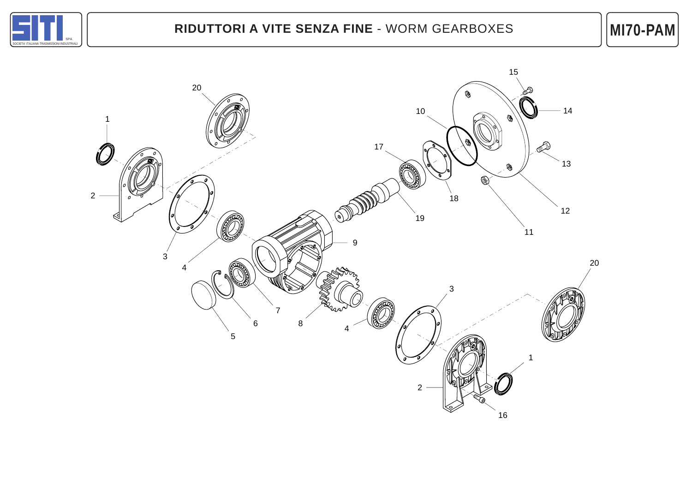

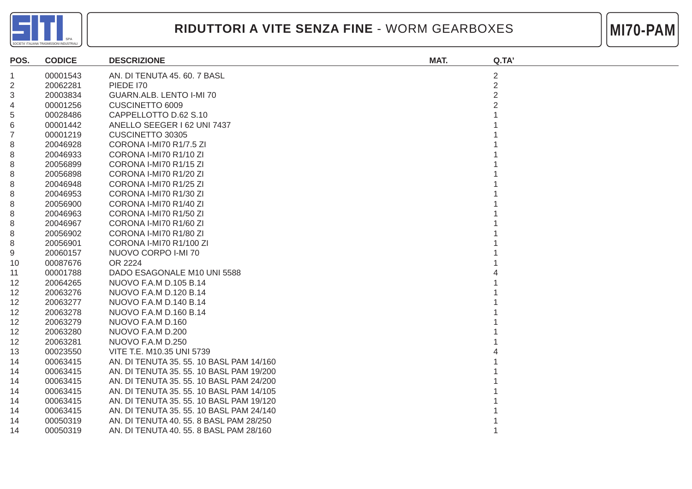



| POS.           | <b>CODICE</b> | <b>DESCRIZIONE</b>                       | MAT. | Q.TA' |
|----------------|---------------|------------------------------------------|------|-------|
| 1              | 00001543      | AN. DI TENUTA 45. 60. 7 BASL             |      | 2     |
| $\overline{2}$ | 20062281      | <b>PIEDE 170</b>                         |      | 2     |
| 3              | 20003834      | GUARN.ALB. LENTO I-MI 70                 |      | 2     |
| 4              | 00001256      | CUSCINETTO 6009                          |      |       |
| 5              | 00028486      | CAPPELLOTTO D.62 S.10                    |      |       |
| 6              | 00001442      | ANELLO SEEGER I 62 UNI 7437              |      |       |
| 7              | 00001219      | CUSCINETTO 30305                         |      |       |
| 8              | 20046928      | CORONA I-MI70 R1/7.5 ZI                  |      |       |
| 8              | 20046933      | CORONA I-MI70 R1/10 ZI                   |      |       |
| 8              | 20056899      | CORONA I-MI70 R1/15 ZI                   |      |       |
| 8              | 20056898      | CORONA I-MI70 R1/20 ZI                   |      |       |
| 8              | 20046948      | CORONA I-MI70 R1/25 ZI                   |      |       |
| 8              | 20046953      | CORONA I-MI70 R1/30 ZI                   |      |       |
| 8              | 20056900      | CORONA I-MI70 R1/40 ZI                   |      |       |
| 8              | 20046963      | CORONA I-MI70 R1/50 ZI                   |      |       |
| 8              | 20046967      | CORONA I-MI70 R1/60 ZI                   |      |       |
| 8              | 20056902      | CORONA I-MI70 R1/80 ZI                   |      |       |
| 8              | 20056901      | CORONA I-MI70 R1/100 ZI                  |      |       |
| 9              | 20060157      | NUOVO CORPO I-MI 70                      |      |       |
| 10             | 00087676      | OR 2224                                  |      |       |
| 11             | 00001788      | DADO ESAGONALE M10 UNI 5588              |      |       |
| 12             | 20064265      | NUOVO F.A.M D.105 B.14                   |      |       |
| 12             | 20063276      | NUOVO F.A.M D.120 B.14                   |      |       |
| 12             | 20063277      | NUOVO F.A.M D.140 B.14                   |      |       |
| 12             | 20063278      | NUOVO F.A.M D.160 B.14                   |      |       |
| 12             | 20063279      | NUOVO F.A.M D.160                        |      |       |
| 12             | 20063280      | NUOVO F.A.M D.200                        |      |       |
| 12             | 20063281      | NUOVO F.A.M D.250                        |      |       |
| 13             | 00023550      | VITE T.E. M10.35 UNI 5739                |      |       |
| 14             | 00063415      | AN. DI TENUTA 35, 55, 10 BASL PAM 14/160 |      |       |
| 14             | 00063415      | AN. DI TENUTA 35. 55. 10 BASL PAM 19/200 |      |       |
| 14             | 00063415      | AN. DI TENUTA 35. 55. 10 BASL PAM 24/200 |      |       |
| 14             | 00063415      | AN. DI TENUTA 35. 55. 10 BASL PAM 14/105 |      |       |
| 14             | 00063415      | AN. DI TENUTA 35. 55. 10 BASL PAM 19/120 |      |       |
| 14             | 00063415      | AN. DI TENUTA 35. 55. 10 BASL PAM 24/140 |      |       |
| 14             | 00050319      | AN. DI TENUTA 40. 55. 8 BASL PAM 28/250  |      |       |
| 14             | 00050319      | AN. DI TENUTA 40. 55. 8 BASL PAM 28/160  |      |       |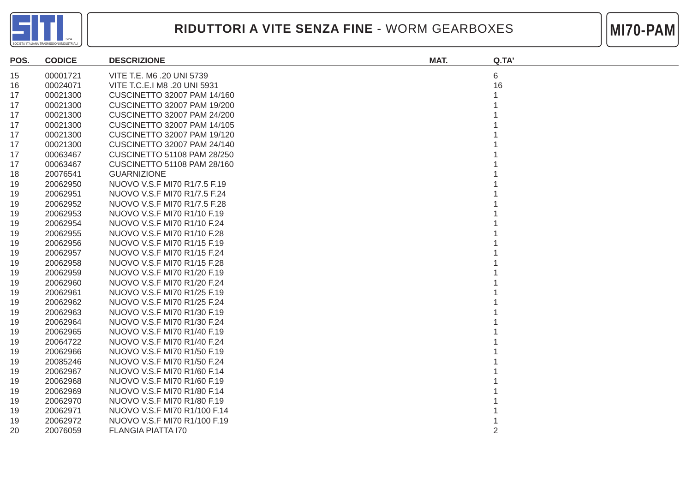



| POS. | <b>CODICE</b> | <b>DESCRIZIONE</b>                 | MAT. | Q.TA'          |
|------|---------------|------------------------------------|------|----------------|
| 15   | 00001721      | VITE T.E. M6 .20 UNI 5739          |      | 6              |
| 16   | 00024071      | VITE T.C.E.I M8 .20 UNI 5931       |      | 16             |
| 17   | 00021300      | <b>CUSCINETTO 32007 PAM 14/160</b> |      |                |
| 17   | 00021300      | <b>CUSCINETTO 32007 PAM 19/200</b> |      |                |
| 17   | 00021300      | <b>CUSCINETTO 32007 PAM 24/200</b> |      |                |
| 17   | 00021300      | <b>CUSCINETTO 32007 PAM 14/105</b> |      |                |
| 17   | 00021300      | <b>CUSCINETTO 32007 PAM 19/120</b> |      |                |
| 17   | 00021300      | CUSCINETTO 32007 PAM 24/140        |      |                |
| 17   | 00063467      | <b>CUSCINETTO 51108 PAM 28/250</b> |      |                |
| 17   | 00063467      | <b>CUSCINETTO 51108 PAM 28/160</b> |      |                |
| 18   | 20076541      | <b>GUARNIZIONE</b>                 |      |                |
| 19   | 20062950      | NUOVO V.S.F MI70 R1/7.5 F.19       |      |                |
| 19   | 20062951      | NUOVO V.S.F MI70 R1/7.5 F.24       |      |                |
| 19   | 20062952      | NUOVO V.S.F MI70 R1/7.5 F.28       |      |                |
| 19   | 20062953      | NUOVO V.S.F MI70 R1/10 F.19        |      |                |
| 19   | 20062954      | NUOVO V.S.F MI70 R1/10 F.24        |      |                |
| 19   | 20062955      | NUOVO V.S.F MI70 R1/10 F.28        |      |                |
| 19   | 20062956      | NUOVO V.S.F MI70 R1/15 F.19        |      |                |
| 19   | 20062957      | NUOVO V.S.F MI70 R1/15 F.24        |      |                |
| 19   | 20062958      | NUOVO V.S.F MI70 R1/15 F.28        |      |                |
| 19   | 20062959      | NUOVO V.S.F MI70 R1/20 F.19        |      |                |
| 19   | 20062960      | NUOVO V.S.F MI70 R1/20 F.24        |      |                |
| 19   | 20062961      | NUOVO V.S.F MI70 R1/25 F.19        |      |                |
| 19   | 20062962      | NUOVO V.S.F MI70 R1/25 F.24        |      |                |
| 19   | 20062963      | NUOVO V.S.F MI70 R1/30 F.19        |      |                |
| 19   | 20062964      | NUOVO V.S.F MI70 R1/30 F.24        |      |                |
| 19   | 20062965      | NUOVO V.S.F MI70 R1/40 F.19        |      |                |
| 19   | 20064722      | NUOVO V.S.F MI70 R1/40 F.24        |      |                |
| 19   | 20062966      | NUOVO V.S.F MI70 R1/50 F.19        |      |                |
| 19   | 20085246      | NUOVO V.S.F MI70 R1/50 F.24        |      |                |
| 19   | 20062967      | NUOVO V.S.F MI70 R1/60 F.14        |      |                |
| 19   | 20062968      | NUOVO V.S.F MI70 R1/60 F.19        |      |                |
| 19   | 20062969      | NUOVO V.S.F MI70 R1/80 F.14        |      |                |
| 19   | 20062970      | NUOVO V.S.F MI70 R1/80 F.19        |      |                |
| 19   | 20062971      | NUOVO V.S.F MI70 R1/100 F.14       |      |                |
| 19   | 20062972      | NUOVO V.S.F MI70 R1/100 F.19       |      |                |
| 20   | 20076059      | <b>FLANGIA PIATTA 170</b>          |      | $\overline{2}$ |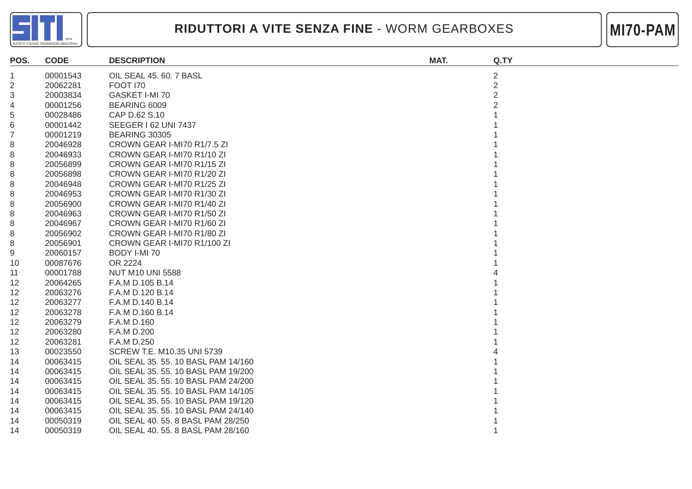



| POS.           | <b>CODE</b> | <b>DESCRIPTION</b>                  | MAT. | Q.TY           |
|----------------|-------------|-------------------------------------|------|----------------|
| -1             | 00001543    | OIL SEAL 45. 60. 7 BASL             |      | $\overline{c}$ |
| $\overline{2}$ | 20062281    | <b>FOOT 170</b>                     |      | $\overline{2}$ |
| 3              | 20003834    | GASKET I-MI 70                      |      | $\overline{2}$ |
| 4              | 00001256    | BEARING 6009                        |      |                |
| 5              | 00028486    | CAP D.62 S.10                       |      |                |
| 6              | 00001442    | <b>SEEGER 162 UNI 7437</b>          |      |                |
| 7              | 00001219    | <b>BEARING 30305</b>                |      |                |
| 8              | 20046928    | CROWN GEAR I-MI70 R1/7.5 ZI         |      |                |
| 8              | 20046933    | CROWN GEAR I-MI70 R1/10 ZI          |      |                |
| 8              | 20056899    | CROWN GEAR I-MI70 R1/15 ZI          |      |                |
| 8              | 20056898    | CROWN GEAR I-MI70 R1/20 ZI          |      |                |
| 8              | 20046948    | CROWN GEAR I-MI70 R1/25 ZI          |      |                |
| 8              | 20046953    | CROWN GEAR I-MI70 R1/30 ZI          |      |                |
| 8              | 20056900    | CROWN GEAR I-MI70 R1/40 ZI          |      |                |
| 8              | 20046963    | CROWN GEAR I-MI70 R1/50 ZI          |      |                |
| 8              | 20046967    | CROWN GEAR I-MI70 R1/60 ZI          |      |                |
| 8              | 20056902    | CROWN GEAR I-MI70 R1/80 ZI          |      |                |
| 8              | 20056901    | CROWN GEAR I-MI70 R1/100 ZI         |      |                |
| 9              | 20060157    | BODY I-MI 70                        |      |                |
| 10             | 00087676    | OR 2224                             |      |                |
| 11             | 00001788    | <b>NUT M10 UNI 5588</b>             |      |                |
| 12             | 20064265    | F.A.M D.105 B.14                    |      |                |
| 12             | 20063276    | F.A.M D.120 B.14                    |      |                |
| 12             | 20063277    | F.A.M D.140 B.14                    |      |                |
| 12             | 20063278    | F.A.M D.160 B.14                    |      |                |
| 12             | 20063279    | F.A.M D.160                         |      |                |
| 12             | 20063280    | F.A.M D.200                         |      |                |
| 12             | 20063281    | F.A.M D.250                         |      |                |
| 13             | 00023550    | SCREW T.E. M10.35 UNI 5739          |      |                |
| 14             | 00063415    | OIL SEAL 35, 55, 10 BASL PAM 14/160 |      |                |
| 14             | 00063415    | OIL SEAL 35. 55. 10 BASL PAM 19/200 |      |                |
| 14             | 00063415    | OIL SEAL 35. 55. 10 BASL PAM 24/200 |      |                |
| 14             | 00063415    | OIL SEAL 35. 55. 10 BASL PAM 14/105 |      |                |
| 14             | 00063415    | OIL SEAL 35, 55, 10 BASL PAM 19/120 |      |                |
| 14             | 00063415    | OIL SEAL 35. 55. 10 BASL PAM 24/140 |      |                |
| 14             | 00050319    | OIL SEAL 40. 55. 8 BASL PAM 28/250  |      |                |
| 14             | 00050319    | OIL SEAL 40. 55. 8 BASL PAM 28/160  |      |                |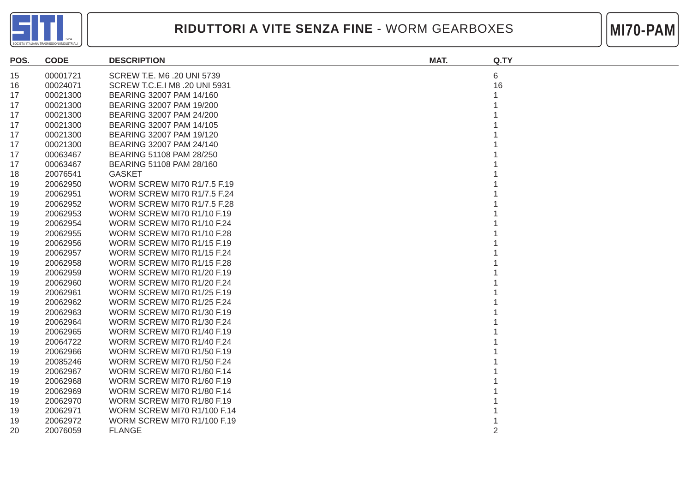



| POS. | <b>CODE</b> | <b>DESCRIPTION</b>                 | MAT. | Q.TY |
|------|-------------|------------------------------------|------|------|
| 15   | 00001721    | SCREW T.E. M6 .20 UNI 5739         |      | 6    |
| 16   | 00024071    | SCREW T.C.E.I M8 .20 UNI 5931      |      | 16   |
| 17   | 00021300    | BEARING 32007 PAM 14/160           |      |      |
| 17   | 00021300    | BEARING 32007 PAM 19/200           |      |      |
| 17   | 00021300    | BEARING 32007 PAM 24/200           |      |      |
| 17   | 00021300    | BEARING 32007 PAM 14/105           |      |      |
| 17   | 00021300    | BEARING 32007 PAM 19/120           |      |      |
| 17   | 00021300    | BEARING 32007 PAM 24/140           |      |      |
| 17   | 00063467    | BEARING 51108 PAM 28/250           |      |      |
| 17   | 00063467    | BEARING 51108 PAM 28/160           |      |      |
| 18   | 20076541    | <b>GASKET</b>                      |      |      |
| 19   | 20062950    | <b>WORM SCREW MI70 R1/7.5 F.19</b> |      |      |
| 19   | 20062951    | <b>WORM SCREW MI70 R1/7.5 F.24</b> |      |      |
| 19   | 20062952    | <b>WORM SCREW MI70 R1/7.5 F.28</b> |      |      |
| 19   | 20062953    | WORM SCREW MI70 R1/10 F.19         |      |      |
| 19   | 20062954    | WORM SCREW MI70 R1/10 F.24         |      |      |
| 19   | 20062955    | WORM SCREW MI70 R1/10 F.28         |      |      |
| 19   | 20062956    | WORM SCREW MI70 R1/15 F.19         |      |      |
| 19   | 20062957    | WORM SCREW MI70 R1/15 F.24         |      |      |
| 19   | 20062958    | WORM SCREW MI70 R1/15 F.28         |      |      |
| 19   | 20062959    | WORM SCREW MI70 R1/20 F.19         |      |      |
| 19   | 20062960    | WORM SCREW MI70 R1/20 F.24         |      |      |
| 19   | 20062961    | WORM SCREW MI70 R1/25 F.19         |      |      |
| 19   | 20062962    | WORM SCREW MI70 R1/25 F.24         |      |      |
| 19   | 20062963    | WORM SCREW MI70 R1/30 F.19         |      |      |
| 19   | 20062964    | WORM SCREW MI70 R1/30 F.24         |      |      |
| 19   | 20062965    | WORM SCREW MI70 R1/40 F.19         |      |      |
| 19   | 20064722    | WORM SCREW MI70 R1/40 F.24         |      |      |
| 19   | 20062966    | WORM SCREW MI70 R1/50 F.19         |      |      |
| 19   | 20085246    | WORM SCREW MI70 R1/50 F.24         |      |      |
| 19   | 20062967    | WORM SCREW MI70 R1/60 F.14         |      |      |
| 19   | 20062968    | WORM SCREW MI70 R1/60 F.19         |      |      |
| 19   | 20062969    | WORM SCREW MI70 R1/80 F.14         |      |      |
| 19   | 20062970    | WORM SCREW MI70 R1/80 F.19         |      |      |
| 19   | 20062971    | <b>WORM SCREW MI70 R1/100 F.14</b> |      |      |
| 19   | 20062972    | <b>WORM SCREW MI70 R1/100 F.19</b> |      |      |
| 20   | 20076059    | <b>FLANGE</b>                      |      | 2    |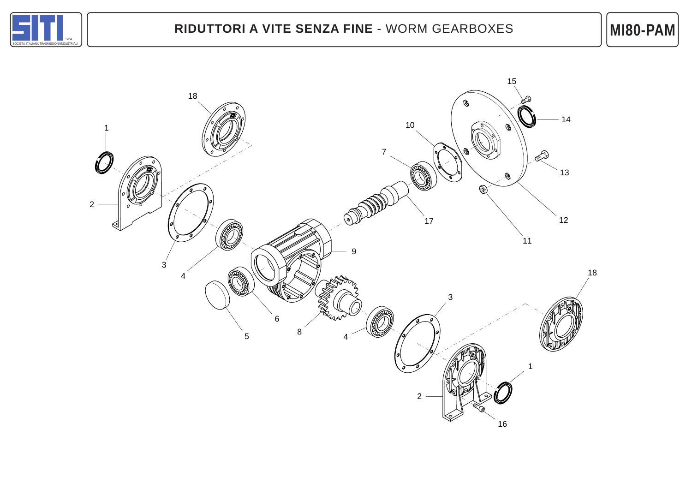

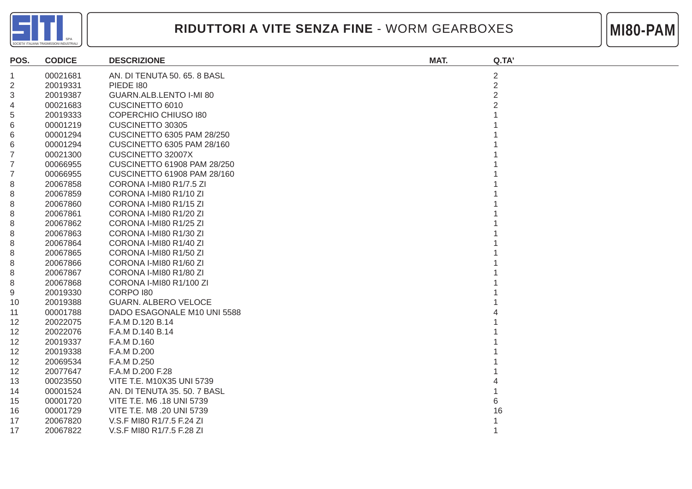



| POS.              | <b>CODICE</b> | <b>DESCRIZIONE</b>                | MAT. | Q.TA'          |
|-------------------|---------------|-----------------------------------|------|----------------|
|                   | 00021681      | AN. DI TENUTA 50. 65. 8 BASL      |      | $\overline{c}$ |
| 2                 | 20019331      | PIEDE 180                         |      | $\overline{2}$ |
| 3                 | 20019387      | GUARN.ALB.LENTO I-MI 80           |      | $\overline{2}$ |
| 4                 | 00021683      | CUSCINETTO 6010                   |      | 2              |
| 5                 | 20019333      | <b>COPERCHIO CHIUSO 180</b>       |      |                |
| 6                 | 00001219      | CUSCINETTO 30305                  |      |                |
| 6                 | 00001294      | <b>CUSCINETTO 6305 PAM 28/250</b> |      |                |
| 6                 | 00001294      | CUSCINETTO 6305 PAM 28/160        |      |                |
| 7                 | 00021300      | <b>CUSCINETTO 32007X</b>          |      |                |
|                   | 00066955      | CUSCINETTO 61908 PAM 28/250       |      |                |
|                   | 00066955      | CUSCINETTO 61908 PAM 28/160       |      |                |
| 8                 | 20067858      | CORONA I-MI80 R1/7.5 ZI           |      |                |
| 8                 | 20067859      | CORONA I-MI80 R1/10 ZI            |      |                |
| 8                 | 20067860      | CORONA I-MI80 R1/15 ZI            |      |                |
| 8                 | 20067861      | CORONA I-MI80 R1/20 ZI            |      |                |
| 8                 | 20067862      | CORONA I-MI80 R1/25 ZI            |      |                |
| 8                 | 20067863      | CORONA I-MI80 R1/30 ZI            |      |                |
| 8                 | 20067864      | CORONA I-MI80 R1/40 ZI            |      |                |
| 8                 | 20067865      | CORONA I-MI80 R1/50 ZI            |      |                |
| 8                 | 20067866      | CORONA I-MI80 R1/60 ZI            |      |                |
| 8                 | 20067867      | CORONA I-MI80 R1/80 ZI            |      |                |
| 8                 | 20067868      | CORONA I-MI80 R1/100 ZI           |      |                |
| 9                 | 20019330      | <b>CORPO 180</b>                  |      |                |
| 10                | 20019388      | <b>GUARN. ALBERO VELOCE</b>       |      |                |
| 11                | 00001788      | DADO ESAGONALE M10 UNI 5588       |      |                |
| 12                | 20022075      | F.A.M D.120 B.14                  |      |                |
| 12                | 20022076      | F.A.M D.140 B.14                  |      |                |
| $12 \overline{ }$ | 20019337      | F.A.M D.160                       |      |                |
| 12                | 20019338      | F.A.M D.200                       |      |                |
| 12                | 20069534      | F.A.M D.250                       |      |                |
| 12                | 20077647      | F.A.M D.200 F.28                  |      |                |
| 13                | 00023550      | VITE T.E. M10X35 UNI 5739         |      |                |
| 14                | 00001524      | AN. DI TENUTA 35. 50. 7 BASL      |      |                |
| 15                | 00001720      | VITE T.E. M6 .18 UNI 5739         |      | 6              |
| 16                | 00001729      | VITE T.E. M8 .20 UNI 5739         |      | 16             |
| 17                | 20067820      | V.S.F MI80 R1/7.5 F.24 ZI         |      |                |
| 17                | 20067822      | V.S.F MI80 R1/7.5 F.28 ZI         |      |                |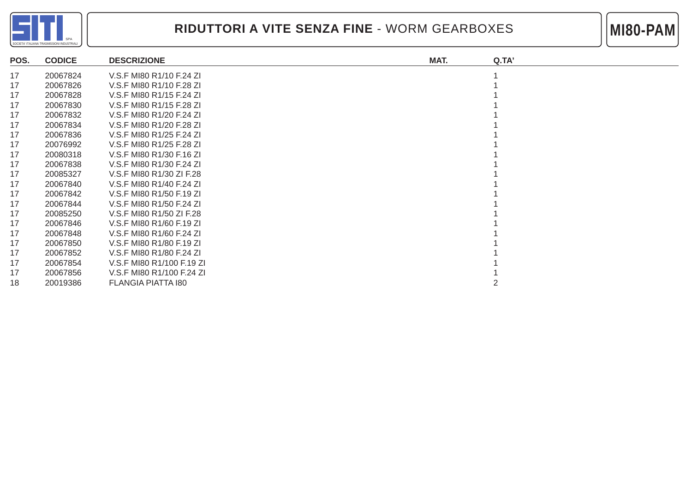



| POS. | <b>CODICE</b> | <b>DESCRIZIONE</b>        | MAT. | Q.TA' |
|------|---------------|---------------------------|------|-------|
| 17   | 20067824      | V.S.F MI80 R1/10 F.24 ZI  |      |       |
| 17   | 20067826      | V.S.F MI80 R1/10 F.28 ZI  |      |       |
| 17   | 20067828      | V.S.F MI80 R1/15 F.24 ZI  |      |       |
| 17   | 20067830      | V.S.F MI80 R1/15 F.28 ZI  |      |       |
| 17   | 20067832      | V.S.F MI80 R1/20 F.24 ZI  |      |       |
| 17   | 20067834      | V.S.F MI80 R1/20 F.28 ZI  |      |       |
| 17   | 20067836      | V.S.F MI80 R1/25 F.24 ZI  |      |       |
| 17   | 20076992      | V.S.F MI80 R1/25 F.28 ZI  |      |       |
| 17   | 20080318      | V.S.F MI80 R1/30 F.16 ZI  |      |       |
| 17   | 20067838      | V.S.F MI80 R1/30 F.24 ZI  |      |       |
| 17   | 20085327      | V.S.F MI80 R1/30 ZI F.28  |      |       |
| 17   | 20067840      | V.S.F MI80 R1/40 F.24 ZI  |      |       |
| 17   | 20067842      | V.S.F MI80 R1/50 F.19 ZI  |      |       |
| 17   | 20067844      | V.S.F MI80 R1/50 F.24 ZI  |      |       |
| 17   | 20085250      | V.S.F MI80 R1/50 ZI F.28  |      |       |
| 17   | 20067846      | V.S.F MI80 R1/60 F.19 ZI  |      |       |
| 17   | 20067848      | V.S.F MI80 R1/60 F.24 ZI  |      |       |
| 17   | 20067850      | V.S.F MI80 R1/80 F.19 ZI  |      |       |
| 17   | 20067852      | V.S.F MI80 R1/80 F.24 ZI  |      |       |
| 17   | 20067854      | V.S.F MI80 R1/100 F.19 ZI |      |       |
| 17   | 20067856      | V.S.F MI80 R1/100 F.24 ZI |      |       |
| 18   | 20019386      | FLANGIA PIATTA 180        |      |       |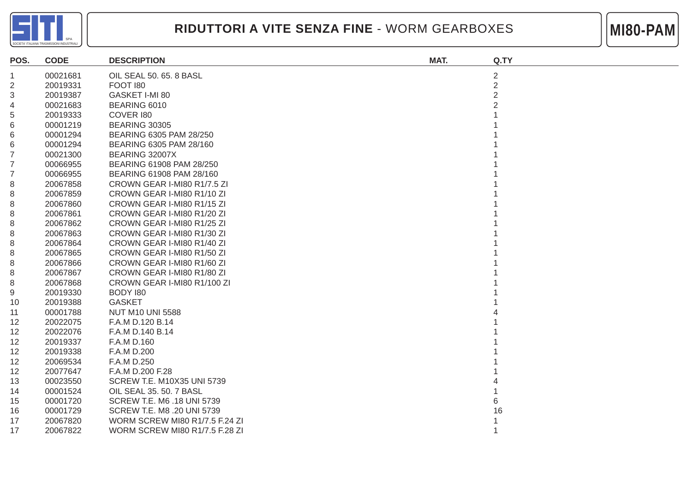



| POS.           | <b>CODE</b> | <b>DESCRIPTION</b>                    | MAT. | Q.TY           |
|----------------|-------------|---------------------------------------|------|----------------|
| 1              | 00021681    | OIL SEAL 50, 65, 8 BASL               |      | $\overline{2}$ |
| $\overline{2}$ | 20019331    | FOOT 180                              |      | $\overline{2}$ |
| 3              | 20019387    | GASKET I-MI 80                        |      | $\overline{2}$ |
| 4              | 00021683    | BEARING 6010                          |      |                |
| 5              | 20019333    | COVER 180                             |      |                |
| 6              | 00001219    | <b>BEARING 30305</b>                  |      |                |
| 6              | 00001294    | BEARING 6305 PAM 28/250               |      |                |
| 6              | 00001294    | BEARING 6305 PAM 28/160               |      |                |
| 7              | 00021300    | BEARING 32007X                        |      |                |
|                | 00066955    | BEARING 61908 PAM 28/250              |      |                |
| 7              | 00066955    | BEARING 61908 PAM 28/160              |      |                |
| 8              | 20067858    | CROWN GEAR I-MI80 R1/7.5 ZI           |      |                |
| 8              | 20067859    | CROWN GEAR I-MI80 R1/10 ZI            |      |                |
| 8              | 20067860    | CROWN GEAR I-MI80 R1/15 ZI            |      |                |
| 8              | 20067861    | CROWN GEAR I-MI80 R1/20 ZI            |      |                |
| 8              | 20067862    | CROWN GEAR I-MI80 R1/25 ZI            |      |                |
| 8              | 20067863    | CROWN GEAR I-MI80 R1/30 ZI            |      |                |
| 8              | 20067864    | CROWN GEAR I-MI80 R1/40 ZI            |      |                |
| 8              | 20067865    | CROWN GEAR I-MI80 R1/50 ZI            |      |                |
| 8              | 20067866    | CROWN GEAR I-MI80 R1/60 ZI            |      |                |
| 8              | 20067867    | CROWN GEAR I-MI80 R1/80 ZI            |      |                |
| 8              | 20067868    | CROWN GEAR I-MI80 R1/100 ZI           |      |                |
| 9              | 20019330    | BODY 180                              |      |                |
| 10             | 20019388    | <b>GASKET</b>                         |      |                |
| 11             | 00001788    | <b>NUT M10 UNI 5588</b>               |      |                |
| 12             | 20022075    | F.A.M D.120 B.14                      |      |                |
| 12             | 20022076    | F.A.M D.140 B.14                      |      |                |
| 12             | 20019337    | F.A.M D.160                           |      |                |
| 12             | 20019338    | F.A.M D.200                           |      |                |
| 12             | 20069534    | F.A.M D.250                           |      |                |
| 12             | 20077647    | F.A.M D.200 F.28                      |      |                |
| 13             | 00023550    | <b>SCREW T.E. M10X35 UNI 5739</b>     |      |                |
| 14             | 00001524    | OIL SEAL 35. 50. 7 BASL               |      |                |
| 15             | 00001720    | <b>SCREW T.E. M6 .18 UNI 5739</b>     |      |                |
| 16             | 00001729    | SCREW T.E. M8 .20 UNI 5739            |      | 16             |
| 17             | 20067820    | <b>WORM SCREW MI80 R1/7.5 F.24 ZI</b> |      |                |
| 17             | 20067822    | <b>WORM SCREW MI80 R1/7.5 F.28 ZI</b> |      |                |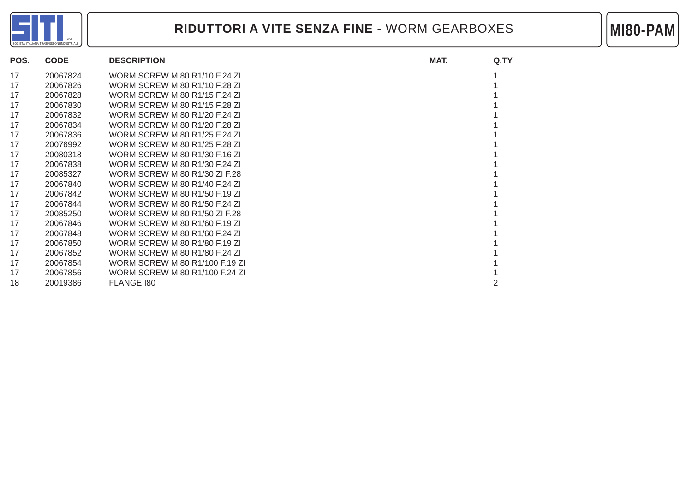

#### **RIDUTTORI A VITE SENZA FINE** - WORM GEARBOXES



| POS. | <b>CODE</b> | <b>DESCRIPTION</b>                   | MAT. | Q.TY |
|------|-------------|--------------------------------------|------|------|
| 17   | 20067824    | WORM SCREW MI80 R1/10 F.24 ZI        |      |      |
| 17   | 20067826    | WORM SCREW MI80 R1/10 F.28 ZI        |      |      |
| 17   | 20067828    | WORM SCREW MI80 R1/15 F.24 ZI        |      |      |
| 17   | 20067830    | WORM SCREW MI80 R1/15 F.28 ZI        |      |      |
| 17   | 20067832    | WORM SCREW MI80 R1/20 F.24 ZI        |      |      |
| 17   | 20067834    | WORM SCREW MI80 R1/20 F.28 ZI        |      |      |
| 17   | 20067836    | WORM SCREW MI80 R1/25 F.24 ZI        |      |      |
| 17   | 20076992    | <b>WORM SCREW MI80 R1/25 F.28 ZI</b> |      |      |
| 17   | 20080318    | WORM SCREW MI80 R1/30 F.16 ZI        |      |      |
| 17   | 20067838    | WORM SCREW MI80 R1/30 F.24 ZI        |      |      |
| 17   | 20085327    | WORM SCREW MI80 R1/30 ZI F.28        |      |      |
| 17   | 20067840    | WORM SCREW MI80 R1/40 F.24 ZI        |      |      |
| 17   | 20067842    | WORM SCREW MI80 R1/50 F.19 ZI        |      |      |
| 17   | 20067844    | WORM SCREW MI80 R1/50 F.24 ZI        |      |      |
| 17   | 20085250    | WORM SCREW MI80 R1/50 ZI F.28        |      |      |
| 17   | 20067846    | WORM SCREW MI80 R1/60 F.19 ZI        |      |      |
| 17   | 20067848    | WORM SCREW MI80 R1/60 F.24 ZI        |      |      |
| 17   | 20067850    | WORM SCREW MI80 R1/80 F.19 ZI        |      |      |
| 17   | 20067852    | WORM SCREW MI80 R1/80 F.24 ZI        |      |      |
| 17   | 20067854    | WORM SCREW MI80 R1/100 F.19 ZI       |      |      |
| 17   | 20067856    | WORM SCREW MI80 R1/100 F.24 ZI       |      |      |
| 18   | 20019386    | FLANGE 180                           |      |      |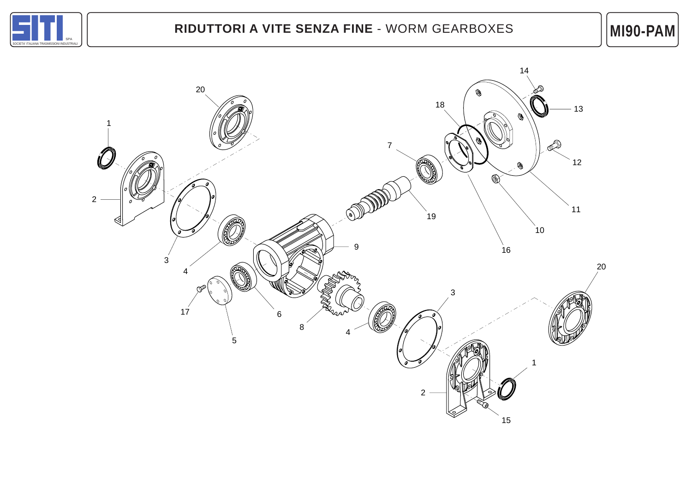

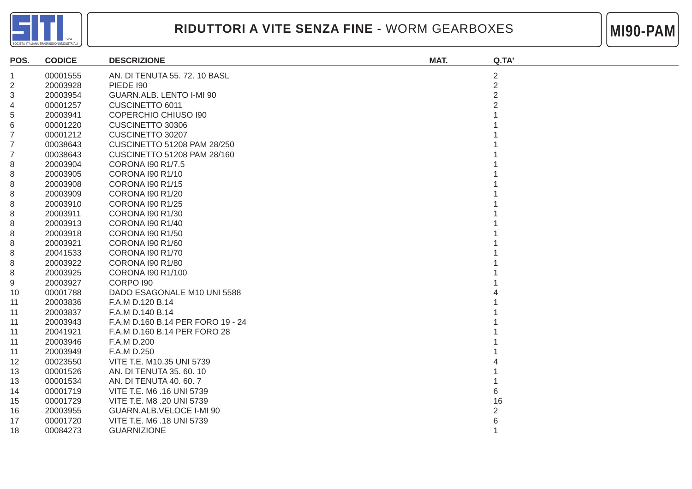



| POS. | <b>CODICE</b> | <b>DESCRIZIONE</b>                 | MAT. | Q.TA'          |
|------|---------------|------------------------------------|------|----------------|
| 1    | 00001555      | AN. DI TENUTA 55. 72. 10 BASL      |      | $\overline{2}$ |
| 2    | 20003928      | <b>PIEDE 190</b>                   |      | $\overline{2}$ |
| 3    | 20003954      | GUARN.ALB. LENTO I-MI 90           |      | $\overline{2}$ |
| 4    | 00001257      | CUSCINETTO 6011                    |      |                |
| 5    | 20003941      | <b>COPERCHIO CHIUSO 190</b>        |      |                |
| 6    | 00001220      | CUSCINETTO 30306                   |      |                |
|      | 00001212      | CUSCINETTO 30207                   |      |                |
|      | 00038643      | <b>CUSCINETTO 51208 PAM 28/250</b> |      |                |
|      | 00038643      | CUSCINETTO 51208 PAM 28/160        |      |                |
| 8    | 20003904      | CORONA I90 R1/7.5                  |      |                |
| 8    | 20003905      | CORONA I90 R1/10                   |      |                |
| 8    | 20003908      | <b>CORONA I90 R1/15</b>            |      |                |
| 8    | 20003909      | <b>CORONA I90 R1/20</b>            |      |                |
| 8    | 20003910      | <b>CORONA I90 R1/25</b>            |      |                |
| 8    | 20003911      | CORONA I90 R1/30                   |      |                |
| 8    | 20003913      | <b>CORONA 190 R1/40</b>            |      |                |
| 8    | 20003918      | <b>CORONA 190 R1/50</b>            |      |                |
| 8    | 20003921      | CORONA I90 R1/60                   |      |                |
| 8    | 20041533      | CORONA I90 R1/70                   |      |                |
| 8    | 20003922      | <b>CORONA 190 R1/80</b>            |      |                |
| 8    | 20003925      | CORONA I90 R1/100                  |      |                |
| 9    | 20003927      | <b>CORPO 190</b>                   |      |                |
| 10   | 00001788      | DADO ESAGONALE M10 UNI 5588        |      |                |
| 11   | 20003836      | F.A.M D.120 B.14                   |      |                |
| 11   | 20003837      | F.A.M D.140 B.14                   |      |                |
| 11   | 20003943      | F.A.M D.160 B.14 PER FORO 19 - 24  |      |                |
| 11   | 20041921      | F.A.M D.160 B.14 PER FORO 28       |      |                |
| 11   | 20003946      | F.A.M D.200                        |      |                |
| 11   | 20003949      | F.A.M D.250                        |      |                |
| 12   | 00023550      | VITE T.E. M10.35 UNI 5739          |      |                |
| 13   | 00001526      | AN. DI TENUTA 35.60.10             |      |                |
| 13   | 00001534      | AN. DI TENUTA 40. 60. 7            |      |                |
| 14   | 00001719      | VITE T.E. M6 .16 UNI 5739          |      | 6              |
| 15   | 00001729      | VITE T.E. M8 .20 UNI 5739          |      | 16             |
| 16   | 20003955      | GUARN.ALB.VELOCE I-MI 90           |      | 2              |
| 17   | 00001720      | VITE T.E. M6 .18 UNI 5739          |      | 6              |
| 18   | 00084273      | <b>GUARNIZIONE</b>                 |      |                |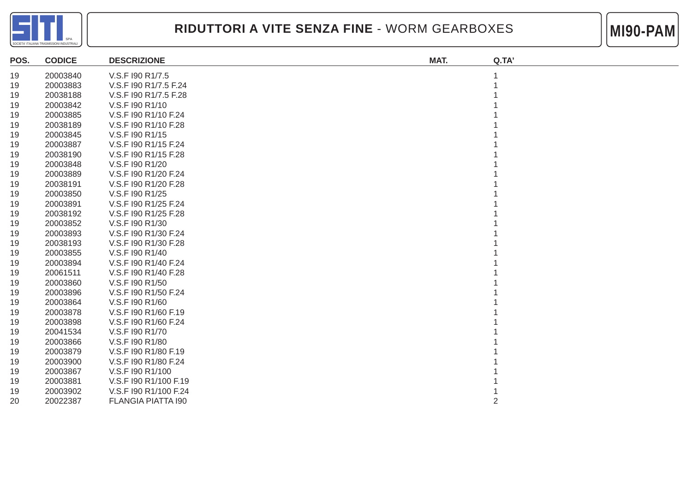



| POS. | <b>CODICE</b> | <b>DESCRIZIONE</b>        | MAT. | Q.TA' |
|------|---------------|---------------------------|------|-------|
| 19   | 20003840      | V.S.F I90 R1/7.5          |      |       |
| 19   | 20003883      | V.S.F I90 R1/7.5 F.24     |      |       |
| 19   | 20038188      | V.S.F I90 R1/7.5 F.28     |      |       |
| 19   | 20003842      | V.S.F 190 R1/10           |      |       |
| 19   | 20003885      | V.S.F 190 R1/10 F.24      |      |       |
| 19   | 20038189      | V.S.F 190 R1/10 F.28      |      |       |
| 19   | 20003845      | V.S.F 190 R1/15           |      |       |
| 19   | 20003887      | V.S.F 190 R1/15 F.24      |      |       |
| 19   | 20038190      | V.S.F 190 R1/15 F.28      |      |       |
| 19   | 20003848      | V.S.F 190 R1/20           |      |       |
| 19   | 20003889      | V.S.F 190 R1/20 F.24      |      |       |
| 19   | 20038191      | V.S.F 190 R1/20 F.28      |      |       |
| 19   | 20003850      | V.S.F 190 R1/25           |      |       |
| 19   | 20003891      | V.S.F I90 R1/25 F.24      |      |       |
| 19   | 20038192      | V.S.F I90 R1/25 F.28      |      |       |
| 19   | 20003852      | V.S.F 190 R1/30           |      |       |
| 19   | 20003893      | V.S.F 190 R1/30 F.24      |      |       |
| 19   | 20038193      | V.S.F 190 R1/30 F.28      |      |       |
| 19   | 20003855      | V.S.F 190 R1/40           |      |       |
| 19   | 20003894      | V.S.F 190 R1/40 F.24      |      |       |
| 19   | 20061511      | V.S.F 190 R1/40 F.28      |      |       |
| 19   | 20003860      | V.S.F 190 R1/50           |      |       |
| 19   | 20003896      | V.S.F 190 R1/50 F.24      |      |       |
| 19   | 20003864      | V.S.F 190 R1/60           |      |       |
| 19   | 20003878      | V.S.F 190 R1/60 F.19      |      |       |
| 19   | 20003898      | V.S.F 190 R1/60 F.24      |      |       |
| 19   | 20041534      | V.S.F 190 R1/70           |      |       |
| 19   | 20003866      | V.S.F 190 R1/80           |      |       |
| 19   | 20003879      | V.S.F 190 R1/80 F.19      |      |       |
| 19   | 20003900      | V.S.F 190 R1/80 F.24      |      |       |
| 19   | 20003867      | V.S.F 190 R1/100          |      |       |
| 19   | 20003881      | V.S.F I90 R1/100 F.19     |      |       |
| 19   | 20003902      | V.S.F I90 R1/100 F.24     |      |       |
| 20   | 20022387      | <b>FLANGIA PIATTA 190</b> |      | 2     |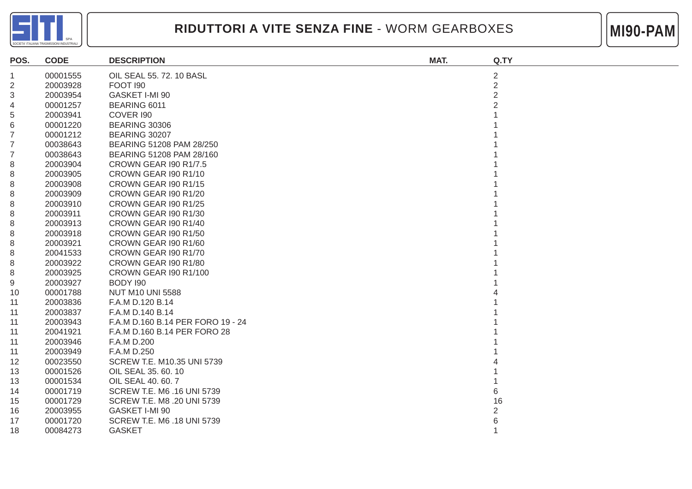



| POS.           | <b>CODE</b> | <b>DESCRIPTION</b>                | MAT. | Q.TY           |
|----------------|-------------|-----------------------------------|------|----------------|
| 1              | 00001555    | OIL SEAL 55. 72. 10 BASL          |      | $\overline{2}$ |
| $\overline{2}$ | 20003928    | <b>FOOT 190</b>                   |      | $\overline{2}$ |
| 3              | 20003954    | GASKET I-MI 90                    |      | $\overline{2}$ |
| 4              | 00001257    | BEARING 6011                      |      |                |
| 5              | 20003941    | COVER 190                         |      |                |
| 6              | 00001220    | <b>BEARING 30306</b>              |      |                |
| 7              | 00001212    | BEARING 30207                     |      |                |
| 7              | 00038643    | BEARING 51208 PAM 28/250          |      |                |
| 7              | 00038643    | BEARING 51208 PAM 28/160          |      |                |
| 8              | 20003904    | <b>CROWN GEAR 190 R1/7.5</b>      |      |                |
| 8              | 20003905    | CROWN GEAR 190 R1/10              |      |                |
| 8              | 20003908    | CROWN GEAR I90 R1/15              |      |                |
| 8              | 20003909    | CROWN GEAR I90 R1/20              |      |                |
| 8              | 20003910    | CROWN GEAR I90 R1/25              |      |                |
| 8              | 20003911    | CROWN GEAR 190 R1/30              |      |                |
| 8              | 20003913    | CROWN GEAR 190 R1/40              |      |                |
| 8              | 20003918    | CROWN GEAR I90 R1/50              |      |                |
| 8              | 20003921    | CROWN GEAR 190 R1/60              |      |                |
| 8              | 20041533    | CROWN GEAR 190 R1/70              |      |                |
| 8              | 20003922    | CROWN GEAR 190 R1/80              |      |                |
| 8              | 20003925    | CROWN GEAR I90 R1/100             |      |                |
| 9              | 20003927    | BODY 190                          |      |                |
| 10             | 00001788    | <b>NUT M10 UNI 5588</b>           |      |                |
| 11             | 20003836    | F.A.M D.120 B.14                  |      |                |
| 11             | 20003837    | F.A.M D.140 B.14                  |      |                |
| 11             | 20003943    | F.A.M D.160 B.14 PER FORO 19 - 24 |      |                |
| 11             | 20041921    | F.A.M D.160 B.14 PER FORO 28      |      |                |
| 11             | 20003946    | F.A.M D.200                       |      |                |
| 11             | 20003949    | F.A.M D.250                       |      |                |
| 12             | 00023550    | SCREW T.E. M10.35 UNI 5739        |      |                |
| 13             | 00001526    | OIL SEAL 35. 60. 10               |      |                |
| 13             | 00001534    | OIL SEAL 40, 60, 7                |      |                |
| 14             | 00001719    | SCREW T.E. M6 .16 UNI 5739        |      | 6              |
| 15             | 00001729    | SCREW T.E. M8 .20 UNI 5739        |      | 16             |
| 16             | 20003955    | GASKET I-MI 90                    |      | $\overline{2}$ |
| 17             | 00001720    | SCREW T.E. M6 .18 UNI 5739        |      |                |
| 18             | 00084273    | <b>GASKET</b>                     |      |                |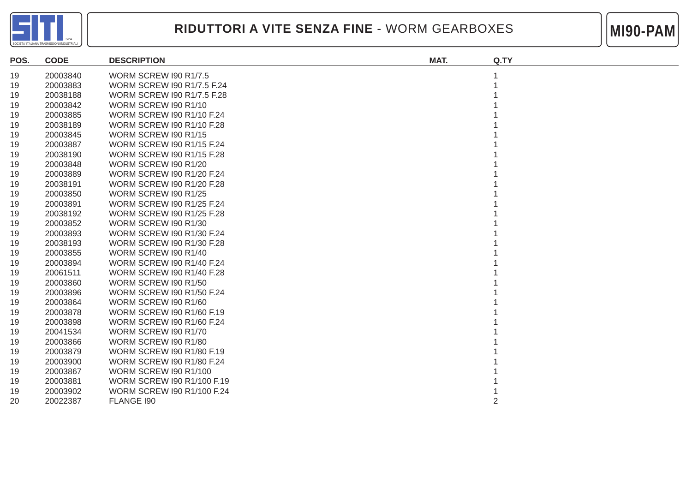



| POS. | <b>CODE</b> | <b>DESCRIPTION</b>                | MAT. | Q.TY |
|------|-------------|-----------------------------------|------|------|
| 19   | 20003840    | <b>WORM SCREW 190 R1/7.5</b>      |      |      |
| 19   | 20003883    | <b>WORM SCREW 190 R1/7.5 F.24</b> |      |      |
| 19   | 20038188    | <b>WORM SCREW 190 R1/7.5 F.28</b> |      |      |
| 19   | 20003842    | <b>WORM SCREW 190 R1/10</b>       |      |      |
| 19   | 20003885    | <b>WORM SCREW 190 R1/10 F.24</b>  |      |      |
| 19   | 20038189    | <b>WORM SCREW 190 R1/10 F.28</b>  |      |      |
| 19   | 20003845    | WORM SCREW 190 R1/15              |      |      |
| 19   | 20003887    | <b>WORM SCREW 190 R1/15 F.24</b>  |      |      |
| 19   | 20038190    | <b>WORM SCREW 190 R1/15 F.28</b>  |      |      |
| 19   | 20003848    | WORM SCREW 190 R1/20              |      |      |
| 19   | 20003889    | <b>WORM SCREW 190 R1/20 F.24</b>  |      |      |
| 19   | 20038191    | <b>WORM SCREW 190 R1/20 F.28</b>  |      |      |
| 19   | 20003850    | WORM SCREW I90 R1/25              |      |      |
| 19   | 20003891    | <b>WORM SCREW 190 R1/25 F.24</b>  |      |      |
| 19   | 20038192    | <b>WORM SCREW 190 R1/25 F.28</b>  |      |      |
| 19   | 20003852    | WORM SCREW 190 R1/30              |      |      |
| 19   | 20003893    | <b>WORM SCREW 190 R1/30 F.24</b>  |      |      |
| 19   | 20038193    | <b>WORM SCREW 190 R1/30 F.28</b>  |      |      |
| 19   | 20003855    | <b>WORM SCREW 190 R1/40</b>       |      |      |
| 19   | 20003894    | <b>WORM SCREW 190 R1/40 F.24</b>  |      |      |
| 19   | 20061511    | <b>WORM SCREW 190 R1/40 F.28</b>  |      |      |
| 19   | 20003860    | WORM SCREW I90 R1/50              |      |      |
| 19   | 20003896    | <b>WORM SCREW 190 R1/50 F.24</b>  |      |      |
| 19   | 20003864    | WORM SCREW 190 R1/60              |      |      |
| 19   | 20003878    | <b>WORM SCREW 190 R1/60 F.19</b>  |      |      |
| 19   | 20003898    | <b>WORM SCREW 190 R1/60 F.24</b>  |      |      |
| 19   | 20041534    | WORM SCREW 190 R1/70              |      |      |
| 19   | 20003866    | WORM SCREW I90 R1/80              |      |      |
| 19   | 20003879    | WORM SCREW I90 R1/80 F.19         |      |      |
| 19   | 20003900    | <b>WORM SCREW 190 R1/80 F.24</b>  |      |      |
| 19   | 20003867    | <b>WORM SCREW 190 R1/100</b>      |      |      |
| 19   | 20003881    | <b>WORM SCREW 190 R1/100 F.19</b> |      |      |
| 19   | 20003902    | <b>WORM SCREW 190 R1/100 F.24</b> |      |      |
| 20   | 20022387    | FLANGE 190                        |      | 2    |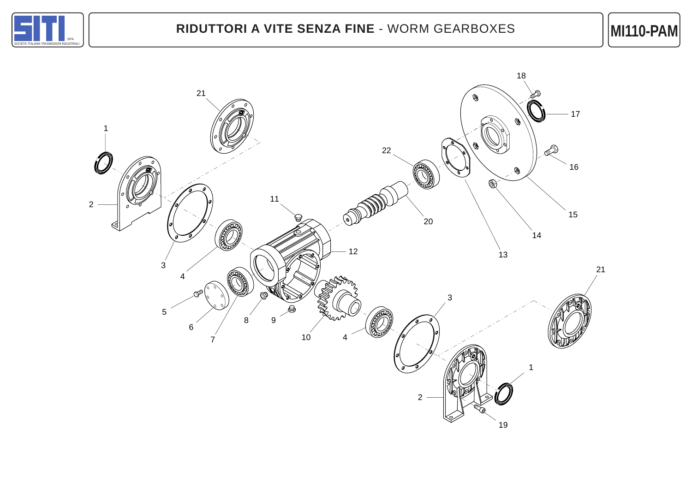

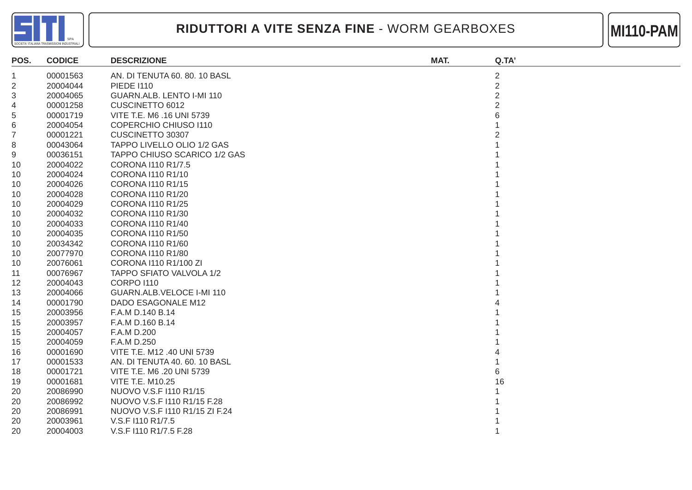



| POS. | <b>CODICE</b> | <b>DESCRIZIONE</b>             | MAT. | Q.TA'          |
|------|---------------|--------------------------------|------|----------------|
| 1    | 00001563      | AN. DI TENUTA 60. 80. 10 BASL  |      | $\overline{2}$ |
| 2    | 20004044      | <b>PIEDE 1110</b>              |      | $\overline{2}$ |
| 3    | 20004065      | GUARN.ALB. LENTO I-MI 110      |      | $\overline{2}$ |
| 4    | 00001258      | CUSCINETTO 6012                |      | $\overline{2}$ |
| 5    | 00001719      | VITE T.E. M6 .16 UNI 5739      |      |                |
| 6    | 20004054      | <b>COPERCHIO CHIUSO 1110</b>   |      |                |
| 7    | 00001221      | CUSCINETTO 30307               |      |                |
| 8    | 00043064      | TAPPO LIVELLO OLIO 1/2 GAS     |      |                |
| 9    | 00036151      | TAPPO CHIUSO SCARICO 1/2 GAS   |      |                |
| 10   | 20004022      | CORONA I110 R1/7.5             |      |                |
| 10   | 20004024      | CORONA I110 R1/10              |      |                |
| 10   | 20004026      | CORONA I110 R1/15              |      |                |
| 10   | 20004028      | CORONA I110 R1/20              |      |                |
| 10   | 20004029      | CORONA I110 R1/25              |      |                |
| 10   | 20004032      | CORONA I110 R1/30              |      |                |
| 10   | 20004033      | CORONA I110 R1/40              |      |                |
| 10   | 20004035      | CORONA I110 R1/50              |      |                |
| 10   | 20034342      | CORONA 1110 R1/60              |      |                |
| 10   | 20077970      | CORONA I110 R1/80              |      |                |
| 10   | 20076061      | CORONA I110 R1/100 ZI          |      |                |
| 11   | 00076967      | TAPPO SFIATO VALVOLA 1/2       |      |                |
| 12   | 20004043      | <b>CORPO I110</b>              |      |                |
| 13   | 20004066      | GUARN.ALB.VELOCE I-MI 110      |      |                |
| 14   | 00001790      | DADO ESAGONALE M12             |      |                |
| 15   | 20003956      | F.A.M D.140 B.14               |      |                |
| 15   | 20003957      | F.A.M D.160 B.14               |      |                |
| 15   | 20004057      | F.A.M D.200                    |      |                |
| 15   | 20004059      | F.A.M D.250                    |      |                |
| 16   | 00001690      | VITE T.E. M12 .40 UNI 5739     |      |                |
| 17   | 00001533      | AN. DI TENUTA 40. 60. 10 BASL  |      |                |
| 18   | 00001721      | VITE T.E. M6 .20 UNI 5739      |      | 6              |
| 19   | 00001681      | <b>VITE T.E. M10.25</b>        |      | 16             |
| 20   | 20086990      | NUOVO V.S.F I110 R1/15         |      |                |
| 20   | 20086992      | NUOVO V.S.F I110 R1/15 F.28    |      |                |
| 20   | 20086991      | NUOVO V.S.F I110 R1/15 ZI F.24 |      |                |
| 20   | 20003961      | V.S.F I110 R1/7.5              |      |                |
| 20   | 20004003      | V.S.F I110 R1/7.5 F.28         |      |                |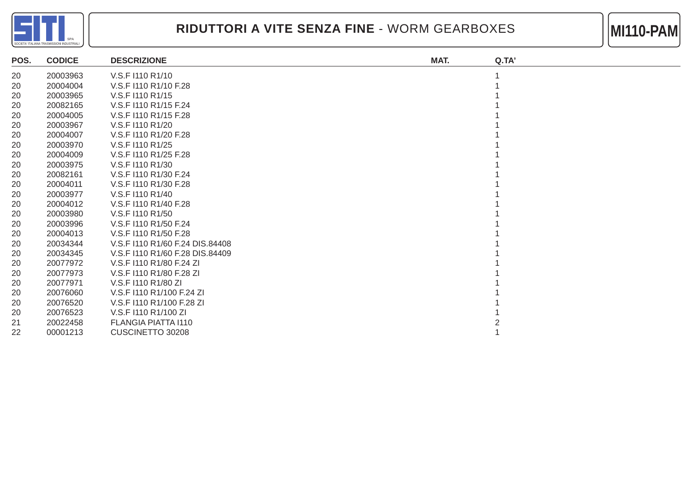



| POS. | <b>CODICE</b> | <b>DESCRIZIONE</b>              | MAT. | Q.TA' |
|------|---------------|---------------------------------|------|-------|
| 20   | 20003963      | V.S.F I110 R1/10                |      |       |
| 20   | 20004004      | V.S.F I110 R1/10 F.28           |      |       |
| 20   | 20003965      | V.S.F I110 R1/15                |      |       |
| 20   | 20082165      | V.S.F I110 R1/15 F.24           |      |       |
| 20   | 20004005      | V.S.F I110 R1/15 F.28           |      |       |
| 20   | 20003967      | V.S.F I110 R1/20                |      |       |
| 20   | 20004007      | V.S.F I110 R1/20 F.28           |      |       |
| 20   | 20003970      | V.S.F I110 R1/25                |      |       |
| 20   | 20004009      | V.S.F I110 R1/25 F.28           |      |       |
| 20   | 20003975      | V.S.F I110 R1/30                |      |       |
| 20   | 20082161      | V.S.F I110 R1/30 F.24           |      |       |
| 20   | 20004011      | V.S.F I110 R1/30 F.28           |      |       |
| 20   | 20003977      | V.S.F I110 R1/40                |      |       |
| 20   | 20004012      | V.S.F I110 R1/40 F.28           |      |       |
| 20   | 20003980      | V.S.F I110 R1/50                |      |       |
| 20   | 20003996      | V.S.F I110 R1/50 F.24           |      |       |
| 20   | 20004013      | V.S.F I110 R1/50 F.28           |      |       |
| 20   | 20034344      | V.S.F I110 R1/60 F.24 DIS.84408 |      |       |
| 20   | 20034345      | V.S.F I110 R1/60 F.28 DIS.84409 |      |       |
| 20   | 20077972      | V.S.F I110 R1/80 F.24 ZI        |      |       |
| 20   | 20077973      | V.S.F I110 R1/80 F.28 ZI        |      |       |
| 20   | 20077971      | V.S.F I110 R1/80 ZI             |      |       |
| 20   | 20076060      | V.S.F I110 R1/100 F.24 ZI       |      |       |
| 20   | 20076520      | V.S.F I110 R1/100 F.28 ZI       |      |       |
| 20   | 20076523      | V.S.F I110 R1/100 ZI            |      |       |
| 21   | 20022458      | <b>FLANGIA PIATTA I110</b>      |      |       |
| 22   | 00001213      | CUSCINETTO 30208                |      |       |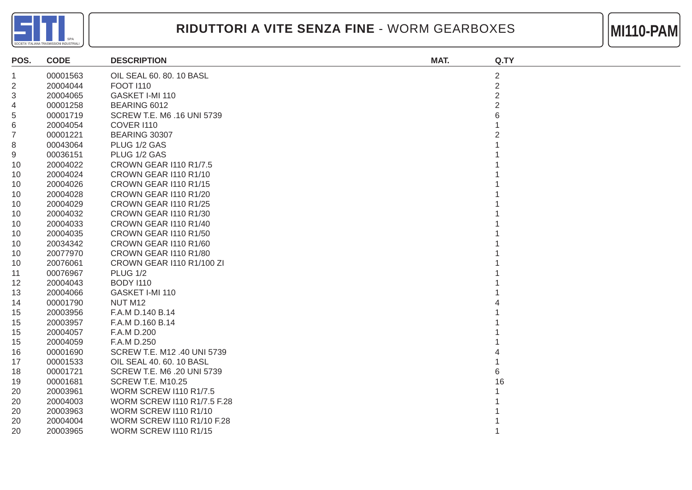



| POS.           | <b>CODE</b> | <b>DESCRIPTION</b>                | MAT. | Q.TY           |
|----------------|-------------|-----------------------------------|------|----------------|
| 1              | 00001563    | OIL SEAL 60. 80. 10 BASL          |      | $\overline{c}$ |
| $\overline{2}$ | 20004044    | <b>FOOT 1110</b>                  |      | $\overline{2}$ |
| 3              | 20004065    | GASKET I-MI 110                   |      | $\overline{2}$ |
| 4              | 00001258    | BEARING 6012                      |      | 2              |
| 5              | 00001719    | SCREW T.E. M6 .16 UNI 5739        |      |                |
| 6              | 20004054    | <b>COVER I110</b>                 |      |                |
| 7              | 00001221    | BEARING 30307                     |      |                |
| 8              | 00043064    | PLUG 1/2 GAS                      |      |                |
| 9              | 00036151    | PLUG 1/2 GAS                      |      |                |
| 10             | 20004022    | <b>CROWN GEAR I110 R1/7.5</b>     |      |                |
| 10             | 20004024    | CROWN GEAR I110 R1/10             |      |                |
| 10             | 20004026    | CROWN GEAR I110 R1/15             |      |                |
| 10             | 20004028    | CROWN GEAR I110 R1/20             |      |                |
| 10             | 20004029    | CROWN GEAR I110 R1/25             |      |                |
| 10             | 20004032    | CROWN GEAR I110 R1/30             |      |                |
| 10             | 20004033    | CROWN GEAR I110 R1/40             |      |                |
| 10             | 20004035    | CROWN GEAR I110 R1/50             |      |                |
| 10             | 20034342    | CROWN GEAR I110 R1/60             |      |                |
| 10             | 20077970    | CROWN GEAR I110 R1/80             |      |                |
| 10             | 20076061    | CROWN GEAR I110 R1/100 ZI         |      |                |
| 11             | 00076967    | <b>PLUG 1/2</b>                   |      |                |
| 12             | 20004043    | <b>BODY 1110</b>                  |      |                |
| 13             | 20004066    | GASKET I-MI 110                   |      |                |
| 14             | 00001790    | NUT M12                           |      |                |
| 15             | 20003956    | F.A.M D.140 B.14                  |      |                |
| 15             | 20003957    | F.A.M D.160 B.14                  |      |                |
| 15             | 20004057    | F.A.M D.200                       |      |                |
| 15             | 20004059    | F.A.M D.250                       |      |                |
| 16             | 00001690    | SCREW T.E. M12 .40 UNI 5739       |      |                |
| 17             | 00001533    | OIL SEAL 40. 60. 10 BASL          |      |                |
| 18             | 00001721    | SCREW T.E. M6 .20 UNI 5739        |      | 6              |
| 19             | 00001681    | <b>SCREW T.E. M10.25</b>          |      | 16             |
| 20             | 20003961    | <b>WORM SCREW I110 R1/7.5</b>     |      |                |
| 20             | 20004003    | WORM SCREW I110 R1/7.5 F.28       |      |                |
| 20             | 20003963    | <b>WORM SCREW I110 R1/10</b>      |      |                |
| 20             | 20004004    | <b>WORM SCREW I110 R1/10 F.28</b> |      |                |
| 20             | 20003965    | <b>WORM SCREW I110 R1/15</b>      |      |                |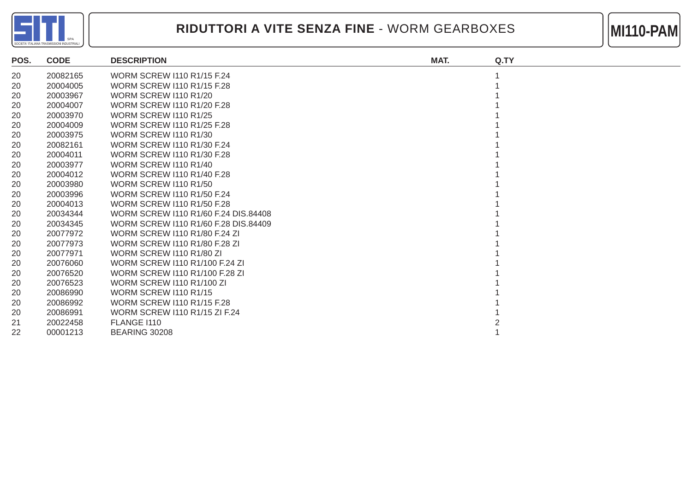



| POS. | <b>CODE</b> | <b>DESCRIPTION</b>                   | MAT. | Q.TY |
|------|-------------|--------------------------------------|------|------|
| 20   | 20082165    | <b>WORM SCREW I110 R1/15 F.24</b>    |      |      |
| 20   | 20004005    | WORM SCREW 1110 R1/15 F.28           |      |      |
| 20   | 20003967    | <b>WORM SCREW I110 R1/20</b>         |      |      |
| 20   | 20004007    | WORM SCREW 1110 R1/20 F.28           |      |      |
| 20   | 20003970    | <b>WORM SCREW I110 R1/25</b>         |      |      |
| 20   | 20004009    | WORM SCREW 1110 R1/25 F.28           |      |      |
| 20   | 20003975    | <b>WORM SCREW I110 R1/30</b>         |      |      |
| 20   | 20082161    | <b>WORM SCREW 1110 R1/30 F.24</b>    |      |      |
| 20   | 20004011    | WORM SCREW 1110 R1/30 F.28           |      |      |
| 20   | 20003977    | WORM SCREW I110 R1/40                |      |      |
| 20   | 20004012    | WORM SCREW 1110 R1/40 F.28           |      |      |
| 20   | 20003980    | <b>WORM SCREW I110 R1/50</b>         |      |      |
| 20   | 20003996    | <b>WORM SCREW I110 R1/50 F.24</b>    |      |      |
| 20   | 20004013    | WORM SCREW 1110 R1/50 F.28           |      |      |
| 20   | 20034344    | WORM SCREW 1110 R1/60 F.24 DIS.84408 |      |      |
| 20   | 20034345    | WORM SCREW 1110 R1/60 F.28 DIS.84409 |      |      |
| 20   | 20077972    | WORM SCREW 1110 R1/80 F.24 ZI        |      |      |
| 20   | 20077973    | WORM SCREW 1110 R1/80 F.28 ZI        |      |      |
| 20   | 20077971    | <b>WORM SCREW I110 R1/80 ZI</b>      |      |      |
| 20   | 20076060    | WORM SCREW 1110 R1/100 F.24 ZI       |      |      |
| 20   | 20076520    | WORM SCREW 1110 R1/100 F.28 ZI       |      |      |
| 20   | 20076523    | <b>WORM SCREW I110 R1/100 ZI</b>     |      |      |
| 20   | 20086990    | <b>WORM SCREW I110 R1/15</b>         |      |      |
| 20   | 20086992    | <b>WORM SCREW I110 R1/15 F.28</b>    |      |      |
| 20   | 20086991    | WORM SCREW 1110 R1/15 ZI F.24        |      |      |
| 21   | 20022458    | FLANGE I110                          |      |      |
| 22   | 00001213    | BEARING 30208                        |      |      |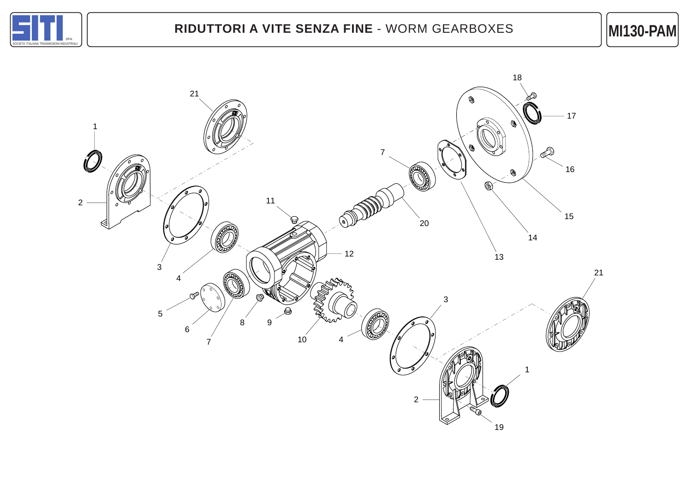

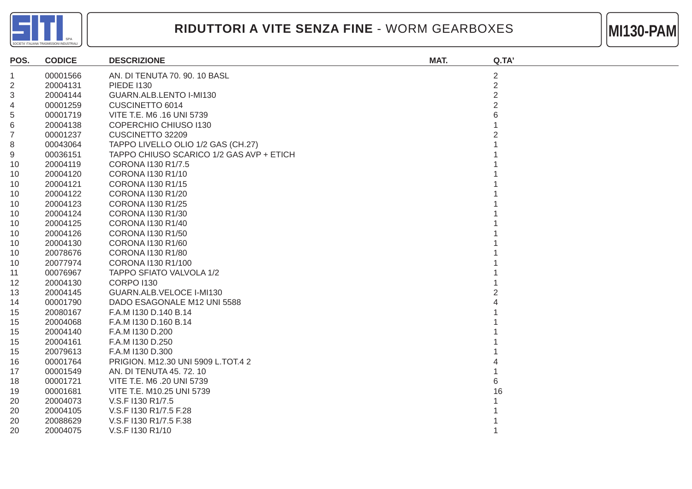



| POS.           | <b>CODICE</b> | <b>DESCRIZIONE</b>                       | MAT. | Q.TA'          |
|----------------|---------------|------------------------------------------|------|----------------|
| 1              | 00001566      | AN. DI TENUTA 70. 90. 10 BASL            |      | $\overline{2}$ |
| $\overline{2}$ | 20004131      | <b>PIEDE I130</b>                        |      | $\overline{2}$ |
| 3              | 20004144      | GUARN.ALB.LENTO I-MI130                  |      | $\overline{2}$ |
| 4              | 00001259      | CUSCINETTO 6014                          |      | 2              |
| 5              | 00001719      | VITE T.E. M6 .16 UNI 5739                |      |                |
| 6              | 20004138      | COPERCHIO CHIUSO I130                    |      |                |
| 7              | 00001237      | CUSCINETTO 32209                         |      |                |
| 8              | 00043064      | TAPPO LIVELLO OLIO 1/2 GAS (CH.27)       |      |                |
| 9              | 00036151      | TAPPO CHIUSO SCARICO 1/2 GAS AVP + ETICH |      |                |
| 10             | 20004119      | CORONA I130 R1/7.5                       |      |                |
| 10             | 20004120      | CORONA I130 R1/10                        |      |                |
| 10             | 20004121      | CORONA I130 R1/15                        |      |                |
| 10             | 20004122      | CORONA I130 R1/20                        |      |                |
| 10             | 20004123      | CORONA I130 R1/25                        |      |                |
| 10             | 20004124      | CORONA I130 R1/30                        |      |                |
| 10             | 20004125      | CORONA I130 R1/40                        |      |                |
| 10             | 20004126      | CORONA I130 R1/50                        |      |                |
| 10             | 20004130      | CORONA I130 R1/60                        |      |                |
| 10             | 20078676      | CORONA I130 R1/80                        |      |                |
| 10             | 20077974      | CORONA I130 R1/100                       |      |                |
| 11             | 00076967      | TAPPO SFIATO VALVOLA 1/2                 |      |                |
| 12             | 20004130      | <b>CORPO I130</b>                        |      |                |
| 13             | 20004145      | GUARN.ALB.VELOCE I-MI130                 |      |                |
| 14             | 00001790      | DADO ESAGONALE M12 UNI 5588              |      |                |
| 15             | 20080167      | F.A.M I130 D.140 B.14                    |      |                |
| 15             | 20004068      | F.A.M I130 D.160 B.14                    |      |                |
| 15             | 20004140      | F.A.M I130 D.200                         |      |                |
| 15             | 20004161      | F.A.M I130 D.250                         |      |                |
| 15             | 20079613      | F.A.M I130 D.300                         |      |                |
| 16             | 00001764      | PRIGION. M12.30 UNI 5909 L.TOT.4 2       |      |                |
| 17             | 00001549      | AN. DI TENUTA 45.72.10                   |      |                |
| 18             | 00001721      | VITE T.E. M6 .20 UNI 5739                |      |                |
| 19             | 00001681      | VITE T.E. M10.25 UNI 5739                |      | 16             |
| 20             | 20004073      | V.S.F I130 R1/7.5                        |      |                |
| 20             | 20004105      | V.S.F I130 R1/7.5 F.28                   |      |                |
| 20             | 20088629      | V.S.F I130 R1/7.5 F.38                   |      |                |
| 20             | 20004075      | V.S.F I130 R1/10                         |      |                |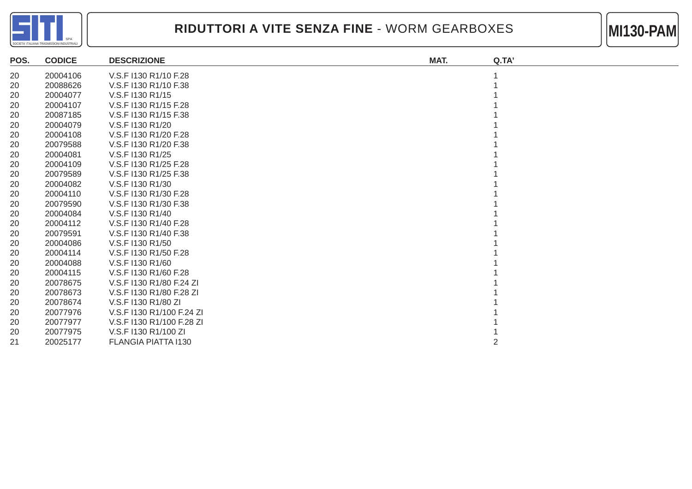



| <b>CODICE</b> | <b>DESCRIZIONE</b>        | MAT. | Q.TA' |
|---------------|---------------------------|------|-------|
| 20004106      | V.S.F I130 R1/10 F.28     |      |       |
| 20088626      | V.S.F I130 R1/10 F.38     |      |       |
| 20004077      | V.S.F I130 R1/15          |      |       |
| 20004107      | V.S.F I130 R1/15 F.28     |      |       |
| 20087185      | V.S.F I130 R1/15 F.38     |      |       |
| 20004079      | V.S.F I130 R1/20          |      |       |
| 20004108      | V.S.F I130 R1/20 F.28     |      |       |
| 20079588      | V.S.F I130 R1/20 F.38     |      |       |
| 20004081      | V.S.F I130 R1/25          |      |       |
| 20004109      | V.S.F I130 R1/25 F.28     |      |       |
| 20079589      | V.S.F I130 R1/25 F.38     |      |       |
| 20004082      | V.S.F I130 R1/30          |      |       |
| 20004110      | V.S.F I130 R1/30 F.28     |      |       |
| 20079590      | V.S.F I130 R1/30 F.38     |      |       |
| 20004084      | V.S.F I130 R1/40          |      |       |
| 20004112      | V.S.F I130 R1/40 F.28     |      |       |
| 20079591      | V.S.F I130 R1/40 F.38     |      |       |
| 20004086      | V.S.F I130 R1/50          |      |       |
| 20004114      | V.S.F I130 R1/50 F.28     |      |       |
| 20004088      | V.S.F I130 R1/60          |      |       |
| 20004115      | V.S.F I130 R1/60 F.28     |      |       |
| 20078675      | V.S.F I130 R1/80 F.24 ZI  |      |       |
| 20078673      | V.S.F I130 R1/80 F.28 ZI  |      |       |
| 20078674      | V.S.F I130 R1/80 ZI       |      |       |
| 20077976      | V.S.F I130 R1/100 F.24 ZI |      |       |
| 20077977      | V.S.F I130 R1/100 F.28 ZI |      |       |
| 20077975      | V.S.F I130 R1/100 ZI      |      |       |
| 20025177      | FLANGIA PIATTA I130       |      |       |
|               |                           |      |       |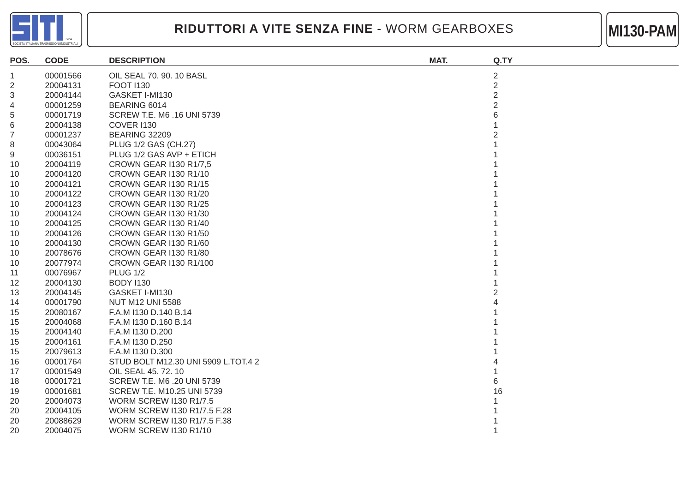



| POS.           | <b>CODE</b> | <b>DESCRIPTION</b>                  | MAT. | Q.TY           |
|----------------|-------------|-------------------------------------|------|----------------|
| 1              | 00001566    | OIL SEAL 70, 90, 10 BASL            |      | $\overline{c}$ |
| $\overline{2}$ | 20004131    | <b>FOOT 1130</b>                    |      | $\overline{2}$ |
| 3              | 20004144    | GASKET I-MI130                      |      | $\overline{2}$ |
| 4              | 00001259    | BEARING 6014                        |      | $\overline{2}$ |
| 5              | 00001719    | SCREW T.E. M6 .16 UNI 5739          |      |                |
| 6              | 20004138    | <b>COVER I130</b>                   |      |                |
| 7              | 00001237    | <b>BEARING 32209</b>                |      |                |
| 8              | 00043064    | PLUG 1/2 GAS (CH.27)                |      |                |
| 9              | 00036151    | PLUG 1/2 GAS AVP + ETICH            |      |                |
| 10             | 20004119    | <b>CROWN GEAR I130 R1/7,5</b>       |      |                |
| 10             | 20004120    | CROWN GEAR I130 R1/10               |      |                |
| 10             | 20004121    | CROWN GEAR I130 R1/15               |      |                |
| 10             | 20004122    | <b>CROWN GEAR I130 R1/20</b>        |      |                |
| 10             | 20004123    | <b>CROWN GEAR I130 R1/25</b>        |      |                |
| 10             | 20004124    | CROWN GEAR I130 R1/30               |      |                |
| 10             | 20004125    | CROWN GEAR I130 R1/40               |      |                |
| 10             | 20004126    | CROWN GEAR I130 R1/50               |      |                |
| 10             | 20004130    | CROWN GEAR I130 R1/60               |      |                |
| 10             | 20078676    | CROWN GEAR I130 R1/80               |      |                |
| 10             | 20077974    | CROWN GEAR I130 R1/100              |      |                |
| 11             | 00076967    | <b>PLUG 1/2</b>                     |      |                |
| 12             | 20004130    | <b>BODY 1130</b>                    |      |                |
| 13             | 20004145    | GASKET I-MI130                      |      |                |
| 14             | 00001790    | <b>NUT M12 UNI 5588</b>             |      |                |
| 15             | 20080167    | F.A.M I130 D.140 B.14               |      |                |
| 15             | 20004068    | F.A.M I130 D.160 B.14               |      |                |
| 15             | 20004140    | F.A.M I130 D.200                    |      |                |
| 15             | 20004161    | F.A.M I130 D.250                    |      |                |
| 15             | 20079613    | F.A.M I130 D.300                    |      |                |
| 16             | 00001764    | STUD BOLT M12.30 UNI 5909 L.TOT.4 2 |      |                |
| 17             | 00001549    | OIL SEAL 45. 72. 10                 |      |                |
| 18             | 00001721    | SCREW T.E. M6 .20 UNI 5739          |      | 6              |
| 19             | 00001681    | SCREW T.E. M10.25 UNI 5739          |      | 16             |
| 20             | 20004073    | <b>WORM SCREW I130 R1/7.5</b>       |      |                |
| 20             | 20004105    | WORM SCREW I130 R1/7.5 F.28         |      |                |
| 20             | 20088629    | WORM SCREW I130 R1/7.5 F.38         |      |                |
| 20             | 20004075    | <b>WORM SCREW I130 R1/10</b>        |      |                |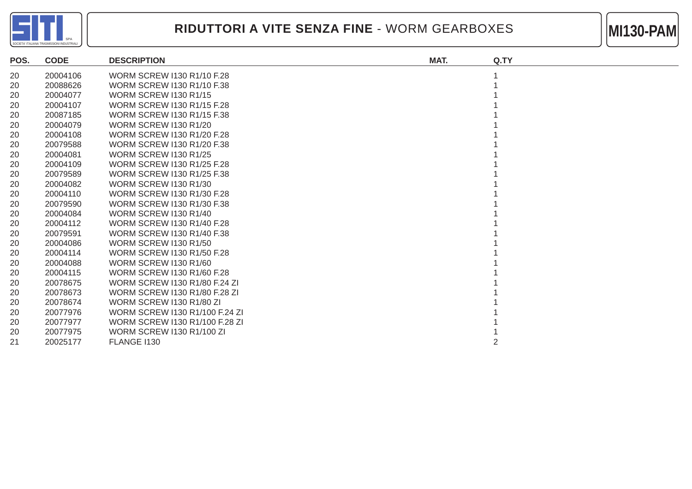



| POS. | <b>CODE</b> | <b>DESCRIPTION</b>                | MAT. | Q.TY |
|------|-------------|-----------------------------------|------|------|
| 20   | 20004106    | <b>WORM SCREW I130 R1/10 F.28</b> |      |      |
| 20   | 20088626    | <b>WORM SCREW I130 R1/10 F.38</b> |      |      |
| 20   | 20004077    | <b>WORM SCREW I130 R1/15</b>      |      |      |
| 20   | 20004107    | <b>WORM SCREW I130 R1/15 F.28</b> |      |      |
| 20   | 20087185    | <b>WORM SCREW I130 R1/15 F.38</b> |      |      |
| 20   | 20004079    | <b>WORM SCREW I130 R1/20</b>      |      |      |
| 20   | 20004108    | WORM SCREW I130 R1/20 F.28        |      |      |
| 20   | 20079588    | WORM SCREW 1130 R1/20 F.38        |      |      |
| 20   | 20004081    | <b>WORM SCREW I130 R1/25</b>      |      |      |
| 20   | 20004109    | <b>WORM SCREW I130 R1/25 F.28</b> |      |      |
| 20   | 20079589    | <b>WORM SCREW I130 R1/25 F.38</b> |      |      |
| 20   | 20004082    | <b>WORM SCREW I130 R1/30</b>      |      |      |
| 20   | 20004110    | <b>WORM SCREW I130 R1/30 F.28</b> |      |      |
| 20   | 20079590    | WORM SCREW 1130 R1/30 F.38        |      |      |
| 20   | 20004084    | <b>WORM SCREW I130 R1/40</b>      |      |      |
| 20   | 20004112    | <b>WORM SCREW I130 R1/40 F.28</b> |      |      |
| 20   | 20079591    | <b>WORM SCREW I130 R1/40 F.38</b> |      |      |
| 20   | 20004086    | <b>WORM SCREW 1130 R1/50</b>      |      |      |
| 20   | 20004114    | <b>WORM SCREW I130 R1/50 F.28</b> |      |      |
| 20   | 20004088    | <b>WORM SCREW I130 R1/60</b>      |      |      |
| 20   | 20004115    | WORM SCREW 1130 R1/60 F.28        |      |      |
| 20   | 20078675    | WORM SCREW 1130 R1/80 F.24 ZI     |      |      |
| 20   | 20078673    | WORM SCREW I130 R1/80 F.28 ZI     |      |      |
| 20   | 20078674    | WORM SCREW I130 R1/80 ZI          |      |      |
| 20   | 20077976    | WORM SCREW I130 R1/100 F.24 ZI    |      |      |
| 20   | 20077977    | WORM SCREW I130 R1/100 F.28 ZI    |      |      |
| 20   | 20077975    | <b>WORM SCREW I130 R1/100 ZI</b>  |      |      |
| 21   | 20025177    | FLANGE I130                       |      |      |
|      |             |                                   |      |      |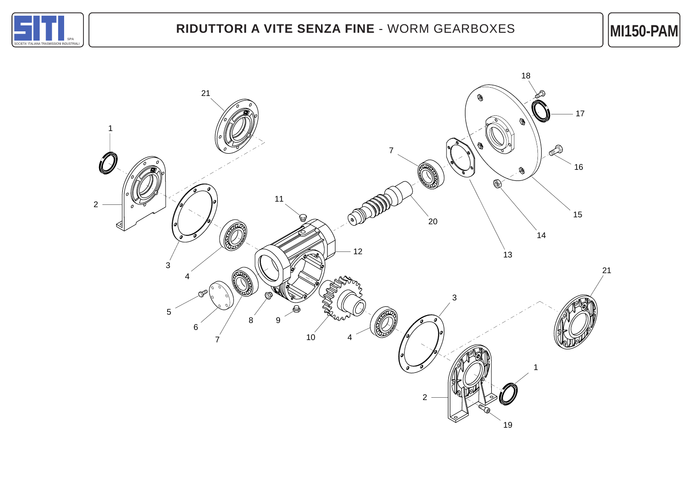

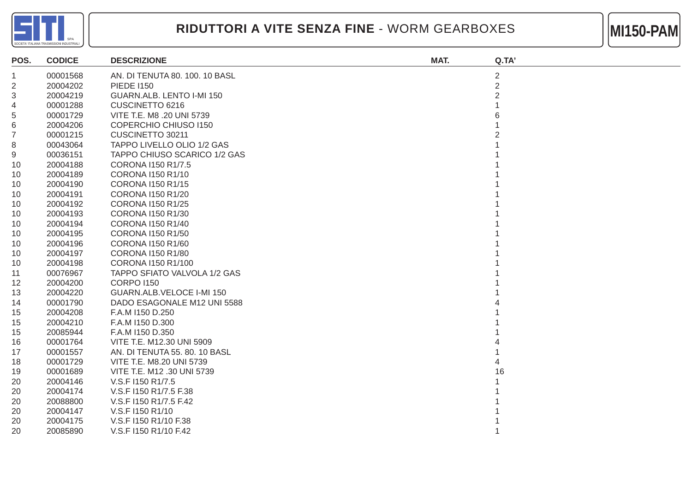



| POS. | <b>CODICE</b> | <b>DESCRIZIONE</b>                | MAT. | Q.TA'          |
|------|---------------|-----------------------------------|------|----------------|
| 1    | 00001568      | AN. DI TENUTA 80. 100. 10 BASL    |      | $\overline{2}$ |
| 2    | 20004202      | <b>PIEDE 1150</b>                 |      | $\overline{2}$ |
| 3    | 20004219      | GUARN.ALB. LENTO I-MI 150         |      | 2              |
| 4    | 00001288      | CUSCINETTO 6216                   |      |                |
| 5    | 00001729      | VITE T.E. M8 .20 UNI 5739         |      |                |
| 6    | 20004206      | <b>COPERCHIO CHIUSO I150</b>      |      |                |
| 7    | 00001215      | CUSCINETTO 30211                  |      |                |
| 8    | 00043064      | <b>TAPPO LIVELLO OLIO 1/2 GAS</b> |      |                |
| 9    | 00036151      | TAPPO CHIUSO SCARICO 1/2 GAS      |      |                |
| 10   | 20004188      | CORONA I150 R1/7.5                |      |                |
| 10   | 20004189      | CORONA I150 R1/10                 |      |                |
| 10   | 20004190      | <b>CORONA I150 R1/15</b>          |      |                |
| 10   | 20004191      | CORONA I150 R1/20                 |      |                |
| 10   | 20004192      | <b>CORONA I150 R1/25</b>          |      |                |
| 10   | 20004193      | CORONA I150 R1/30                 |      |                |
| 10   | 20004194      | CORONA I150 R1/40                 |      |                |
| 10   | 20004195      | CORONA I150 R1/50                 |      |                |
| 10   | 20004196      | CORONA I150 R1/60                 |      |                |
| 10   | 20004197      | CORONA I150 R1/80                 |      |                |
| 10   | 20004198      | CORONA I150 R1/100                |      |                |
| 11   | 00076967      | TAPPO SFIATO VALVOLA 1/2 GAS      |      |                |
| 12   | 20004200      | <b>CORPO I150</b>                 |      |                |
| 13   | 20004220      | GUARN.ALB.VELOCE I-MI 150         |      |                |
| 14   | 00001790      | DADO ESAGONALE M12 UNI 5588       |      |                |
| 15   | 20004208      | F.A.M I150 D.250                  |      |                |
| 15   | 20004210      | F.A.M I150 D.300                  |      |                |
| 15   | 20085944      | F.A.M I150 D.350                  |      |                |
| 16   | 00001764      | VITE T.E. M12.30 UNI 5909         |      |                |
| 17   | 00001557      | AN. DI TENUTA 55. 80. 10 BASL     |      |                |
| 18   | 00001729      | VITE T.E. M8.20 UNI 5739          |      |                |
| 19   | 00001689      | VITE T.E. M12 .30 UNI 5739        |      | 16             |
| 20   | 20004146      | V.S.F I150 R1/7.5                 |      |                |
| 20   | 20004174      | V.S.F I150 R1/7.5 F.38            |      |                |
| 20   | 20088800      | V.S.F I150 R1/7.5 F.42            |      |                |
| 20   | 20004147      | V.S.F I150 R1/10                  |      |                |
| 20   | 20004175      | V.S.F I150 R1/10 F.38             |      |                |
| 20   | 20085890      | V.S.F I150 R1/10 F.42             |      |                |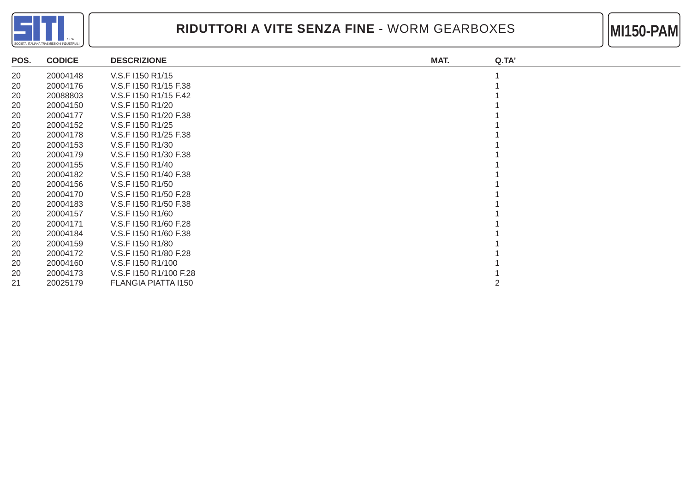

#### RIDUTTORI A VITE SENZA FINE - WORM GEARBOXES **MILLE 1999-PAM**



| POS. | <b>CODICE</b> | <b>DESCRIZIONE</b>     | MAT. | Q.TA' |
|------|---------------|------------------------|------|-------|
| 20   | 20004148      | V.S.F I150 R1/15       |      |       |
| 20   | 20004176      | V.S.F I150 R1/15 F.38  |      |       |
| 20   | 20088803      | V.S.F I150 R1/15 F.42  |      |       |
| 20   | 20004150      | V.S.F I150 R1/20       |      |       |
| 20   | 20004177      | V.S.F I150 R1/20 F.38  |      |       |
| 20   | 20004152      | V.S.F I150 R1/25       |      |       |
| 20   | 20004178      | V.S.F I150 R1/25 F.38  |      |       |
| 20   | 20004153      | V.S.F I150 R1/30       |      |       |
| 20   | 20004179      | V.S.F I150 R1/30 F.38  |      |       |
| 20   | 20004155      | V.S.F I150 R1/40       |      |       |
| 20   | 20004182      | V.S.F I150 R1/40 F.38  |      |       |
| 20   | 20004156      | V.S.F I150 R1/50       |      |       |
| 20   | 20004170      | V.S.F I150 R1/50 F.28  |      |       |
| 20   | 20004183      | V.S.F I150 R1/50 F.38  |      |       |
| 20   | 20004157      | V.S.F I150 R1/60       |      |       |
| 20   | 20004171      | V.S.F I150 R1/60 F.28  |      |       |
| 20   | 20004184      | V.S.F I150 R1/60 F.38  |      |       |
| 20   | 20004159      | V.S.F I150 R1/80       |      |       |
| 20   | 20004172      | V.S.F I150 R1/80 F.28  |      |       |
| 20   | 20004160      | V.S.F I150 R1/100      |      |       |
| 20   | 20004173      | V.S.F 1150 R1/100 F.28 |      |       |
| 21   | 20025179      | FLANGIA PIATTA I150    |      |       |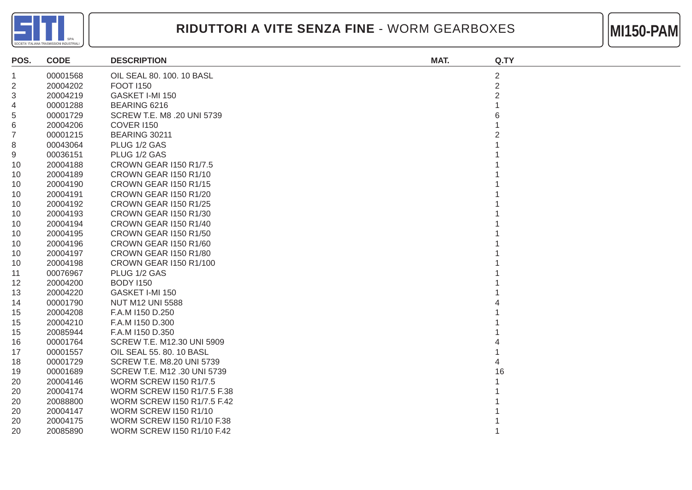

#### RIDUTTORI A VITE SENZA FINE - WORM GEARBOXES **MILLE 1999-PAM**



| POS. | <b>CODE</b> | <b>DESCRIPTION</b>                | MAT. | Q.TY           |
|------|-------------|-----------------------------------|------|----------------|
| 1    | 00001568    | OIL SEAL 80. 100. 10 BASL         |      | $\overline{c}$ |
| 2    | 20004202    | <b>FOOT 1150</b>                  |      | $\overline{2}$ |
| 3    | 20004219    | GASKET I-MI 150                   |      | 2              |
| 4    | 00001288    | BEARING 6216                      |      |                |
| 5    | 00001729    | SCREW T.E. M8 .20 UNI 5739        |      |                |
| 6    | 20004206    | <b>COVER 1150</b>                 |      |                |
| 7    | 00001215    | BEARING 30211                     |      |                |
| 8    | 00043064    | PLUG 1/2 GAS                      |      |                |
| 9    | 00036151    | PLUG 1/2 GAS                      |      |                |
| 10   | 20004188    | <b>CROWN GEAR I150 R1/7.5</b>     |      |                |
| 10   | 20004189    | CROWN GEAR I150 R1/10             |      |                |
| 10   | 20004190    | CROWN GEAR I150 R1/15             |      |                |
| 10   | 20004191    | CROWN GEAR I150 R1/20             |      |                |
| 10   | 20004192    | <b>CROWN GEAR I150 R1/25</b>      |      |                |
| 10   | 20004193    | CROWN GEAR I150 R1/30             |      |                |
| 10   | 20004194    | CROWN GEAR I150 R1/40             |      |                |
| 10   | 20004195    | <b>CROWN GEAR I150 R1/50</b>      |      |                |
| 10   | 20004196    | CROWN GEAR I150 R1/60             |      |                |
| 10   | 20004197    | CROWN GEAR I150 R1/80             |      |                |
| 10   | 20004198    | CROWN GEAR I150 R1/100            |      |                |
| 11   | 00076967    | PLUG 1/2 GAS                      |      |                |
| 12   | 20004200    | <b>BODY 1150</b>                  |      |                |
| 13   | 20004220    | GASKET I-MI 150                   |      |                |
| 14   | 00001790    | <b>NUT M12 UNI 5588</b>           |      |                |
| 15   | 20004208    | F.A.M I150 D.250                  |      |                |
| 15   | 20004210    | F.A.M I150 D.300                  |      |                |
| 15   | 20085944    | F.A.M I150 D.350                  |      |                |
| 16   | 00001764    | SCREW T.E. M12.30 UNI 5909        |      |                |
| 17   | 00001557    | OIL SEAL 55. 80. 10 BASL          |      |                |
| 18   | 00001729    | SCREW T.E. M8.20 UNI 5739         |      |                |
| 19   | 00001689    | SCREW T.E. M12 .30 UNI 5739       |      | 16             |
| 20   | 20004146    | <b>WORM SCREW I150 R1/7.5</b>     |      |                |
| 20   | 20004174    | WORM SCREW I150 R1/7.5 F.38       |      |                |
| 20   | 20088800    | WORM SCREW I150 R1/7.5 F.42       |      |                |
| 20   | 20004147    | <b>WORM SCREW I150 R1/10</b>      |      |                |
| 20   | 20004175    | <b>WORM SCREW I150 R1/10 F.38</b> |      |                |
| 20   | 20085890    | <b>WORM SCREW I150 R1/10 F.42</b> |      |                |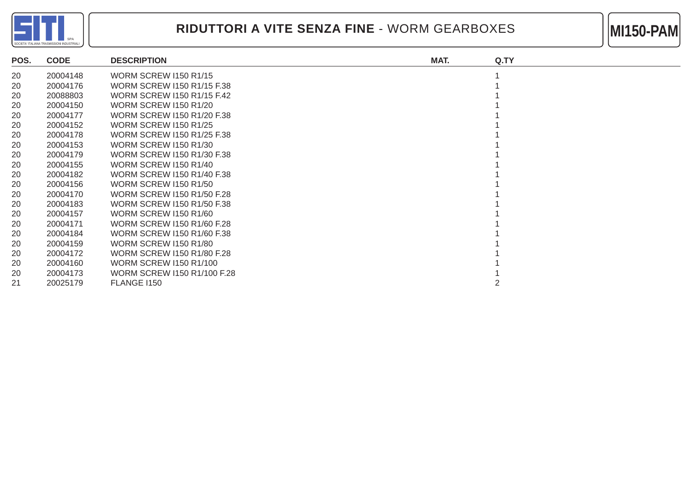



| POS. | <b>CODE</b> | <b>DESCRIPTION</b>            | MAT. | Q.TY |
|------|-------------|-------------------------------|------|------|
| 20   | 20004148    | <b>WORM SCREW I150 R1/15</b>  |      |      |
| 20   | 20004176    | WORM SCREW 1150 R1/15 F.38    |      |      |
| 20   | 20088803    | WORM SCREW 1150 R1/15 F.42    |      |      |
| 20   | 20004150    | <b>WORM SCREW I150 R1/20</b>  |      |      |
| 20   | 20004177    | WORM SCREW 1150 R1/20 F.38    |      |      |
| 20   | 20004152    | <b>WORM SCREW I150 R1/25</b>  |      |      |
| 20   | 20004178    | WORM SCREW 1150 R1/25 F.38    |      |      |
| 20   | 20004153    | <b>WORM SCREW I150 R1/30</b>  |      |      |
| 20   | 20004179    | WORM SCREW 1150 R1/30 F.38    |      |      |
| 20   | 20004155    | <b>WORM SCREW I150 R1/40</b>  |      |      |
| 20   | 20004182    | WORM SCREW 1150 R1/40 F.38    |      |      |
| 20   | 20004156    | <b>WORM SCREW I150 R1/50</b>  |      |      |
| 20   | 20004170    | WORM SCREW 1150 R1/50 F.28    |      |      |
| 20   | 20004183    | WORM SCREW 1150 R1/50 F.38    |      |      |
| 20   | 20004157    | <b>WORM SCREW I150 R1/60</b>  |      |      |
| 20   | 20004171    | WORM SCREW 1150 R1/60 F.28    |      |      |
| 20   | 20004184    | WORM SCREW 1150 R1/60 F.38    |      |      |
| 20   | 20004159    | <b>WORM SCREW I150 R1/80</b>  |      |      |
| 20   | 20004172    | WORM SCREW 1150 R1/80 F.28    |      |      |
| 20   | 20004160    | <b>WORM SCREW I150 R1/100</b> |      |      |
| 20   | 20004173    | WORM SCREW 1150 R1/100 F.28   |      |      |
| 21   | 20025179    | FLANGE I150                   |      |      |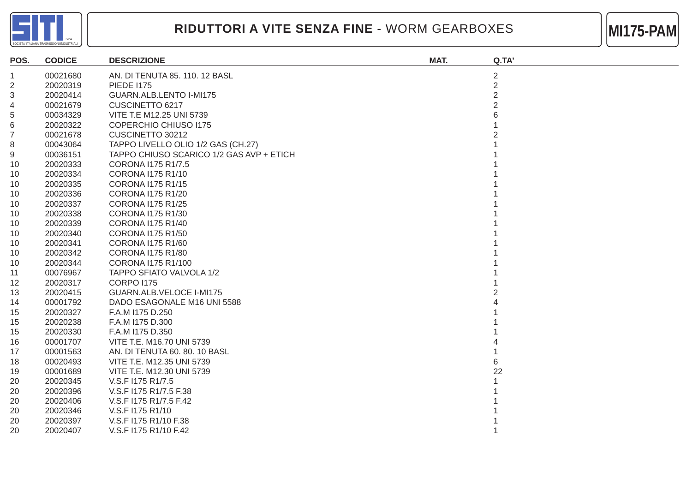



| POS.           | <b>CODICE</b> | <b>DESCRIZIONE</b>                       | MAT. | Q.TA'          |
|----------------|---------------|------------------------------------------|------|----------------|
| 1              | 00021680      | AN. DI TENUTA 85. 110. 12 BASL           |      | $\overline{2}$ |
| $\overline{c}$ | 20020319      | <b>PIEDE 1175</b>                        |      | $\overline{2}$ |
| 3              | 20020414      | GUARN.ALB.LENTO I-MI175                  |      | $\overline{2}$ |
| 4              | 00021679      | CUSCINETTO 6217                          |      | $\overline{2}$ |
| 5              | 00034329      | VITE T.E M12.25 UNI 5739                 |      |                |
| 6              | 20020322      | <b>COPERCHIO CHIUSO 1175</b>             |      |                |
| 7              | 00021678      | CUSCINETTO 30212                         |      |                |
| 8              | 00043064      | TAPPO LIVELLO OLIO 1/2 GAS (CH.27)       |      |                |
| 9              | 00036151      | TAPPO CHIUSO SCARICO 1/2 GAS AVP + ETICH |      |                |
| 10             | 20020333      | CORONA I175 R1/7.5                       |      |                |
| 10             | 20020334      | CORONA I175 R1/10                        |      |                |
| 10             | 20020335      | <b>CORONA I175 R1/15</b>                 |      |                |
| 10             | 20020336      | CORONA I175 R1/20                        |      |                |
| 10             | 20020337      | <b>CORONA I175 R1/25</b>                 |      |                |
| 10             | 20020338      | CORONA I175 R1/30                        |      |                |
| 10             | 20020339      | CORONA I175 R1/40                        |      |                |
| 10             | 20020340      | <b>CORONA I175 R1/50</b>                 |      |                |
| 10             | 20020341      | CORONA I175 R1/60                        |      |                |
| 10             | 20020342      | CORONA I175 R1/80                        |      |                |
| 10             | 20020344      | CORONA I175 R1/100                       |      |                |
| 11             | 00076967      | TAPPO SFIATO VALVOLA 1/2                 |      |                |
| 12             | 20020317      | <b>CORPO I175</b>                        |      |                |
| 13             | 20020415      | GUARN.ALB.VELOCE I-MI175                 |      |                |
| 14             | 00001792      | DADO ESAGONALE M16 UNI 5588              |      |                |
| 15             | 20020327      | F.A.M I175 D.250                         |      |                |
| 15             | 20020238      | F.A.M I175 D.300                         |      |                |
| 15             | 20020330      | F.A.M I175 D.350                         |      |                |
| 16             | 00001707      | VITE T.E. M16.70 UNI 5739                |      |                |
| 17             | 00001563      | AN. DI TENUTA 60. 80. 10 BASL            |      |                |
| 18             | 00020493      | VITE T.E. M12.35 UNI 5739                |      | 6              |
| 19             | 00001689      | VITE T.E. M12.30 UNI 5739                |      | 22             |
| 20             | 20020345      | V.S.F I175 R1/7.5                        |      |                |
| 20             | 20020396      | V.S.F I175 R1/7.5 F.38                   |      |                |
| 20             | 20020406      | V.S.F I175 R1/7.5 F.42                   |      |                |
| 20             | 20020346      | V.S.F I175 R1/10                         |      |                |
| 20             | 20020397      | V.S.F I175 R1/10 F.38                    |      |                |
| 20             | 20020407      | V.S.F I175 R1/10 F.42                    |      |                |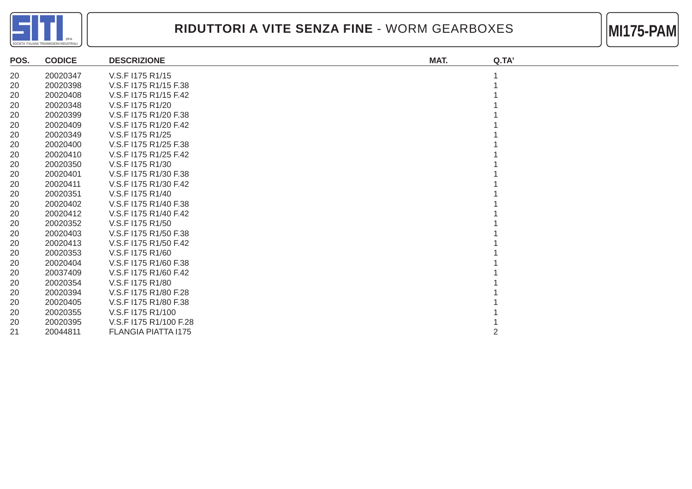



| POS. | <b>CODICE</b> | <b>DESCRIZIONE</b>         | MAT. | Q.TA' |
|------|---------------|----------------------------|------|-------|
| 20   | 20020347      | V.S.F I175 R1/15           |      |       |
| 20   | 20020398      | V.S.F 1175 R1/15 F.38      |      |       |
| 20   | 20020408      | V.S.F I175 R1/15 F.42      |      |       |
| 20   | 20020348      | V.S.F I175 R1/20           |      |       |
| 20   | 20020399      | V.S.F 1175 R1/20 F.38      |      |       |
| 20   | 20020409      | V.S.F I175 R1/20 F.42      |      |       |
| 20   | 20020349      | V.S.F I175 R1/25           |      |       |
| 20   | 20020400      | V.S.F I175 R1/25 F.38      |      |       |
| 20   | 20020410      | V.S.F I175 R1/25 F.42      |      |       |
| 20   | 20020350      | V.S.F I175 R1/30           |      |       |
| 20   | 20020401      | V.S.F I175 R1/30 F.38      |      |       |
| 20   | 20020411      | V.S.F I175 R1/30 F.42      |      |       |
| 20   | 20020351      | V.S.F I175 R1/40           |      |       |
| 20   | 20020402      | V.S.F I175 R1/40 F.38      |      |       |
| 20   | 20020412      | V.S.F I175 R1/40 F.42      |      |       |
| 20   | 20020352      | V.S.F I175 R1/50           |      |       |
| 20   | 20020403      | V.S.F I175 R1/50 F.38      |      |       |
| 20   | 20020413      | V.S.F I175 R1/50 F.42      |      |       |
| 20   | 20020353      | V.S.F I175 R1/60           |      |       |
| 20   | 20020404      | V.S.F I175 R1/60 F.38      |      |       |
| 20   | 20037409      | V.S.F I175 R1/60 F.42      |      |       |
| 20   | 20020354      | V.S.F I175 R1/80           |      |       |
| 20   | 20020394      | V.S.F I175 R1/80 F.28      |      |       |
| 20   | 20020405      | V.S.F I175 R1/80 F.38      |      |       |
| 20   | 20020355      | V.S.F I175 R1/100          |      |       |
| 20   | 20020395      | V.S.F I175 R1/100 F.28     |      |       |
| 21   | 20044811      | <b>FLANGIA PIATTA I175</b> |      |       |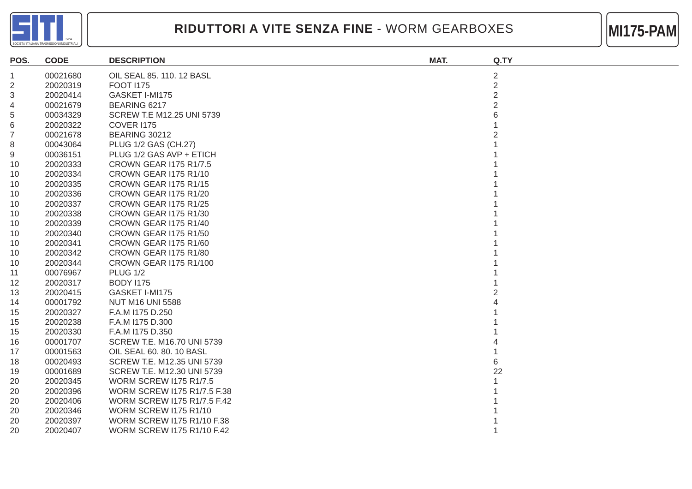



| POS.           | <b>CODE</b> | <b>DESCRIPTION</b>                 | MAT. | Q.TY           |
|----------------|-------------|------------------------------------|------|----------------|
| 1              | 00021680    | OIL SEAL 85. 110. 12 BASL          |      | $\overline{c}$ |
| $\overline{2}$ | 20020319    | <b>FOOT 1175</b>                   |      | 2              |
| 3              | 20020414    | GASKET I-MI175                     |      | 2              |
| 4              | 00021679    | BEARING 6217                       |      |                |
| 5              | 00034329    | SCREW T.E M12.25 UNI 5739          |      |                |
| 6              | 20020322    | <b>COVER I175</b>                  |      |                |
| 7              | 00021678    | <b>BEARING 30212</b>               |      |                |
| 8              | 00043064    | PLUG 1/2 GAS (CH.27)               |      |                |
| 9              | 00036151    | PLUG 1/2 GAS AVP + ETICH           |      |                |
| 10             | 20020333    | <b>CROWN GEAR I175 R1/7.5</b>      |      |                |
| 10             | 20020334    | CROWN GEAR I175 R1/10              |      |                |
| 10             | 20020335    | CROWN GEAR I175 R1/15              |      |                |
| 10             | 20020336    | CROWN GEAR I175 R1/20              |      |                |
| 10             | 20020337    | <b>CROWN GEAR I175 R1/25</b>       |      |                |
| 10             | 20020338    | CROWN GEAR I175 R1/30              |      |                |
| 10             | 20020339    | CROWN GEAR I175 R1/40              |      |                |
| 10             | 20020340    | CROWN GEAR I175 R1/50              |      |                |
| 10             | 20020341    | CROWN GEAR I175 R1/60              |      |                |
| 10             | 20020342    | CROWN GEAR 1175 R1/80              |      |                |
| 10             | 20020344    | <b>CROWN GEAR I175 R1/100</b>      |      |                |
| 11             | 00076967    | <b>PLUG 1/2</b>                    |      |                |
| 12             | 20020317    | <b>BODY 1175</b>                   |      |                |
| 13             | 20020415    | GASKET I-MI175                     |      |                |
| 14             | 00001792    | <b>NUT M16 UNI 5588</b>            |      |                |
| 15             | 20020327    | F.A.M I175 D.250                   |      |                |
| 15             | 20020238    | F.A.M I175 D.300                   |      |                |
| 15             | 20020330    | F.A.M I175 D.350                   |      |                |
| 16             | 00001707    | SCREW T.E. M16.70 UNI 5739         |      |                |
| 17             | 00001563    | OIL SEAL 60. 80. 10 BASL           |      |                |
| 18             | 00020493    | <b>SCREW T.E. M12.35 UNI 5739</b>  |      | 6              |
| 19             | 00001689    | SCREW T.E. M12.30 UNI 5739         |      | 22             |
| 20             | 20020345    | <b>WORM SCREW I175 R1/7.5</b>      |      |                |
| 20             | 20020396    | <b>WORM SCREW I175 R1/7.5 F.38</b> |      |                |
| 20             | 20020406    | <b>WORM SCREW I175 R1/7.5 F.42</b> |      |                |
| 20             | 20020346    | <b>WORM SCREW I175 R1/10</b>       |      |                |
| 20             | 20020397    | WORM SCREW I175 R1/10 F.38         |      |                |
| 20             | 20020407    | <b>WORM SCREW I175 R1/10 F.42</b>  |      |                |